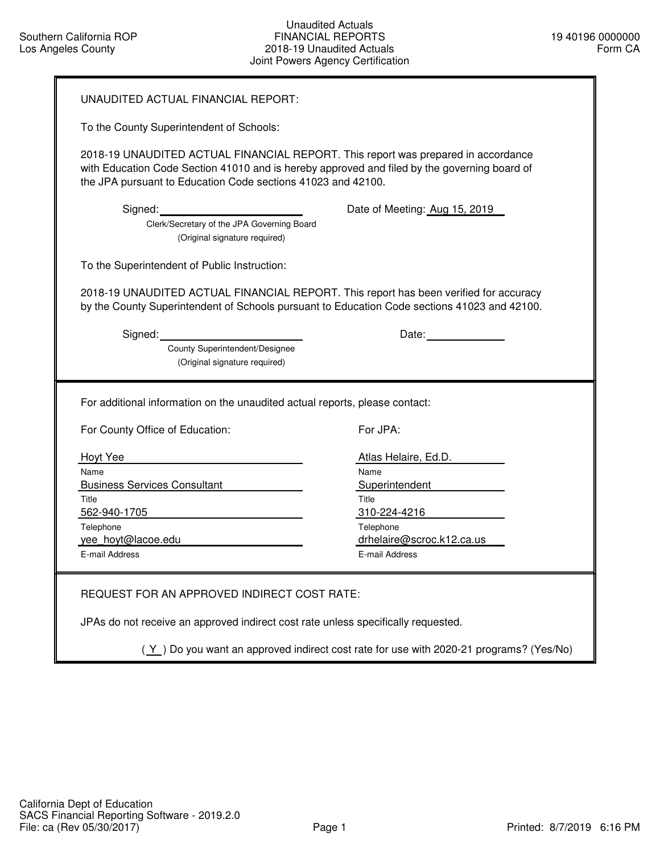| UNAUDITED ACTUAL FINANCIAL REPORT:                                                                                                                                                                                                                                                                            |                                                                         |  |  |  |  |  |
|---------------------------------------------------------------------------------------------------------------------------------------------------------------------------------------------------------------------------------------------------------------------------------------------------------------|-------------------------------------------------------------------------|--|--|--|--|--|
| To the County Superintendent of Schools:                                                                                                                                                                                                                                                                      |                                                                         |  |  |  |  |  |
| 2018-19 UNAUDITED ACTUAL FINANCIAL REPORT. This report was prepared in accordance<br>with Education Code Section 41010 and is hereby approved and filed by the governing board of<br>the JPA pursuant to Education Code sections 41023 and 42100.                                                             |                                                                         |  |  |  |  |  |
| Signed: Executive Signed: The Society of the Signed Signed Signed Signed Signed Signed Signed Signed Signed Signed Signed Signed Signed Signed Signed Signed Signed Signed Signed Signed Signed Signed Signed Signed Signed Si<br>Clerk/Secretary of the JPA Governing Board<br>(Original signature required) | Date of Meeting: Aug 15, 2019                                           |  |  |  |  |  |
| To the Superintendent of Public Instruction:                                                                                                                                                                                                                                                                  |                                                                         |  |  |  |  |  |
| 2018-19 UNAUDITED ACTUAL FINANCIAL REPORT. This report has been verified for accuracy<br>by the County Superintendent of Schools pursuant to Education Code sections 41023 and 42100.                                                                                                                         |                                                                         |  |  |  |  |  |
| Signed: Signed:<br>County Superintendent/Designee<br>(Original signature required)                                                                                                                                                                                                                            |                                                                         |  |  |  |  |  |
| For additional information on the unaudited actual reports, please contact:                                                                                                                                                                                                                                   |                                                                         |  |  |  |  |  |
| For County Office of Education:                                                                                                                                                                                                                                                                               | For JPA:                                                                |  |  |  |  |  |
| Hoyt Yee<br>Name<br><b>Business Services Consultant</b><br>Title<br>562-940-1705                                                                                                                                                                                                                              | Atlas Helaire, Ed.D.<br>Name<br>Superintendent<br>Title<br>310-224-4216 |  |  |  |  |  |
| Telephone<br>yee_hoyt@lacoe.edu<br>E-mail Address                                                                                                                                                                                                                                                             | Telephone<br>drhelaire@scroc.k12.ca.us<br>E-mail Address                |  |  |  |  |  |

JPAs do not receive an approved indirect cost rate unless specifically requested.

 $(Y)$  Do you want an approved indirect cost rate for use with 2020-21 programs? (Yes/No)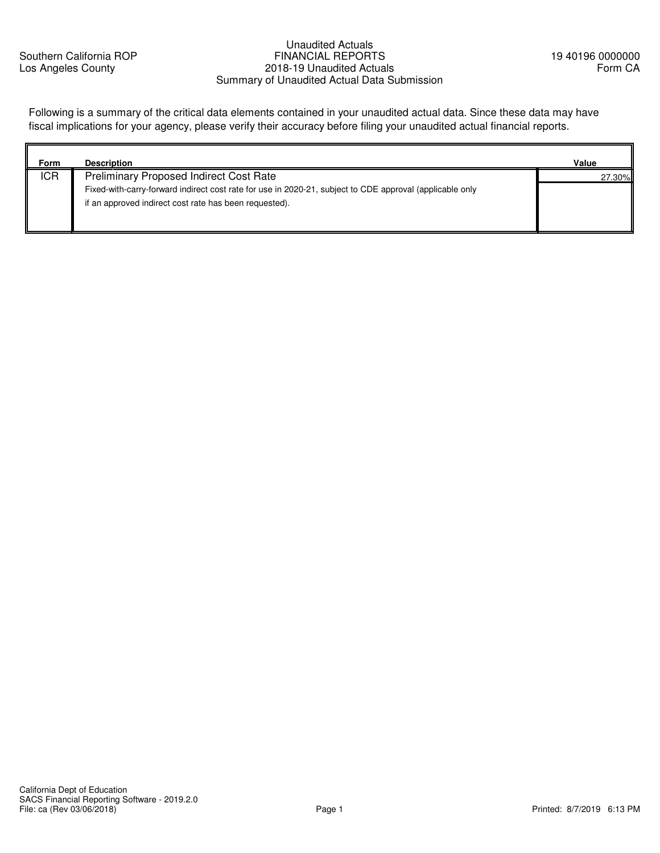Southern California ROP Los Angeles County

# Unaudited Actuals FINANCIAL REPORTS 2018-19 Unaudited Actuals Summary of Unaudited Actual Data Submission

Following is a summary of the critical data elements contained in your unaudited actual data. Since these data may have fiscal implications for your agency, please verify their accuracy before filing your unaudited actual financial reports.

| Form       | <b>Description</b>                                                                                       | Value  |
|------------|----------------------------------------------------------------------------------------------------------|--------|
| <b>ICR</b> | <b>Preliminary Proposed Indirect Cost Rate</b>                                                           | 27.30% |
|            | Fixed-with-carry-forward indirect cost rate for use in 2020-21, subject to CDE approval (applicable only |        |
|            | if an approved indirect cost rate has been requested).                                                   |        |
|            |                                                                                                          |        |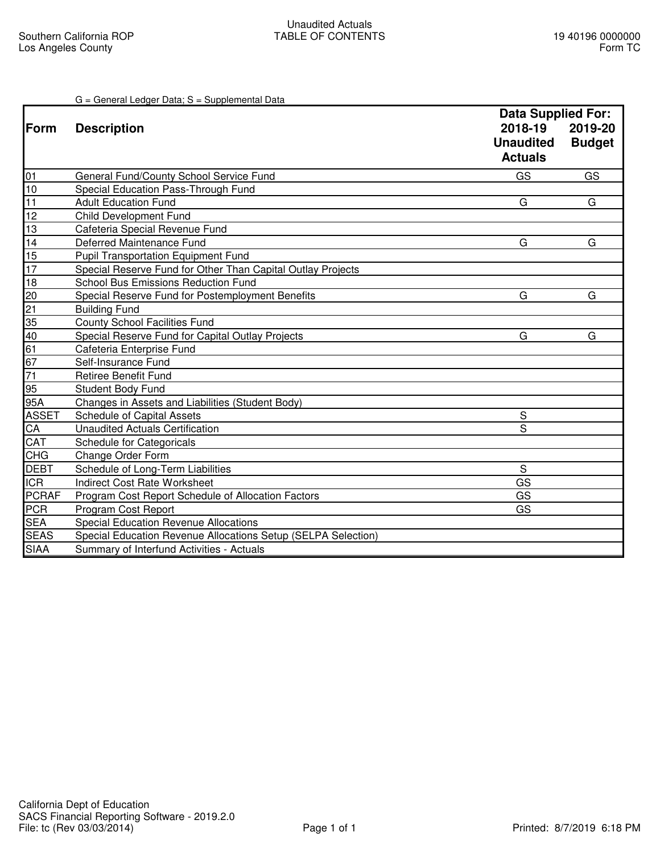# G = General Ledger Data; S = Supplemental Data

|              |                                                               | <b>Data Supplied For:</b>                     |                          |
|--------------|---------------------------------------------------------------|-----------------------------------------------|--------------------------|
| <b>Form</b>  | <b>Description</b>                                            | 2018-19<br><b>Unaudited</b><br><b>Actuals</b> | 2019-20<br><b>Budget</b> |
| 01           | General Fund/County School Service Fund                       | GS                                            | GS                       |
| 10           | Special Education Pass-Through Fund                           |                                               |                          |
| 11           | <b>Adult Education Fund</b>                                   | G                                             | G                        |
| 12           | <b>Child Development Fund</b>                                 |                                               |                          |
| 13           | Cafeteria Special Revenue Fund                                |                                               |                          |
| 14           | Deferred Maintenance Fund                                     | G                                             | G                        |
| 15           | <b>Pupil Transportation Equipment Fund</b>                    |                                               |                          |
| 17           | Special Reserve Fund for Other Than Capital Outlay Projects   |                                               |                          |
| 18           | <b>School Bus Emissions Reduction Fund</b>                    |                                               |                          |
| 20           | Special Reserve Fund for Postemployment Benefits              | G                                             | G                        |
| 21           | <b>Building Fund</b>                                          |                                               |                          |
| 35           | <b>County School Facilities Fund</b>                          |                                               |                          |
| 40           | Special Reserve Fund for Capital Outlay Projects              | G                                             | G                        |
| 61           | Cafeteria Enterprise Fund                                     |                                               |                          |
| 67           | Self-Insurance Fund                                           |                                               |                          |
| 71           | <b>Retiree Benefit Fund</b>                                   |                                               |                          |
| 95           | <b>Student Body Fund</b>                                      |                                               |                          |
| 95A          | Changes in Assets and Liabilities (Student Body)              |                                               |                          |
| <b>ASSET</b> | <b>Schedule of Capital Assets</b>                             | S                                             |                          |
| CA           | <b>Unaudited Actuals Certification</b>                        | S                                             |                          |
| CAT          | Schedule for Categoricals                                     |                                               |                          |
| <b>CHG</b>   | Change Order Form                                             |                                               |                          |
| <b>DEBT</b>  | Schedule of Long-Term Liabilities                             | S                                             |                          |
| <b>ICR</b>   | <b>Indirect Cost Rate Worksheet</b>                           | GS                                            |                          |
| <b>PCRAF</b> | Program Cost Report Schedule of Allocation Factors            | GS                                            |                          |
| PCR          | Program Cost Report                                           | GS                                            |                          |
| <b>SEA</b>   | <b>Special Education Revenue Allocations</b>                  |                                               |                          |
| <b>SEAS</b>  | Special Education Revenue Allocations Setup (SELPA Selection) |                                               |                          |
| <b>SIAA</b>  | Summary of Interfund Activities - Actuals                     |                                               |                          |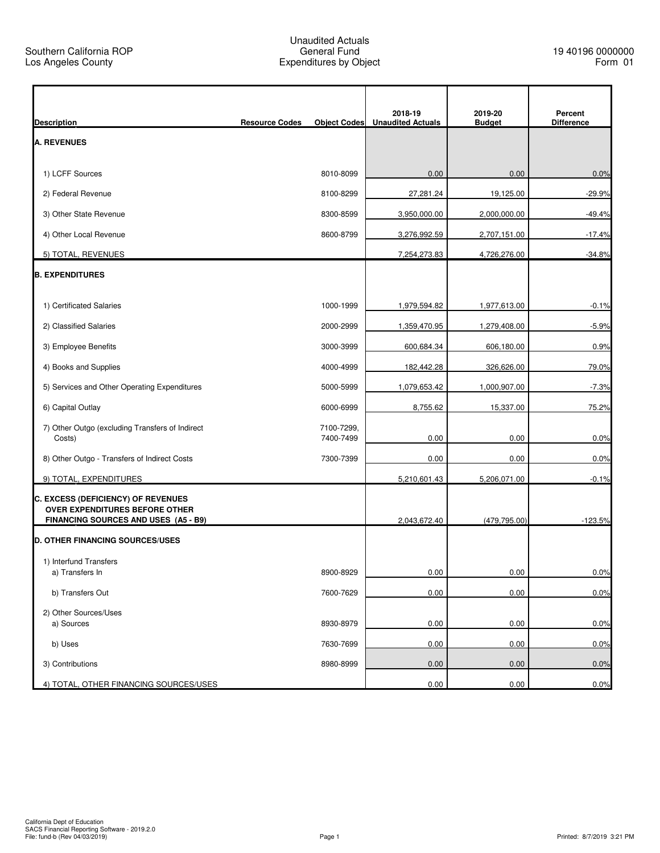$\mathbf{r}$ 

| <b>Unaudited Actuals</b><br><b>Resource Codes</b><br><b>Object Codes</b><br><b>Budget</b><br><b>Difference</b><br>1) LCFF Sources<br>0.00<br>0.00<br>0.0%<br>8010-8099<br>2) Federal Revenue<br>27,281.24<br>19,125.00<br>$-29.9%$<br>8100-8299<br>3) Other State Revenue<br>8300-8599<br>3,950,000.00<br>2,000,000.00<br>$-49.4%$<br>4) Other Local Revenue<br>8600-8799<br>3,276,992.59<br>2,707,151.00<br>$-17.4%$<br>5) TOTAL, REVENUES<br>$-34.8%$<br>7,254,273.83<br>4,726,276.00<br>1) Certificated Salaries<br>1000-1999<br>1,979,594.82<br>1,977,613.00<br>$-0.1%$<br>2) Classified Salaries<br>2000-2999<br>1,359,470.95<br>1,279,408.00<br>$-5.9%$<br>3) Employee Benefits<br>600,684.34<br>0.9%<br>3000-3999<br>606,180.00<br>4) Books and Supplies<br>4000-4999<br>182,442.28<br>326,626.00<br>79.0%<br>5) Services and Other Operating Expenditures<br>1,079,653.42<br>$-7.3%$<br>5000-5999<br>1,000,907.00<br>6) Capital Outlay<br>6000-6999<br>8,755.62<br>15,337.00<br>75.2%<br>7) Other Outgo (excluding Transfers of Indirect<br>7100-7299,<br>0.00<br>Costs)<br>7400-7499<br>0.00<br>0.0%<br>8) Other Outgo - Transfers of Indirect Costs<br>0.00<br>7300-7399<br>0.00<br>0.0%<br>9) TOTAL, EXPENDITURES<br>5,210,601.43<br>5,206,071.00<br>$-0.1%$<br>OVER EXPENDITURES BEFORE OTHER<br>(479, 795.00)<br>$-123.5%$<br>FINANCING SOURCES AND USES (A5 - B9)<br>2,043,672.40<br>1) Interfund Transfers<br>0.00<br>0.0%<br>8900-8929<br>0.00<br>a) Transfers In<br>0.00<br>0.0%<br>b) Transfers Out<br>7600-7629<br>0.00<br>2) Other Sources/Uses<br>a) Sources<br>8930-8979<br>0.00<br>0.00<br>0.0%<br>0.00<br>0.0%<br>b) Uses<br>7630-7699<br>0.00<br>0.00<br>3) Contributions<br>8980-8999<br>0.00<br>0.0% |                                        |  |         |         |         |
|---------------------------------------------------------------------------------------------------------------------------------------------------------------------------------------------------------------------------------------------------------------------------------------------------------------------------------------------------------------------------------------------------------------------------------------------------------------------------------------------------------------------------------------------------------------------------------------------------------------------------------------------------------------------------------------------------------------------------------------------------------------------------------------------------------------------------------------------------------------------------------------------------------------------------------------------------------------------------------------------------------------------------------------------------------------------------------------------------------------------------------------------------------------------------------------------------------------------------------------------------------------------------------------------------------------------------------------------------------------------------------------------------------------------------------------------------------------------------------------------------------------------------------------------------------------------------------------------------------------------------------------------------------------------------------------------------------------------------------|----------------------------------------|--|---------|---------|---------|
|                                                                                                                                                                                                                                                                                                                                                                                                                                                                                                                                                                                                                                                                                                                                                                                                                                                                                                                                                                                                                                                                                                                                                                                                                                                                                                                                                                                                                                                                                                                                                                                                                                                                                                                                 | <b>Description</b>                     |  | 2018-19 | 2019-20 | Percent |
|                                                                                                                                                                                                                                                                                                                                                                                                                                                                                                                                                                                                                                                                                                                                                                                                                                                                                                                                                                                                                                                                                                                                                                                                                                                                                                                                                                                                                                                                                                                                                                                                                                                                                                                                 | <b>A. REVENUES</b>                     |  |         |         |         |
|                                                                                                                                                                                                                                                                                                                                                                                                                                                                                                                                                                                                                                                                                                                                                                                                                                                                                                                                                                                                                                                                                                                                                                                                                                                                                                                                                                                                                                                                                                                                                                                                                                                                                                                                 |                                        |  |         |         |         |
|                                                                                                                                                                                                                                                                                                                                                                                                                                                                                                                                                                                                                                                                                                                                                                                                                                                                                                                                                                                                                                                                                                                                                                                                                                                                                                                                                                                                                                                                                                                                                                                                                                                                                                                                 |                                        |  |         |         |         |
|                                                                                                                                                                                                                                                                                                                                                                                                                                                                                                                                                                                                                                                                                                                                                                                                                                                                                                                                                                                                                                                                                                                                                                                                                                                                                                                                                                                                                                                                                                                                                                                                                                                                                                                                 |                                        |  |         |         |         |
|                                                                                                                                                                                                                                                                                                                                                                                                                                                                                                                                                                                                                                                                                                                                                                                                                                                                                                                                                                                                                                                                                                                                                                                                                                                                                                                                                                                                                                                                                                                                                                                                                                                                                                                                 |                                        |  |         |         |         |
|                                                                                                                                                                                                                                                                                                                                                                                                                                                                                                                                                                                                                                                                                                                                                                                                                                                                                                                                                                                                                                                                                                                                                                                                                                                                                                                                                                                                                                                                                                                                                                                                                                                                                                                                 |                                        |  |         |         |         |
|                                                                                                                                                                                                                                                                                                                                                                                                                                                                                                                                                                                                                                                                                                                                                                                                                                                                                                                                                                                                                                                                                                                                                                                                                                                                                                                                                                                                                                                                                                                                                                                                                                                                                                                                 |                                        |  |         |         |         |
|                                                                                                                                                                                                                                                                                                                                                                                                                                                                                                                                                                                                                                                                                                                                                                                                                                                                                                                                                                                                                                                                                                                                                                                                                                                                                                                                                                                                                                                                                                                                                                                                                                                                                                                                 | <b>B. EXPENDITURES</b>                 |  |         |         |         |
|                                                                                                                                                                                                                                                                                                                                                                                                                                                                                                                                                                                                                                                                                                                                                                                                                                                                                                                                                                                                                                                                                                                                                                                                                                                                                                                                                                                                                                                                                                                                                                                                                                                                                                                                 |                                        |  |         |         |         |
|                                                                                                                                                                                                                                                                                                                                                                                                                                                                                                                                                                                                                                                                                                                                                                                                                                                                                                                                                                                                                                                                                                                                                                                                                                                                                                                                                                                                                                                                                                                                                                                                                                                                                                                                 |                                        |  |         |         |         |
|                                                                                                                                                                                                                                                                                                                                                                                                                                                                                                                                                                                                                                                                                                                                                                                                                                                                                                                                                                                                                                                                                                                                                                                                                                                                                                                                                                                                                                                                                                                                                                                                                                                                                                                                 |                                        |  |         |         |         |
|                                                                                                                                                                                                                                                                                                                                                                                                                                                                                                                                                                                                                                                                                                                                                                                                                                                                                                                                                                                                                                                                                                                                                                                                                                                                                                                                                                                                                                                                                                                                                                                                                                                                                                                                 |                                        |  |         |         |         |
|                                                                                                                                                                                                                                                                                                                                                                                                                                                                                                                                                                                                                                                                                                                                                                                                                                                                                                                                                                                                                                                                                                                                                                                                                                                                                                                                                                                                                                                                                                                                                                                                                                                                                                                                 |                                        |  |         |         |         |
|                                                                                                                                                                                                                                                                                                                                                                                                                                                                                                                                                                                                                                                                                                                                                                                                                                                                                                                                                                                                                                                                                                                                                                                                                                                                                                                                                                                                                                                                                                                                                                                                                                                                                                                                 |                                        |  |         |         |         |
|                                                                                                                                                                                                                                                                                                                                                                                                                                                                                                                                                                                                                                                                                                                                                                                                                                                                                                                                                                                                                                                                                                                                                                                                                                                                                                                                                                                                                                                                                                                                                                                                                                                                                                                                 |                                        |  |         |         |         |
|                                                                                                                                                                                                                                                                                                                                                                                                                                                                                                                                                                                                                                                                                                                                                                                                                                                                                                                                                                                                                                                                                                                                                                                                                                                                                                                                                                                                                                                                                                                                                                                                                                                                                                                                 |                                        |  |         |         |         |
|                                                                                                                                                                                                                                                                                                                                                                                                                                                                                                                                                                                                                                                                                                                                                                                                                                                                                                                                                                                                                                                                                                                                                                                                                                                                                                                                                                                                                                                                                                                                                                                                                                                                                                                                 |                                        |  |         |         |         |
|                                                                                                                                                                                                                                                                                                                                                                                                                                                                                                                                                                                                                                                                                                                                                                                                                                                                                                                                                                                                                                                                                                                                                                                                                                                                                                                                                                                                                                                                                                                                                                                                                                                                                                                                 |                                        |  |         |         |         |
|                                                                                                                                                                                                                                                                                                                                                                                                                                                                                                                                                                                                                                                                                                                                                                                                                                                                                                                                                                                                                                                                                                                                                                                                                                                                                                                                                                                                                                                                                                                                                                                                                                                                                                                                 | C. EXCESS (DEFICIENCY) OF REVENUES     |  |         |         |         |
|                                                                                                                                                                                                                                                                                                                                                                                                                                                                                                                                                                                                                                                                                                                                                                                                                                                                                                                                                                                                                                                                                                                                                                                                                                                                                                                                                                                                                                                                                                                                                                                                                                                                                                                                 |                                        |  |         |         |         |
|                                                                                                                                                                                                                                                                                                                                                                                                                                                                                                                                                                                                                                                                                                                                                                                                                                                                                                                                                                                                                                                                                                                                                                                                                                                                                                                                                                                                                                                                                                                                                                                                                                                                                                                                 | <b>D. OTHER FINANCING SOURCES/USES</b> |  |         |         |         |
|                                                                                                                                                                                                                                                                                                                                                                                                                                                                                                                                                                                                                                                                                                                                                                                                                                                                                                                                                                                                                                                                                                                                                                                                                                                                                                                                                                                                                                                                                                                                                                                                                                                                                                                                 |                                        |  |         |         |         |
|                                                                                                                                                                                                                                                                                                                                                                                                                                                                                                                                                                                                                                                                                                                                                                                                                                                                                                                                                                                                                                                                                                                                                                                                                                                                                                                                                                                                                                                                                                                                                                                                                                                                                                                                 |                                        |  |         |         |         |
|                                                                                                                                                                                                                                                                                                                                                                                                                                                                                                                                                                                                                                                                                                                                                                                                                                                                                                                                                                                                                                                                                                                                                                                                                                                                                                                                                                                                                                                                                                                                                                                                                                                                                                                                 |                                        |  |         |         |         |
|                                                                                                                                                                                                                                                                                                                                                                                                                                                                                                                                                                                                                                                                                                                                                                                                                                                                                                                                                                                                                                                                                                                                                                                                                                                                                                                                                                                                                                                                                                                                                                                                                                                                                                                                 |                                        |  |         |         |         |
|                                                                                                                                                                                                                                                                                                                                                                                                                                                                                                                                                                                                                                                                                                                                                                                                                                                                                                                                                                                                                                                                                                                                                                                                                                                                                                                                                                                                                                                                                                                                                                                                                                                                                                                                 |                                        |  |         |         |         |
|                                                                                                                                                                                                                                                                                                                                                                                                                                                                                                                                                                                                                                                                                                                                                                                                                                                                                                                                                                                                                                                                                                                                                                                                                                                                                                                                                                                                                                                                                                                                                                                                                                                                                                                                 |                                        |  |         |         |         |
|                                                                                                                                                                                                                                                                                                                                                                                                                                                                                                                                                                                                                                                                                                                                                                                                                                                                                                                                                                                                                                                                                                                                                                                                                                                                                                                                                                                                                                                                                                                                                                                                                                                                                                                                 | 4) TOTAL, OTHER FINANCING SOURCES/USES |  | 0.00    | 0.00    | 0.0%    |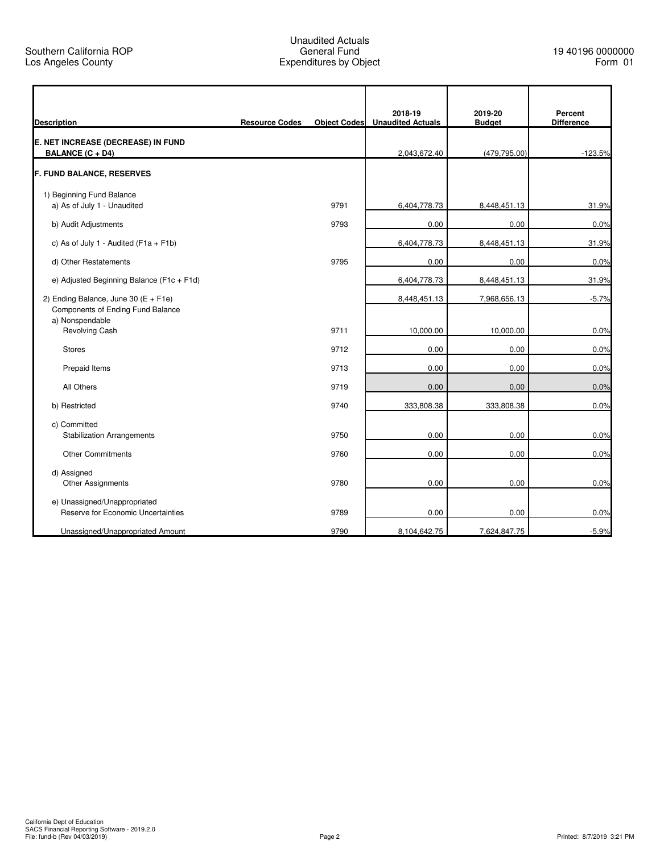| <b>Description</b>                                                        | <b>Resource Codes</b> | <b>Object Codes</b> | 2018-19<br><b>Unaudited Actuals</b> | 2019-20<br><b>Budget</b> | Percent<br><b>Difference</b> |
|---------------------------------------------------------------------------|-----------------------|---------------------|-------------------------------------|--------------------------|------------------------------|
| E. NET INCREASE (DECREASE) IN FUND<br><b>BALANCE (C + D4)</b>             |                       |                     | 2,043,672.40                        | (479, 795.00)            | $-123.5%$                    |
| <b>F. FUND BALANCE, RESERVES</b>                                          |                       |                     |                                     |                          |                              |
| 1) Beginning Fund Balance                                                 |                       |                     |                                     |                          |                              |
| a) As of July 1 - Unaudited                                               |                       | 9791                | 6,404,778.73                        | 8,448,451.13             | 31.9%                        |
| b) Audit Adjustments                                                      |                       | 9793                | 0.00                                | 0.00                     | 0.0%                         |
| c) As of July 1 - Audited ( $F1a + F1b$ )                                 |                       |                     | 6,404,778.73                        | 8,448,451.13             | 31.9%                        |
| d) Other Restatements                                                     |                       | 9795                | 0.00                                | 0.00                     | 0.0%                         |
| e) Adjusted Beginning Balance (F1c + F1d)                                 |                       |                     | 6,404,778.73                        | 8,448,451.13             | 31.9%                        |
| 2) Ending Balance, June 30 (E + F1e)<br>Components of Ending Fund Balance |                       |                     | 8,448,451.13                        | 7,968,656.13             | $-5.7%$                      |
| a) Nonspendable<br><b>Revolving Cash</b>                                  |                       | 9711                | 10,000.00                           | 10,000.00                | 0.0%                         |
| <b>Stores</b>                                                             |                       | 9712                | 0.00                                | 0.00                     | 0.0%                         |
| Prepaid Items                                                             |                       | 9713                | 0.00                                | 0.00                     | 0.0%                         |
| All Others                                                                |                       | 9719                | 0.00                                | 0.00                     | 0.0%                         |
| b) Restricted                                                             |                       | 9740                | 333,808.38                          | 333,808.38               | 0.0%                         |
| c) Committed<br><b>Stabilization Arrangements</b>                         |                       | 9750                | 0.00                                | 0.00                     | 0.0%                         |
| <b>Other Commitments</b>                                                  |                       | 9760                | 0.00                                | 0.00                     | 0.0%                         |
| d) Assigned<br>Other Assignments                                          |                       | 9780                | 0.00                                | 0.00                     | 0.0%                         |
| e) Unassigned/Unappropriated<br>Reserve for Economic Uncertainties        |                       | 9789                | 0.00                                | 0.00                     | 0.0%                         |
| Unassigned/Unappropriated Amount                                          |                       | 9790                | 8,104,642.75                        | 7,624,847.75             | $-5.9%$                      |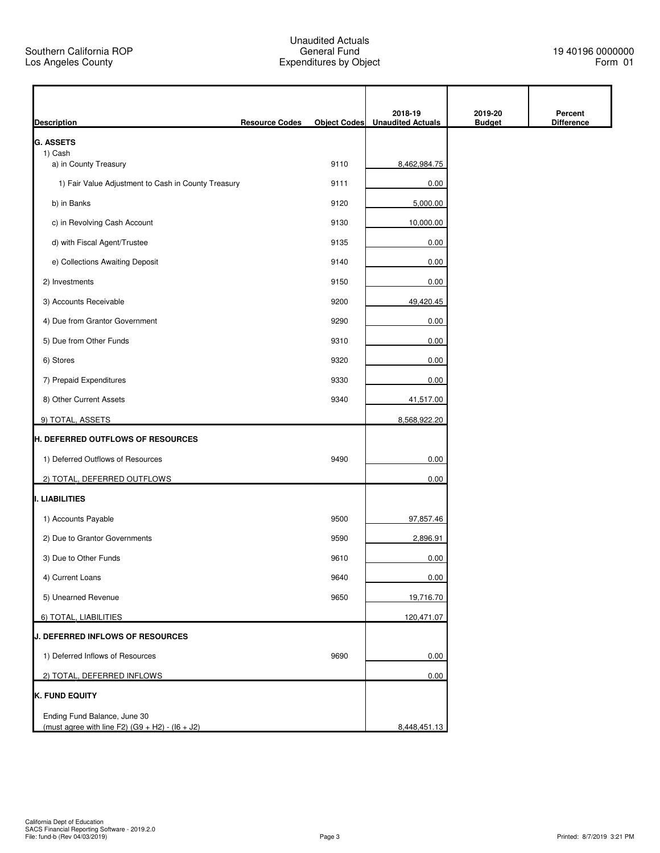| <b>Description</b>                                  | <b>Resource Codes</b> | <b>Object Codes</b> | 2018-19<br><b>Unaudited Actuals</b> | 2019-20<br><b>Budget</b> | Percent<br><b>Difference</b> |
|-----------------------------------------------------|-----------------------|---------------------|-------------------------------------|--------------------------|------------------------------|
| <b>G. ASSETS</b>                                    |                       |                     |                                     |                          |                              |
| 1) Cash<br>a) in County Treasury                    |                       | 9110                | 8,462,984.75                        |                          |                              |
| 1) Fair Value Adjustment to Cash in County Treasury |                       | 9111                | 0.00                                |                          |                              |
| b) in Banks                                         |                       | 9120                | 5,000.00                            |                          |                              |
| c) in Revolving Cash Account                        |                       | 9130                | 10,000.00                           |                          |                              |
| d) with Fiscal Agent/Trustee                        |                       | 9135                | 0.00                                |                          |                              |
| e) Collections Awaiting Deposit                     |                       | 9140                | 0.00                                |                          |                              |
| 2) Investments                                      |                       | 9150                | 0.00                                |                          |                              |
| 3) Accounts Receivable                              |                       | 9200                | 49,420.45                           |                          |                              |
| 4) Due from Grantor Government                      |                       | 9290                | 0.00                                |                          |                              |
| 5) Due from Other Funds                             |                       | 9310                | 0.00                                |                          |                              |
| 6) Stores                                           |                       | 9320                | 0.00                                |                          |                              |
| 7) Prepaid Expenditures                             |                       | 9330                | 0.00                                |                          |                              |
| 8) Other Current Assets                             |                       | 9340                | 41,517.00                           |                          |                              |
| 9) TOTAL, ASSETS                                    |                       |                     | 8,568,922.20                        |                          |                              |
| H. DEFERRED OUTFLOWS OF RESOURCES                   |                       |                     |                                     |                          |                              |
| 1) Deferred Outflows of Resources                   |                       | 9490                | 0.00                                |                          |                              |
| 2) TOTAL, DEFERRED OUTFLOWS                         |                       |                     | 0.00                                |                          |                              |
| I. LIABILITIES                                      |                       |                     |                                     |                          |                              |
| 1) Accounts Payable                                 |                       | 9500                | 97,857.46                           |                          |                              |
| 2) Due to Grantor Governments                       |                       | 9590                | 2,896.91                            |                          |                              |
| 3) Due to Other Funds                               |                       | 9610                | 0.00                                |                          |                              |
| 4) Current Loans                                    |                       | 9640                | 0.00                                |                          |                              |
| 5) Unearned Revenue                                 |                       | 9650                | 19,716.70                           |                          |                              |
| 6) TOTAL, LIABILITIES                               |                       |                     | 120,471.07                          |                          |                              |
| J. DEFERRED INFLOWS OF RESOURCES                    |                       |                     |                                     |                          |                              |
| 1) Deferred Inflows of Resources                    |                       | 9690                | 0.00                                |                          |                              |
| 2) TOTAL, DEFERRED INFLOWS                          |                       |                     | 0.00                                |                          |                              |
| K. FUND EQUITY                                      |                       |                     |                                     |                          |                              |
| Ending Fund Balance, June 30                        |                       |                     |                                     |                          |                              |
| (must agree with line F2) $(G9 + H2) - (16 + J2)$   |                       |                     | 8,448,451.13                        |                          |                              |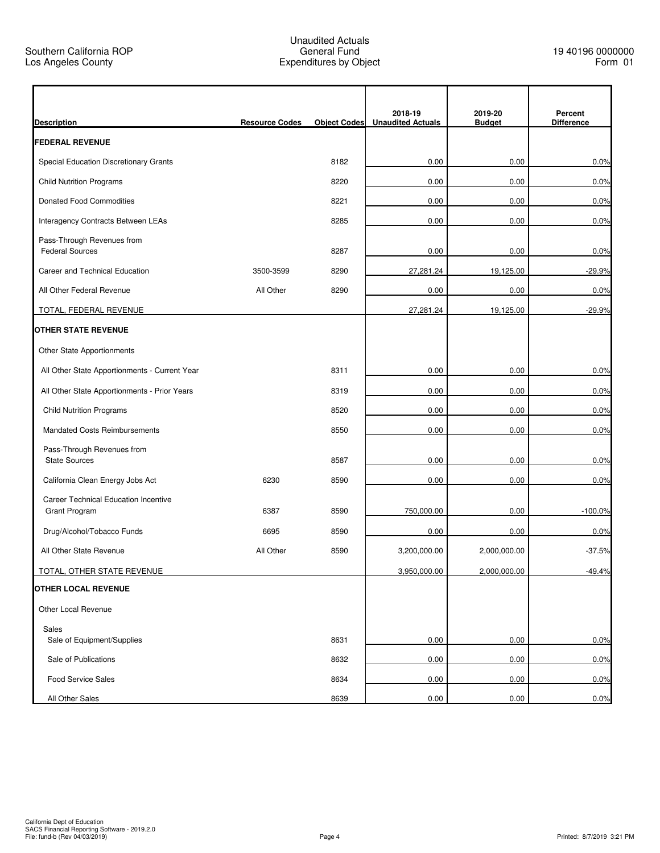| <b>Description</b>                                   | <b>Resource Codes</b> | <b>Object Codes</b> | 2018-19<br><b>Unaudited Actuals</b> | 2019-20<br><b>Budget</b> | Percent<br><b>Difference</b> |
|------------------------------------------------------|-----------------------|---------------------|-------------------------------------|--------------------------|------------------------------|
| <b>FEDERAL REVENUE</b>                               |                       |                     |                                     |                          |                              |
| Special Education Discretionary Grants               |                       | 8182                | 0.00                                | 0.00                     | 0.0%                         |
| <b>Child Nutrition Programs</b>                      |                       | 8220                | 0.00                                | 0.00                     | 0.0%                         |
| <b>Donated Food Commodities</b>                      |                       | 8221                | 0.00                                | 0.00                     | 0.0%                         |
| <b>Interagency Contracts Between LEAs</b>            |                       | 8285                | 0.00                                | 0.00                     | 0.0%                         |
| Pass-Through Revenues from<br><b>Federal Sources</b> |                       | 8287                | 0.00                                | 0.00                     | 0.0%                         |
| Career and Technical Education                       | 3500-3599             | 8290                | 27,281.24                           | 19,125.00                | $-29.9%$                     |
| All Other Federal Revenue                            | All Other             | 8290                | 0.00                                | 0.00                     | 0.0%                         |
| TOTAL, FEDERAL REVENUE                               |                       |                     | 27,281.24                           | 19,125.00                | $-29.9%$                     |
| <b>OTHER STATE REVENUE</b>                           |                       |                     |                                     |                          |                              |
| Other State Apportionments                           |                       |                     |                                     |                          |                              |
| All Other State Apportionments - Current Year        |                       | 8311                | 0.00                                | 0.00                     | 0.0%                         |
| All Other State Apportionments - Prior Years         |                       | 8319                | 0.00                                | 0.00                     | 0.0%                         |
| <b>Child Nutrition Programs</b>                      |                       | 8520                | 0.00                                | 0.00                     | 0.0%                         |
| <b>Mandated Costs Reimbursements</b>                 |                       | 8550                | 0.00                                | 0.00                     | 0.0%                         |
| Pass-Through Revenues from<br><b>State Sources</b>   |                       | 8587                | 0.00                                | 0.00                     | 0.0%                         |
| California Clean Energy Jobs Act                     | 6230                  | 8590                | 0.00                                | 0.00                     | 0.0%                         |
| Career Technical Education Incentive                 |                       |                     |                                     |                          |                              |
| Grant Program                                        | 6387                  | 8590                | 750,000.00                          | 0.00                     | $-100.0%$                    |
| Drug/Alcohol/Tobacco Funds                           | 6695                  | 8590                | 0.00                                | 0.00                     | 0.0%                         |
| All Other State Revenue                              | All Other             | 8590                | 3,200,000.00                        | 2,000,000.00             | $-37.5%$                     |
| TOTAL, OTHER STATE REVENUE                           |                       |                     | 3,950,000.00                        | 2,000,000.00             | $-49.4%$                     |
| <b>OTHER LOCAL REVENUE</b>                           |                       |                     |                                     |                          |                              |
| Other Local Revenue                                  |                       |                     |                                     |                          |                              |
| Sales<br>Sale of Equipment/Supplies                  |                       | 8631                | 0.00                                | 0.00                     | 0.0%                         |
| Sale of Publications                                 |                       | 8632                | 0.00                                | 0.00                     | 0.0%                         |
| <b>Food Service Sales</b>                            |                       | 8634                | 0.00                                | 0.00                     | 0.0%                         |
| All Other Sales                                      |                       | 8639                | 0.00                                | 0.00                     | 0.0%                         |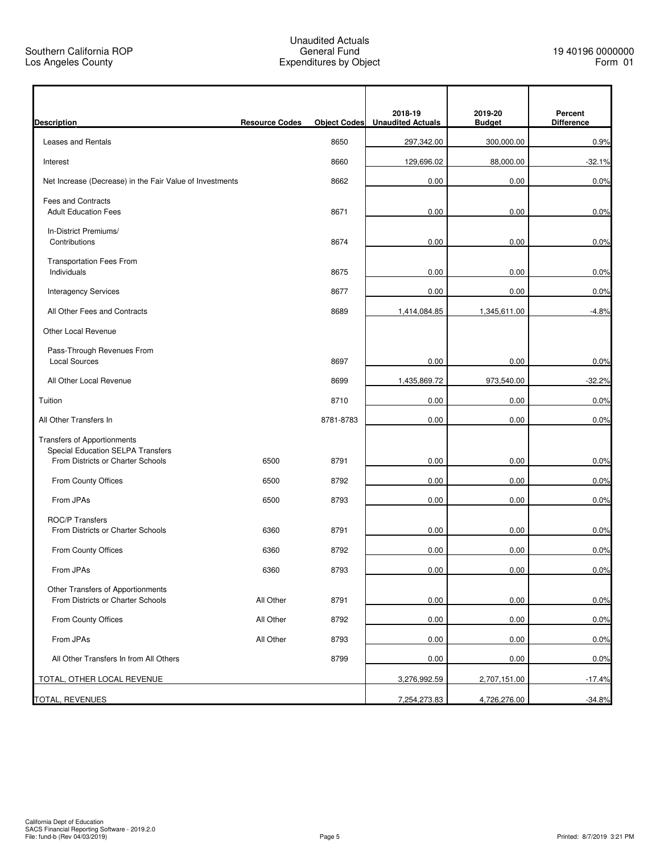| <b>Description</b>                                                      | <b>Resource Codes</b> | <b>Object Codes</b> | 2018-19<br><b>Unaudited Actuals</b> | 2019-20<br><b>Budget</b> | Percent<br><b>Difference</b> |
|-------------------------------------------------------------------------|-----------------------|---------------------|-------------------------------------|--------------------------|------------------------------|
| <b>Leases and Rentals</b>                                               |                       | 8650                | 297,342.00                          | 300,000.00               | 0.9%                         |
| Interest                                                                |                       | 8660                | 129,696.02                          | 88,000.00                | $-32.1%$                     |
| Net Increase (Decrease) in the Fair Value of Investments                |                       | 8662                | 0.00                                | 0.00                     | 0.0%                         |
| <b>Fees and Contracts</b><br><b>Adult Education Fees</b>                |                       | 8671                | 0.00                                | 0.00                     | 0.0%                         |
| In-District Premiums/<br>Contributions                                  |                       | 8674                | 0.00                                | 0.00                     | 0.0%                         |
| <b>Transportation Fees From</b><br>Individuals                          |                       | 8675                | 0.00                                | 0.00                     | 0.0%                         |
| <b>Interagency Services</b>                                             |                       | 8677                | 0.00                                | 0.00                     | 0.0%                         |
| All Other Fees and Contracts                                            |                       | 8689                | 1,414,084.85                        | 1,345,611.00             | $-4.8%$                      |
| Other Local Revenue                                                     |                       |                     |                                     |                          |                              |
| Pass-Through Revenues From<br><b>Local Sources</b>                      |                       | 8697                | 0.00                                | 0.00                     | 0.0%                         |
| All Other Local Revenue                                                 |                       | 8699                | 1,435,869.72                        | 973,540.00               | $-32.2%$                     |
| Tuition                                                                 |                       | 8710                | 0.00                                | 0.00                     | 0.0%                         |
| All Other Transfers In                                                  |                       | 8781-8783           | 0.00                                | 0.00                     | 0.0%                         |
| <b>Transfers of Apportionments</b><br>Special Education SELPA Transfers |                       |                     |                                     |                          |                              |
| From Districts or Charter Schools                                       | 6500                  | 8791                | 0.00                                | 0.00                     | 0.0%                         |
| From County Offices                                                     | 6500                  | 8792                | 0.00                                | 0.00                     | 0.0%                         |
| From JPAs                                                               | 6500                  | 8793                | 0.00                                | 0.00                     | 0.0%                         |
| <b>ROC/P Transfers</b><br>From Districts or Charter Schools             | 6360                  | 8791                | 0.00                                | 0.00                     | 0.0%                         |
|                                                                         | 6360                  | 8792                |                                     |                          |                              |
| From County Offices                                                     |                       |                     | 0.00                                | 0.00                     | 0.0%                         |
| From JPAs                                                               | 6360                  | 8793                | 0.00                                | 0.00                     | 0.0%                         |
| Other Transfers of Apportionments<br>From Districts or Charter Schools  | All Other             | 8791                | 0.00                                | 0.00                     | 0.0%                         |
| From County Offices                                                     | All Other             | 8792                | 0.00                                | 0.00                     | 0.0%                         |
| From JPAs                                                               | All Other             | 8793                | 0.00                                | 0.00                     | 0.0%                         |
| All Other Transfers In from All Others                                  |                       | 8799                | 0.00                                | 0.00                     | 0.0%                         |
| TOTAL, OTHER LOCAL REVENUE                                              |                       |                     | 3,276,992.59                        | 2,707,151.00             | $-17.4%$                     |
| TOTAL, REVENUES                                                         |                       |                     | 7,254,273.83                        | 4,726,276.00             | $-34.8%$                     |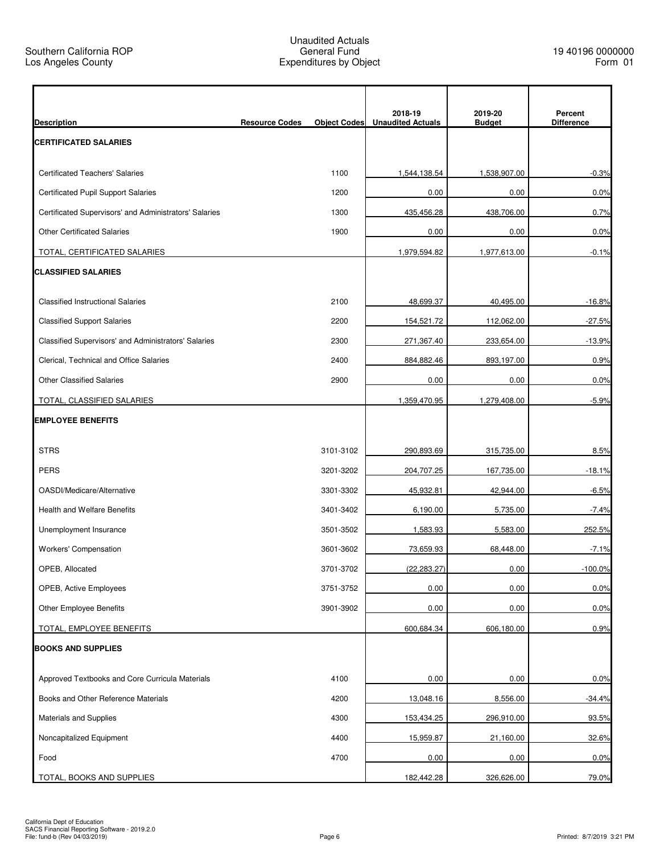| <b>Description</b>                                     | <b>Resource Codes</b> | <b>Object Codes</b> | 2018-19<br><b>Unaudited Actuals</b> | 2019-20<br><b>Budget</b> | Percent<br><b>Difference</b> |
|--------------------------------------------------------|-----------------------|---------------------|-------------------------------------|--------------------------|------------------------------|
| <b>CERTIFICATED SALARIES</b>                           |                       |                     |                                     |                          |                              |
| <b>Certificated Teachers' Salaries</b>                 |                       | 1100                | 1,544,138.54                        | 1,538,907.00             | $-0.3%$                      |
| <b>Certificated Pupil Support Salaries</b>             |                       | 1200                | 0.00                                | 0.00                     | 0.0%                         |
| Certificated Supervisors' and Administrators' Salaries |                       | 1300                | 435,456.28                          | 438,706.00               | 0.7%                         |
| <b>Other Certificated Salaries</b>                     |                       | 1900                | 0.00                                | 0.00                     | 0.0%                         |
| TOTAL, CERTIFICATED SALARIES                           |                       |                     | 1,979,594.82                        | 1,977,613.00             | $-0.1%$                      |
| <b>CLASSIFIED SALARIES</b>                             |                       |                     |                                     |                          |                              |
| <b>Classified Instructional Salaries</b>               |                       | 2100                | 48,699.37                           | 40,495.00                | $-16.8%$                     |
| <b>Classified Support Salaries</b>                     |                       | 2200                | 154,521.72                          | 112,062.00               | $-27.5%$                     |
| Classified Supervisors' and Administrators' Salaries   |                       | 2300                | 271,367.40                          | 233,654.00               | $-13.9%$                     |
| Clerical, Technical and Office Salaries                |                       | 2400                | 884,882.46                          | 893,197.00               | 0.9%                         |
| <b>Other Classified Salaries</b>                       |                       | 2900                | 0.00                                | 0.00                     | 0.0%                         |
| TOTAL, CLASSIFIED SALARIES                             |                       |                     | 1,359,470.95                        | 1,279,408.00             | $-5.9%$                      |
| <b>EMPLOYEE BENEFITS</b>                               |                       |                     |                                     |                          |                              |
| <b>STRS</b>                                            |                       | 3101-3102           | 290,893.69                          | 315,735.00               | 8.5%                         |
| <b>PERS</b>                                            |                       | 3201-3202           | 204,707.25                          | 167,735.00               | $-18.1%$                     |
| OASDI/Medicare/Alternative                             |                       | 3301-3302           | 45,932.81                           | 42,944.00                | $-6.5%$                      |
| <b>Health and Welfare Benefits</b>                     |                       | 3401-3402           | 6,190.00                            | 5,735.00                 | $-7.4%$                      |
| Unemployment Insurance                                 |                       | 3501-3502           | 1,583.93                            | 5,583.00                 | 252.5%                       |
| Workers' Compensation                                  |                       | 3601-3602           | 73,659.93                           | 68,448.00                | $-7.1%$                      |
| OPEB, Allocated                                        |                       | 3701-3702           | (22, 283.27)                        | 0.00                     | $-100.0\%$                   |
| OPEB, Active Employees                                 |                       | 3751-3752           | 0.00                                | 0.00                     | 0.0%                         |
| Other Employee Benefits                                |                       | 3901-3902           | 0.00                                | 0.00                     | 0.0%                         |
| TOTAL, EMPLOYEE BENEFITS                               |                       |                     | 600,684.34                          | 606,180.00               | 0.9%                         |
| <b>BOOKS AND SUPPLIES</b>                              |                       |                     |                                     |                          |                              |
| Approved Textbooks and Core Curricula Materials        |                       | 4100                | 0.00                                | 0.00                     | 0.0%                         |
| Books and Other Reference Materials                    |                       | 4200                | 13,048.16                           | 8,556.00                 | $-34.4%$                     |
| <b>Materials and Supplies</b>                          |                       | 4300                | 153,434.25                          | 296,910.00               | 93.5%                        |
| Noncapitalized Equipment                               |                       | 4400                | 15,959.87                           | 21,160.00                | 32.6%                        |
| Food                                                   |                       | 4700                | 0.00                                | 0.00                     | 0.0%                         |
| TOTAL, BOOKS AND SUPPLIES                              |                       |                     | 182,442.28                          | 326,626.00               | 79.0%                        |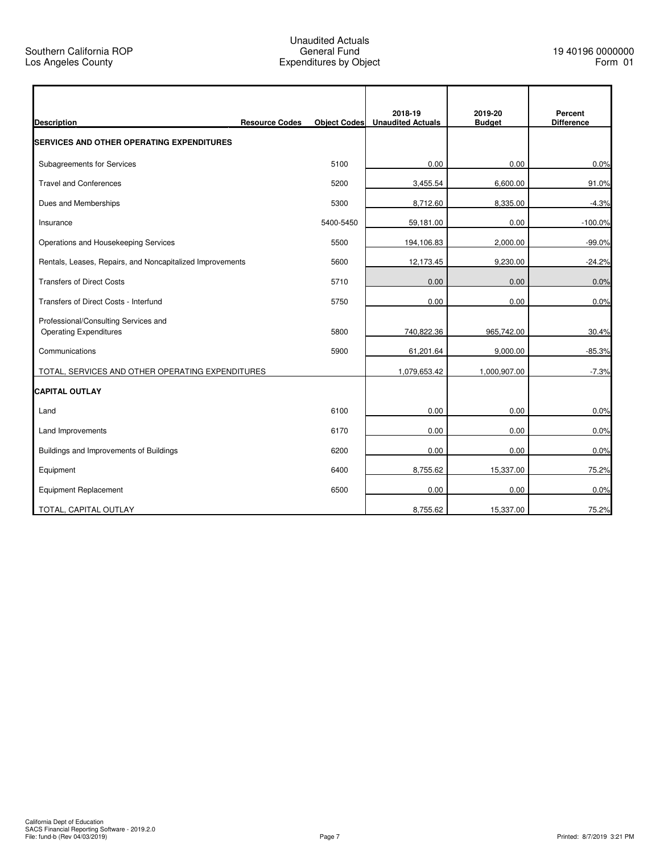| <b>Description</b>                                                    | <b>Resource Codes</b> | <b>Object Codes</b> | 2018-19<br><b>Unaudited Actuals</b> | 2019-20<br><b>Budget</b> | Percent<br><b>Difference</b> |
|-----------------------------------------------------------------------|-----------------------|---------------------|-------------------------------------|--------------------------|------------------------------|
| <b>SERVICES AND OTHER OPERATING EXPENDITURES</b>                      |                       |                     |                                     |                          |                              |
| Subagreements for Services                                            |                       | 5100                | 0.00                                | 0.00                     | 0.0%                         |
| <b>Travel and Conferences</b>                                         |                       | 5200                | 3,455.54                            | 6,600.00                 | 91.0%                        |
| Dues and Memberships                                                  |                       | 5300                | 8,712.60                            | 8,335.00                 | $-4.3%$                      |
| Insurance                                                             |                       | 5400-5450           | 59,181.00                           | 0.00                     | $-100.0%$                    |
| Operations and Housekeeping Services                                  |                       | 5500                | 194,106.83                          | 2,000.00                 | $-99.0%$                     |
| Rentals, Leases, Repairs, and Noncapitalized Improvements             |                       | 5600                | 12,173.45                           | 9,230.00                 | $-24.2%$                     |
| <b>Transfers of Direct Costs</b>                                      |                       | 5710                | 0.00                                | 0.00                     | 0.0%                         |
| Transfers of Direct Costs - Interfund                                 |                       | 5750                | 0.00                                | 0.00                     | 0.0%                         |
| Professional/Consulting Services and<br><b>Operating Expenditures</b> |                       | 5800                | 740,822.36                          | 965,742.00               | 30.4%                        |
| Communications                                                        |                       | 5900                | 61,201.64                           | 9,000.00                 | $-85.3%$                     |
| TOTAL, SERVICES AND OTHER OPERATING EXPENDITURES                      |                       |                     | 1,079,653.42                        | 1,000,907.00             | $-7.3%$                      |
| <b>CAPITAL OUTLAY</b>                                                 |                       |                     |                                     |                          |                              |
| Land                                                                  |                       | 6100                | 0.00                                | 0.00                     | 0.0%                         |
| <b>Land Improvements</b>                                              |                       | 6170                | 0.00                                | 0.00                     | 0.0%                         |
| Buildings and Improvements of Buildings                               |                       | 6200                | 0.00                                | 0.00                     | 0.0%                         |
| Equipment                                                             |                       | 6400                | 8,755.62                            | 15,337.00                | 75.2%                        |
| <b>Equipment Replacement</b>                                          |                       | 6500                | 0.00                                | 0.00                     | 0.0%                         |
| TOTAL, CAPITAL OUTLAY                                                 |                       |                     | 8,755.62                            | 15,337.00                | 75.2%                        |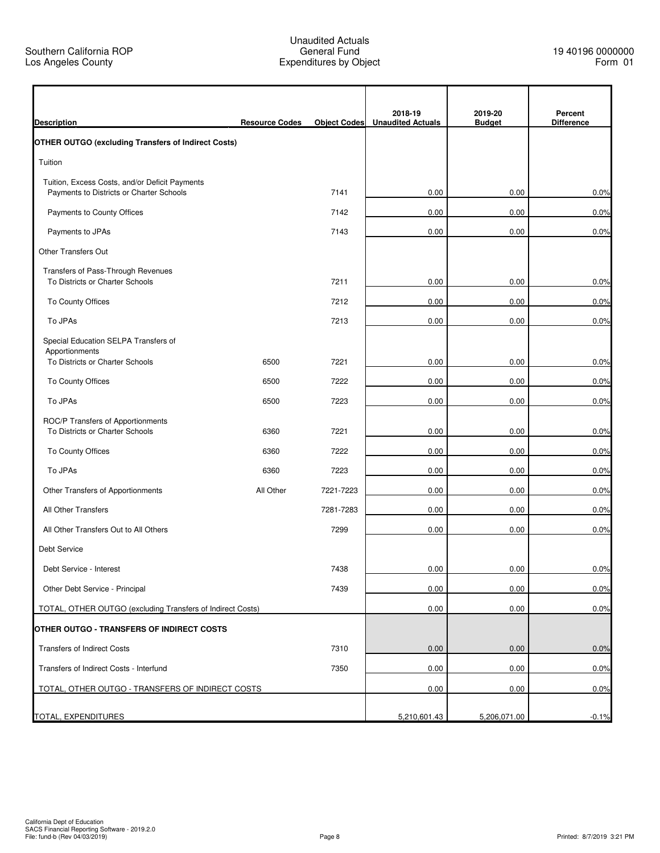| <b>Description</b>                                         | <b>Resource Codes</b> | <b>Object Codes</b> | 2018-19<br><b>Unaudited Actuals</b> | 2019-20<br><b>Budget</b> | Percent<br><b>Difference</b> |
|------------------------------------------------------------|-----------------------|---------------------|-------------------------------------|--------------------------|------------------------------|
| <b>OTHER OUTGO (excluding Transfers of Indirect Costs)</b> |                       |                     |                                     |                          |                              |
| Tuition                                                    |                       |                     |                                     |                          |                              |
| Tuition, Excess Costs, and/or Deficit Payments             |                       |                     |                                     |                          |                              |
| Payments to Districts or Charter Schools                   |                       | 7141                | 0.00                                | 0.00                     | 0.0%                         |
| Payments to County Offices                                 |                       | 7142                | 0.00                                | 0.00                     | 0.0%                         |
| Payments to JPAs                                           |                       | 7143                | 0.00                                | 0.00                     | 0.0%                         |
| <b>Other Transfers Out</b>                                 |                       |                     |                                     |                          |                              |
| Transfers of Pass-Through Revenues                         |                       |                     |                                     |                          |                              |
| To Districts or Charter Schools                            |                       | 7211                | 0.00                                | 0.00                     | 0.0%                         |
| To County Offices                                          |                       | 7212                | 0.00                                | 0.00                     | 0.0%                         |
| To JPAs                                                    |                       | 7213                | 0.00                                | 0.00                     | 0.0%                         |
| Special Education SELPA Transfers of                       |                       |                     |                                     |                          |                              |
| Apportionments<br>To Districts or Charter Schools          | 6500                  | 7221                | 0.00                                | 0.00                     | 0.0%                         |
| To County Offices                                          | 6500                  | 7222                | 0.00                                | 0.00                     | 0.0%                         |
| To JPAs                                                    | 6500                  | 7223                | 0.00                                | 0.00                     | 0.0%                         |
| ROC/P Transfers of Apportionments                          |                       |                     |                                     |                          |                              |
| To Districts or Charter Schools                            | 6360                  | 7221                | 0.00                                | 0.00                     | 0.0%                         |
| To County Offices                                          | 6360                  | 7222                | 0.00                                | 0.00                     | 0.0%                         |
| To JPAs                                                    | 6360                  | 7223                | 0.00                                | 0.00                     | 0.0%                         |
| Other Transfers of Apportionments                          | All Other             | 7221-7223           | 0.00                                | 0.00                     | 0.0%                         |
| All Other Transfers                                        |                       | 7281-7283           | 0.00                                | 0.00                     | 0.0%                         |
| All Other Transfers Out to All Others                      |                       | 7299                | 0.00                                | 0.00                     | 0.0%                         |
| Debt Service                                               |                       |                     |                                     |                          |                              |
| Debt Service - Interest                                    |                       | 7438                | 0.00                                | 0.00                     | 0.0%                         |
| Other Debt Service - Principal                             |                       | 7439                | 0.00                                | 0.00                     | 0.0%                         |
| TOTAL, OTHER OUTGO (excluding Transfers of Indirect Costs) |                       |                     | 0.00                                | 0.00                     | 0.0%                         |
| OTHER OUTGO - TRANSFERS OF INDIRECT COSTS                  |                       |                     |                                     |                          |                              |
| <b>Transfers of Indirect Costs</b>                         |                       | 7310                | 0.00                                | 0.00                     | 0.0%                         |
| Transfers of Indirect Costs - Interfund                    |                       | 7350                | 0.00                                | 0.00                     | 0.0%                         |
| TOTAL, OTHER OUTGO - TRANSFERS OF INDIRECT COSTS           |                       |                     | 0.00                                | 0.00                     | 0.0%                         |
|                                                            |                       |                     |                                     |                          |                              |
| TOTAL, EXPENDITURES                                        |                       |                     | 5,210,601.43                        | 5,206,071.00             | $-0.1%$                      |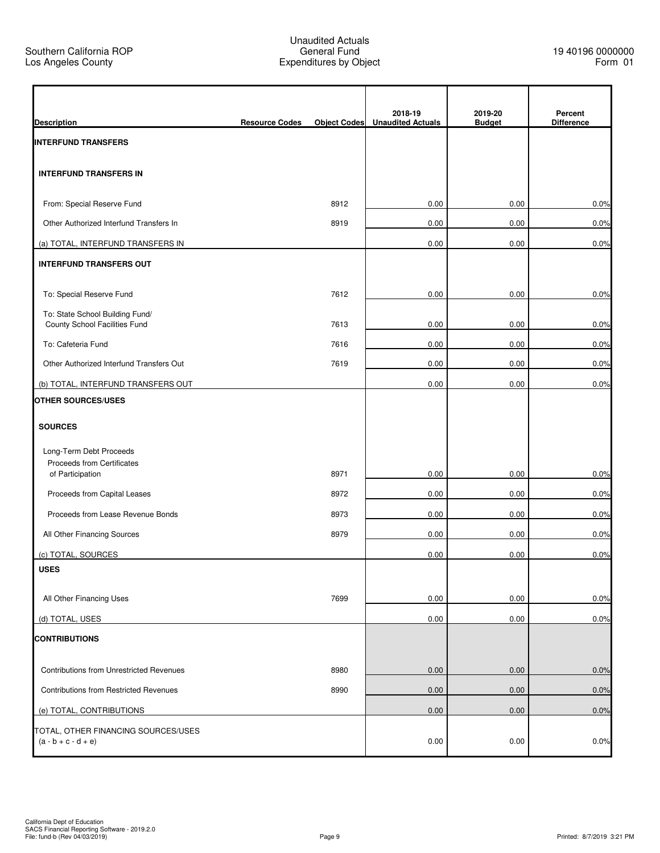$\mathbf{r}$ 

| <b>Description</b>                                               | <b>Resource Codes</b> | <b>Object Codes</b> | 2018-19<br><b>Unaudited Actuals</b> | 2019-20<br><b>Budget</b> | Percent<br><b>Difference</b> |
|------------------------------------------------------------------|-----------------------|---------------------|-------------------------------------|--------------------------|------------------------------|
| <b>INTERFUND TRANSFERS</b>                                       |                       |                     |                                     |                          |                              |
| <b>INTERFUND TRANSFERS IN</b>                                    |                       |                     |                                     |                          |                              |
| From: Special Reserve Fund                                       |                       | 8912                | 0.00                                | 0.00                     | 0.0%                         |
| Other Authorized Interfund Transfers In                          |                       | 8919                | 0.00                                | 0.00                     | 0.0%                         |
| (a) TOTAL, INTERFUND TRANSFERS IN                                |                       |                     | 0.00                                | 0.00                     | 0.0%                         |
| <b>INTERFUND TRANSFERS OUT</b>                                   |                       |                     |                                     |                          |                              |
| To: Special Reserve Fund                                         |                       | 7612                | 0.00                                | 0.00                     | 0.0%                         |
| To: State School Building Fund/<br>County School Facilities Fund |                       | 7613                | 0.00                                | 0.00                     | 0.0%                         |
| To: Cafeteria Fund                                               |                       | 7616                | 0.00                                | 0.00                     | 0.0%                         |
| Other Authorized Interfund Transfers Out                         |                       | 7619                | 0.00                                | 0.00                     | 0.0%                         |
| (b) TOTAL, INTERFUND TRANSFERS OUT                               |                       |                     | 0.00                                | 0.00                     | 0.0%                         |
| <b>OTHER SOURCES/USES</b>                                        |                       |                     |                                     |                          |                              |
| <b>SOURCES</b>                                                   |                       |                     |                                     |                          |                              |
| Long-Term Debt Proceeds                                          |                       |                     |                                     |                          |                              |
| Proceeds from Certificates                                       |                       |                     |                                     |                          |                              |
| of Participation                                                 |                       | 8971                | 0.00                                | 0.00                     | 0.0%                         |
| Proceeds from Capital Leases                                     |                       | 8972                | 0.00                                | 0.00                     | 0.0%                         |
| Proceeds from Lease Revenue Bonds                                |                       | 8973                | 0.00                                | 0.00                     | 0.0%                         |
| All Other Financing Sources                                      |                       | 8979                | 0.00                                | 0.00                     | 0.0%                         |
| (c) TOTAL, SOURCES                                               |                       |                     | 0.00                                | 0.00                     | 0.0%                         |
| <b>USES</b>                                                      |                       |                     |                                     |                          |                              |
| All Other Financing Uses                                         |                       | 7699                | 0.00                                | 0.00                     | 0.0%                         |
| (d) TOTAL, USES                                                  |                       |                     | 0.00                                | 0.00                     | 0.0%                         |
| <b>CONTRIBUTIONS</b>                                             |                       |                     |                                     |                          |                              |
| Contributions from Unrestricted Revenues                         |                       | 8980                | 0.00                                | 0.00                     | 0.0%                         |
| Contributions from Restricted Revenues                           |                       | 8990                | 0.00                                | 0.00                     | 0.0%                         |
| (e) TOTAL, CONTRIBUTIONS                                         |                       |                     | 0.00                                | 0.00                     | 0.0%                         |
| TOTAL, OTHER FINANCING SOURCES/USES<br>$(a - b + c - d + e)$     |                       |                     | 0.00                                | 0.00                     | 0.0%                         |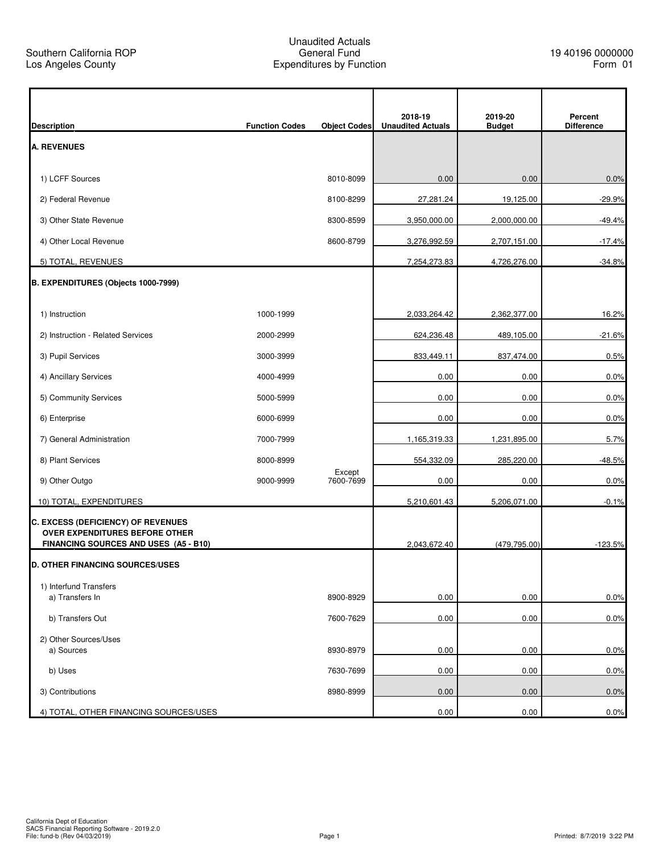| <b>Description</b>                                                             | <b>Function Codes</b> | <b>Object Codes</b> | 2018-19<br><b>Unaudited Actuals</b> | 2019-20<br><b>Budget</b> | Percent<br><b>Difference</b> |
|--------------------------------------------------------------------------------|-----------------------|---------------------|-------------------------------------|--------------------------|------------------------------|
| <b>A. REVENUES</b>                                                             |                       |                     |                                     |                          |                              |
|                                                                                |                       |                     |                                     |                          |                              |
| 1) LCFF Sources                                                                |                       | 8010-8099           | 0.00                                | 0.00                     | 0.0%                         |
| 2) Federal Revenue                                                             |                       | 8100-8299           | 27,281.24                           | 19,125.00                | $-29.9%$                     |
| 3) Other State Revenue                                                         |                       | 8300-8599           | 3,950,000.00                        | 2,000,000.00             | $-49.4%$                     |
| 4) Other Local Revenue                                                         |                       | 8600-8799           | 3,276,992.59                        | 2,707,151.00             | $-17.4%$                     |
| 5) TOTAL, REVENUES                                                             |                       |                     | 7,254,273.83                        | 4,726,276.00             | $-34.8%$                     |
| B. EXPENDITURES (Objects 1000-7999)                                            |                       |                     |                                     |                          |                              |
|                                                                                |                       |                     |                                     |                          |                              |
| 1) Instruction                                                                 | 1000-1999             |                     | 2,033,264.42                        | 2,362,377.00             | 16.2%                        |
| 2) Instruction - Related Services                                              | 2000-2999             |                     | 624,236.48                          | 489,105.00               | $-21.6%$                     |
| 3) Pupil Services                                                              | 3000-3999             |                     | 833,449.11                          | 837,474.00               | 0.5%                         |
| 4) Ancillary Services                                                          | 4000-4999             |                     | 0.00                                | 0.00                     | 0.0%                         |
| 5) Community Services                                                          | 5000-5999             |                     | 0.00                                | 0.00                     | 0.0%                         |
| 6) Enterprise                                                                  | 6000-6999             |                     | 0.00                                | 0.00                     | 0.0%                         |
| 7) General Administration                                                      | 7000-7999             |                     | 1,165,319.33                        | 1,231,895.00             | 5.7%                         |
| 8) Plant Services                                                              | 8000-8999             |                     | 554,332.09                          | 285,220.00               | $-48.5%$                     |
| 9) Other Outgo                                                                 | 9000-9999             | Except<br>7600-7699 | 0.00                                | 0.00                     | 0.0%                         |
| 10) TOTAL, EXPENDITURES                                                        |                       |                     | 5,210,601.43                        | 5,206,071.00             | $-0.1%$                      |
| <b>C. EXCESS (DEFICIENCY) OF REVENUES</b>                                      |                       |                     |                                     |                          |                              |
| <b>OVER EXPENDITURES BEFORE OTHER</b><br>FINANCING SOURCES AND USES (A5 - B10) |                       |                     | 2,043,672.40                        | (479, 795.00)            | $-123.5%$                    |
| <b>D. OTHER FINANCING SOURCES/USES</b>                                         |                       |                     |                                     |                          |                              |
| 1) Interfund Transfers                                                         |                       |                     |                                     |                          |                              |
| a) Transfers In                                                                |                       | 8900-8929           | 0.00                                | 0.00                     | 0.0%                         |
| b) Transfers Out                                                               |                       | 7600-7629           | 0.00                                | 0.00                     | 0.0%                         |
| 2) Other Sources/Uses                                                          |                       |                     |                                     |                          |                              |
| a) Sources                                                                     |                       | 8930-8979           | 0.00                                | 0.00                     | 0.0%                         |
| b) Uses                                                                        |                       | 7630-7699           | 0.00                                | 0.00                     | 0.0%                         |
| 3) Contributions                                                               |                       | 8980-8999           | 0.00                                | 0.00                     | 0.0%                         |
| 4) TOTAL, OTHER FINANCING SOURCES/USES                                         |                       |                     | 0.00                                | 0.00                     | 0.0%                         |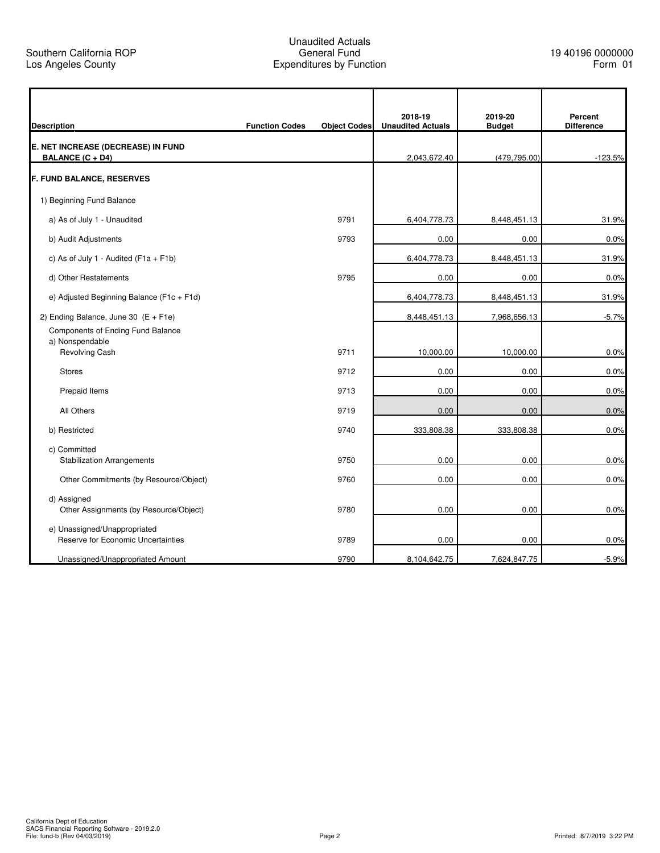r

## Unaudited Actuals General Fund Expenditures by Function

7

| <b>Description</b>                                                     | <b>Function Codes</b> | <b>Object Codes</b> | 2018-19<br><b>Unaudited Actuals</b> | 2019-20<br><b>Budget</b> | Percent<br><b>Difference</b> |
|------------------------------------------------------------------------|-----------------------|---------------------|-------------------------------------|--------------------------|------------------------------|
| E. NET INCREASE (DECREASE) IN FUND<br><b>BALANCE (C + D4)</b>          |                       |                     | 2,043,672.40                        | (479, 795.00)            | $-123.5%$                    |
| <b>F. FUND BALANCE, RESERVES</b>                                       |                       |                     |                                     |                          |                              |
| 1) Beginning Fund Balance                                              |                       |                     |                                     |                          |                              |
| a) As of July 1 - Unaudited                                            |                       | 9791                | 6,404,778.73                        | 8,448,451.13             | 31.9%                        |
| b) Audit Adjustments                                                   |                       | 9793                | 0.00                                | 0.00                     | 0.0%                         |
| c) As of July 1 - Audited ( $F1a + F1b$ )                              |                       |                     | 6,404,778.73                        | 8,448,451.13             | 31.9%                        |
| d) Other Restatements                                                  |                       | 9795                | 0.00                                | 0.00                     | 0.0%                         |
| e) Adjusted Beginning Balance (F1c + F1d)                              |                       |                     | 6,404,778.73                        | 8,448,451.13             | 31.9%                        |
| 2) Ending Balance, June 30 $(E + F1e)$                                 |                       |                     | 8,448,451.13                        | 7,968,656.13             | $-5.7%$                      |
| Components of Ending Fund Balance<br>a) Nonspendable<br>Revolving Cash |                       | 9711                | 10,000.00                           | 10,000.00                | 0.0%                         |
| <b>Stores</b>                                                          |                       | 9712                | 0.00                                | 0.00                     | 0.0%                         |
| Prepaid Items                                                          |                       | 9713                | 0.00                                | 0.00                     | 0.0%                         |
| All Others                                                             |                       | 9719                | 0.00                                | 0.00                     | 0.0%                         |
| b) Restricted                                                          |                       | 9740                | 333,808.38                          | 333,808.38               | 0.0%                         |
| c) Committed<br><b>Stabilization Arrangements</b>                      |                       | 9750                | 0.00                                | 0.00                     | 0.0%                         |
| Other Commitments (by Resource/Object)                                 |                       | 9760                | 0.00                                | 0.00                     | 0.0%                         |
| d) Assigned<br>Other Assignments (by Resource/Object)                  |                       | 9780                | 0.00                                | 0.00                     | 0.0%                         |
| e) Unassigned/Unappropriated<br>Reserve for Economic Uncertainties     |                       | 9789                | 0.00                                | 0.00                     | 0.0%                         |
| Unassigned/Unappropriated Amount                                       |                       | 9790                | 8,104,642.75                        | 7,624,847.75             | $-5.9%$                      |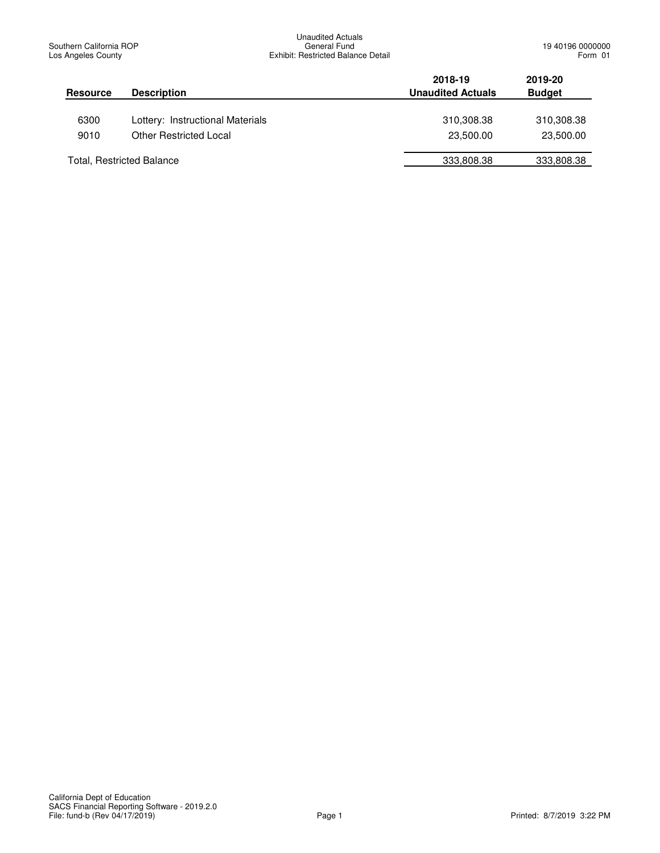| <b>Resource</b> | <b>Description</b>               | 2018-19<br><b>Unaudited Actuals</b> | 2019-20<br><b>Budget</b> |
|-----------------|----------------------------------|-------------------------------------|--------------------------|
| 6300            | Lottery: Instructional Materials | 310,308.38                          | 310,308.38               |
| 9010            | <b>Other Restricted Local</b>    | 23,500.00                           | 23,500.00                |
|                 | <b>Total, Restricted Balance</b> | 333,808.38                          | 333,808.38               |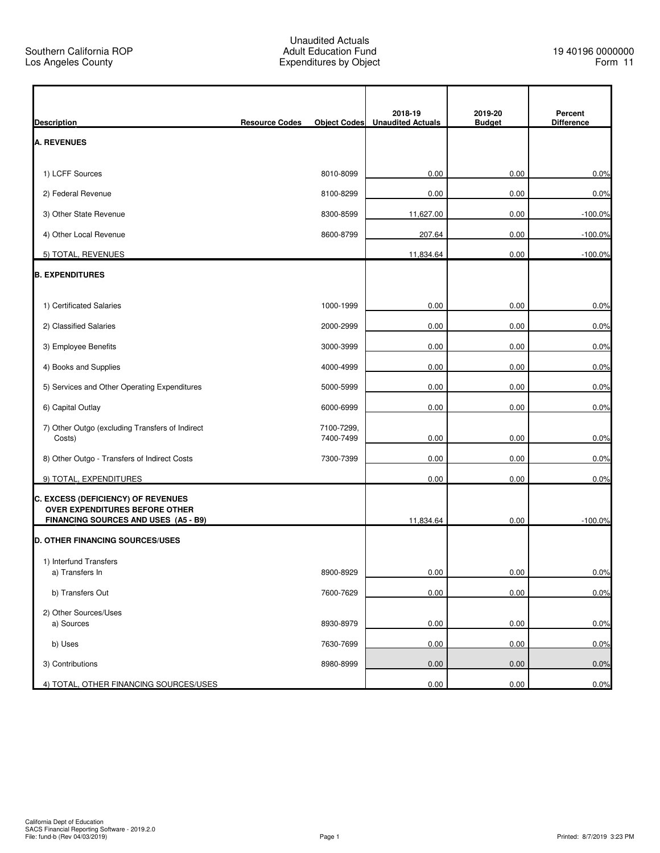|                                                                             |                       |                         | 2018-19                  | 2019-20       | Percent           |
|-----------------------------------------------------------------------------|-----------------------|-------------------------|--------------------------|---------------|-------------------|
| <b>Description</b>                                                          | <b>Resource Codes</b> | <b>Object Codes</b>     | <b>Unaudited Actuals</b> | <b>Budget</b> | <b>Difference</b> |
| <b>A. REVENUES</b>                                                          |                       |                         |                          |               |                   |
| 1) LCFF Sources                                                             |                       | 8010-8099               | 0.00                     | 0.00          | 0.0%              |
| 2) Federal Revenue                                                          |                       | 8100-8299               | 0.00                     | 0.00          | 0.0%              |
| 3) Other State Revenue                                                      |                       | 8300-8599               | 11,627.00                | 0.00          | $-100.0\%$        |
| 4) Other Local Revenue                                                      |                       | 8600-8799               | 207.64                   | 0.00          | $-100.0%$         |
| 5) TOTAL, REVENUES                                                          |                       |                         | 11,834.64                | 0.00          | $-100.0%$         |
| <b>B. EXPENDITURES</b>                                                      |                       |                         |                          |               |                   |
| 1) Certificated Salaries                                                    |                       | 1000-1999               | 0.00                     | 0.00          | 0.0%              |
| 2) Classified Salaries                                                      |                       | 2000-2999               | 0.00                     | 0.00          | 0.0%              |
| 3) Employee Benefits                                                        |                       | 3000-3999               | 0.00                     | 0.00          | 0.0%              |
| 4) Books and Supplies                                                       |                       | 4000-4999               | 0.00                     | 0.00          | 0.0%              |
| 5) Services and Other Operating Expenditures                                |                       | 5000-5999               | 0.00                     | 0.00          | 0.0%              |
| 6) Capital Outlay                                                           |                       | 6000-6999               | 0.00                     | 0.00          | 0.0%              |
| 7) Other Outgo (excluding Transfers of Indirect<br>Costs)                   |                       | 7100-7299,<br>7400-7499 | 0.00                     | 0.00          | 0.0%              |
| 8) Other Outgo - Transfers of Indirect Costs                                |                       | 7300-7399               | 0.00                     | 0.00          | 0.0%              |
| 9) TOTAL, EXPENDITURES                                                      |                       |                         | 0.00                     | 0.00          | 0.0%              |
| C. EXCESS (DEFICIENCY) OF REVENUES<br><b>OVER EXPENDITURES BEFORE OTHER</b> |                       |                         |                          |               |                   |
| FINANCING SOURCES AND USES (A5 - B9)                                        |                       |                         | 11,834.64                | 0.00          | $-100.0%$         |
| <b>D. OTHER FINANCING SOURCES/USES</b>                                      |                       |                         |                          |               |                   |
| 1) Interfund Transfers                                                      |                       |                         |                          |               |                   |
| a) Transfers In                                                             |                       | 8900-8929               | 0.00                     | 0.00          | 0.0%              |
| b) Transfers Out                                                            |                       | 7600-7629               | 0.00                     | 0.00          | 0.0%              |
| 2) Other Sources/Uses<br>a) Sources                                         |                       | 8930-8979               | 0.00                     | 0.00          | 0.0%              |
| b) Uses                                                                     |                       | 7630-7699               | 0.00                     | 0.00          | 0.0%              |
| 3) Contributions                                                            |                       | 8980-8999               | 0.00                     | 0.00          | 0.0%              |
| 4) TOTAL, OTHER FINANCING SOURCES/USES                                      |                       |                         | 0.00                     | 0.00          | 0.0%              |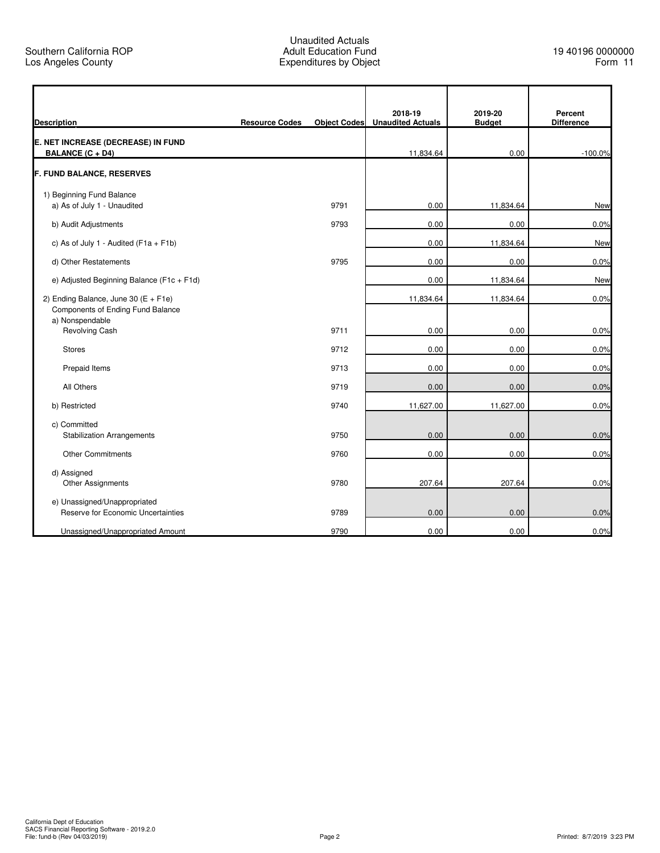| <b>Description</b>                                                            | <b>Resource Codes</b> | <b>Object Codes</b> | 2018-19<br><b>Unaudited Actuals</b> | 2019-20<br><b>Budget</b> | Percent<br><b>Difference</b> |
|-------------------------------------------------------------------------------|-----------------------|---------------------|-------------------------------------|--------------------------|------------------------------|
| E. NET INCREASE (DECREASE) IN FUND<br><b>BALANCE (C + D4)</b>                 |                       |                     | 11,834.64                           | 0.00                     | $-100.0%$                    |
| F. FUND BALANCE, RESERVES                                                     |                       |                     |                                     |                          |                              |
| 1) Beginning Fund Balance                                                     |                       |                     |                                     |                          |                              |
| a) As of July 1 - Unaudited                                                   |                       | 9791                | 0.00                                | 11,834.64                | <b>New</b>                   |
| b) Audit Adjustments                                                          |                       | 9793                | 0.00                                | 0.00                     | 0.0%                         |
| c) As of July 1 - Audited ( $F1a + F1b$ )                                     |                       |                     | 0.00                                | 11,834.64                | <b>New</b>                   |
| d) Other Restatements                                                         |                       | 9795                | 0.00                                | 0.00                     | 0.0%                         |
| e) Adjusted Beginning Balance (F1c + F1d)                                     |                       |                     | 0.00                                | 11,834.64                | New                          |
| 2) Ending Balance, June 30 ( $E + F1e$ )<br>Components of Ending Fund Balance |                       |                     | 11,834.64                           | 11,834.64                | 0.0%                         |
| a) Nonspendable<br><b>Revolving Cash</b>                                      |                       | 9711                | 0.00                                | 0.00                     | 0.0%                         |
| <b>Stores</b>                                                                 |                       | 9712                | 0.00                                | 0.00                     | 0.0%                         |
| Prepaid Items                                                                 |                       | 9713                | 0.00                                | 0.00                     | 0.0%                         |
| All Others                                                                    |                       | 9719                | 0.00                                | 0.00                     | 0.0%                         |
| b) Restricted                                                                 |                       | 9740                | 11,627.00                           | 11,627.00                | 0.0%                         |
| c) Committed<br><b>Stabilization Arrangements</b>                             |                       | 9750                | 0.00                                | 0.00                     | 0.0%                         |
| <b>Other Commitments</b>                                                      |                       | 9760                | 0.00                                | 0.00                     | 0.0%                         |
| d) Assigned<br>Other Assignments                                              |                       | 9780                | 207.64                              | 207.64                   | 0.0%                         |
| e) Unassigned/Unappropriated<br>Reserve for Economic Uncertainties            |                       | 9789                | 0.00                                | 0.00                     | 0.0%                         |
| Unassigned/Unappropriated Amount                                              |                       | 9790                | 0.00                                | 0.00                     | 0.0%                         |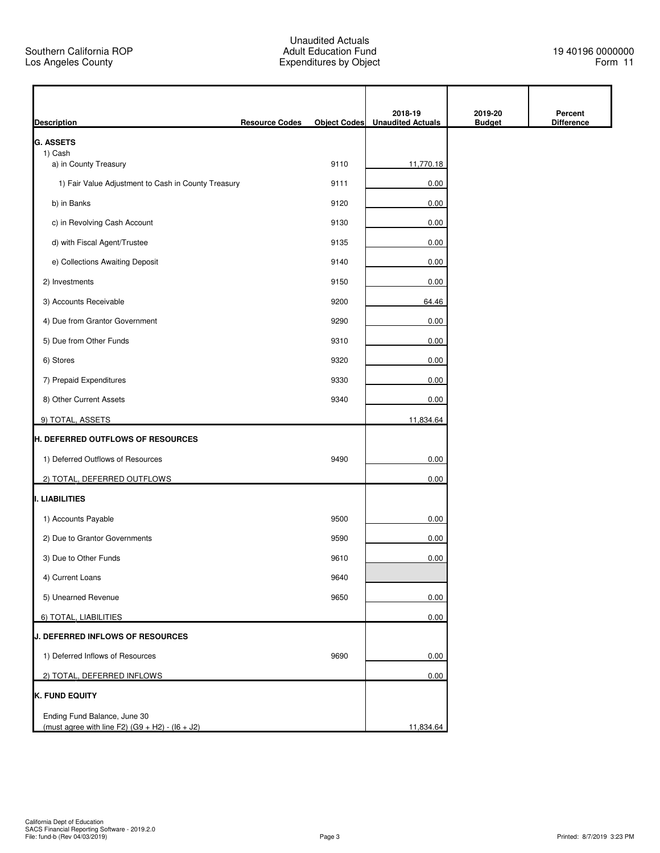| <b>Description</b>                                                                | <b>Resource Codes</b> | <b>Object Codes</b> | 2018-19<br><b>Unaudited Actuals</b> | 2019-20<br><b>Budget</b> | Percent<br><b>Difference</b> |
|-----------------------------------------------------------------------------------|-----------------------|---------------------|-------------------------------------|--------------------------|------------------------------|
| <b>G. ASSETS</b>                                                                  |                       |                     |                                     |                          |                              |
| 1) Cash<br>a) in County Treasury                                                  |                       | 9110                | 11,770.18                           |                          |                              |
| 1) Fair Value Adjustment to Cash in County Treasury                               |                       | 9111                | 0.00                                |                          |                              |
| b) in Banks                                                                       |                       | 9120                | 0.00                                |                          |                              |
| c) in Revolving Cash Account                                                      |                       | 9130                | 0.00                                |                          |                              |
| d) with Fiscal Agent/Trustee                                                      |                       | 9135                | 0.00                                |                          |                              |
| e) Collections Awaiting Deposit                                                   |                       | 9140                | 0.00                                |                          |                              |
| 2) Investments                                                                    |                       | 9150                | 0.00                                |                          |                              |
| 3) Accounts Receivable                                                            |                       | 9200                | 64.46                               |                          |                              |
| 4) Due from Grantor Government                                                    |                       | 9290                | 0.00                                |                          |                              |
| 5) Due from Other Funds                                                           |                       | 9310                | 0.00                                |                          |                              |
| 6) Stores                                                                         |                       | 9320                | 0.00                                |                          |                              |
| 7) Prepaid Expenditures                                                           |                       | 9330                | 0.00                                |                          |                              |
| 8) Other Current Assets                                                           |                       | 9340                | 0.00                                |                          |                              |
|                                                                                   |                       |                     | 11,834.64                           |                          |                              |
| 9) TOTAL, ASSETS<br><b>H. DEFERRED OUTFLOWS OF RESOURCES</b>                      |                       |                     |                                     |                          |                              |
| 1) Deferred Outflows of Resources                                                 |                       | 9490                | 0.00                                |                          |                              |
| 2) TOTAL, DEFERRED OUTFLOWS                                                       |                       |                     | 0.00                                |                          |                              |
| I. LIABILITIES                                                                    |                       |                     |                                     |                          |                              |
|                                                                                   |                       | 9500                |                                     |                          |                              |
| 1) Accounts Payable                                                               |                       |                     | 0.00                                |                          |                              |
| 2) Due to Grantor Governments                                                     |                       | 9590                | 0.00                                |                          |                              |
| 3) Due to Other Funds                                                             |                       | 9610                | 0.00                                |                          |                              |
| 4) Current Loans                                                                  |                       | 9640                |                                     |                          |                              |
| 5) Unearned Revenue                                                               |                       | 9650                | 0.00                                |                          |                              |
| 6) TOTAL, LIABILITIES                                                             |                       |                     | 0.00                                |                          |                              |
| <b>J. DEFERRED INFLOWS OF RESOURCES</b>                                           |                       |                     |                                     |                          |                              |
| 1) Deferred Inflows of Resources                                                  |                       | 9690                | 0.00                                |                          |                              |
| 2) TOTAL, DEFERRED INFLOWS                                                        |                       |                     | 0.00                                |                          |                              |
| <b>K. FUND EQUITY</b>                                                             |                       |                     |                                     |                          |                              |
| Ending Fund Balance, June 30<br>(must agree with line F2) $(G9 + H2) - (16 + J2)$ |                       |                     | 11,834.64                           |                          |                              |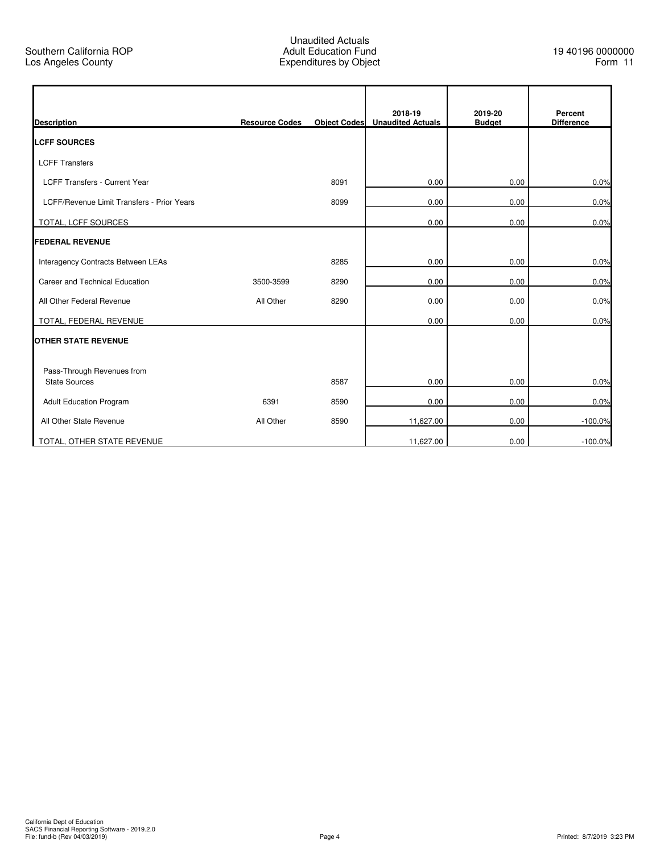r

| <b>Description</b>                         | <b>Resource Codes</b> | <b>Object Codes</b> | 2018-19<br><b>Unaudited Actuals</b> | 2019-20<br><b>Budget</b> | Percent<br><b>Difference</b> |
|--------------------------------------------|-----------------------|---------------------|-------------------------------------|--------------------------|------------------------------|
| <b>ILCFF SOURCES</b>                       |                       |                     |                                     |                          |                              |
| <b>LCFF Transfers</b>                      |                       |                     |                                     |                          |                              |
| <b>LCFF Transfers - Current Year</b>       |                       | 8091                | 0.00                                | 0.00                     | 0.0%                         |
| LCFF/Revenue Limit Transfers - Prior Years |                       | 8099                | 0.00                                | 0.00                     | 0.0%                         |
| TOTAL, LCFF SOURCES                        |                       |                     | 0.00                                | 0.00                     | 0.0%                         |
| <b>FEDERAL REVENUE</b>                     |                       |                     |                                     |                          |                              |
| Interagency Contracts Between LEAs         |                       | 8285                | 0.00                                | 0.00                     | 0.0%                         |
| Career and Technical Education             | 3500-3599             | 8290                | 0.00                                | 0.00                     | 0.0%                         |
| All Other Federal Revenue                  | All Other             | 8290                | 0.00                                | 0.00                     | 0.0%                         |
| TOTAL, FEDERAL REVENUE                     |                       |                     | 0.00                                | 0.00                     | 0.0%                         |
| <b>OTHER STATE REVENUE</b>                 |                       |                     |                                     |                          |                              |
| Pass-Through Revenues from                 |                       |                     |                                     |                          |                              |
| <b>State Sources</b>                       |                       | 8587                | 0.00                                | 0.00                     | 0.0%                         |
| <b>Adult Education Program</b>             | 6391                  | 8590                | 0.00                                | 0.00                     | 0.0%                         |
| All Other State Revenue                    | All Other             | 8590                | 11,627.00                           | 0.00                     | $-100.0%$                    |
| TOTAL, OTHER STATE REVENUE                 |                       |                     | 11,627.00                           | 0.00                     | $-100.0%$                    |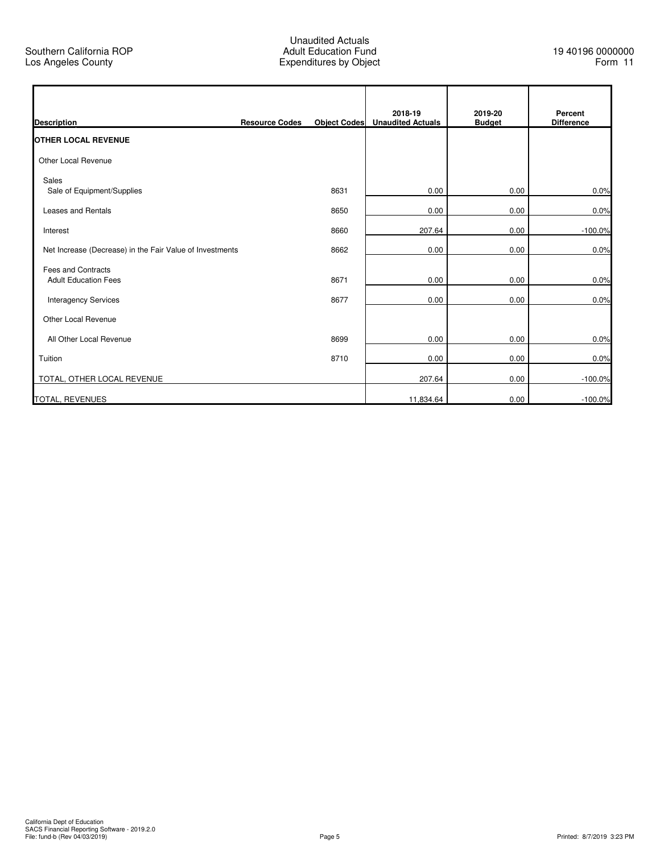$\mathbf{r}$ 

|                                                          |                       |      | 2018-19                        | 2019-20       | Percent           |
|----------------------------------------------------------|-----------------------|------|--------------------------------|---------------|-------------------|
| <b>Description</b><br><b>OTHER LOCAL REVENUE</b>         | <b>Resource Codes</b> |      | Object Codes Unaudited Actuals | <b>Budget</b> | <b>Difference</b> |
| Other Local Revenue                                      |                       |      |                                |               |                   |
| Sales<br>Sale of Equipment/Supplies                      |                       | 8631 | 0.00                           | 0.00          | 0.0%              |
| <b>Leases and Rentals</b>                                |                       | 8650 | 0.00                           | 0.00          | 0.0%              |
| Interest                                                 |                       | 8660 | 207.64                         | 0.00          | $-100.0%$         |
| Net Increase (Decrease) in the Fair Value of Investments |                       | 8662 | 0.00                           | 0.00          | 0.0%              |
| <b>Fees and Contracts</b><br><b>Adult Education Fees</b> |                       | 8671 | 0.00                           | 0.00          | 0.0%              |
| <b>Interagency Services</b>                              |                       | 8677 | 0.00                           | 0.00          | 0.0%              |
| Other Local Revenue                                      |                       |      |                                |               |                   |
| All Other Local Revenue                                  |                       | 8699 | 0.00                           | 0.00          | 0.0%              |
| Tuition                                                  |                       | 8710 | 0.00                           | 0.00          | 0.0%              |
| TOTAL, OTHER LOCAL REVENUE                               |                       |      | 207.64                         | 0.00          | $-100.0%$         |
| <b>TOTAL, REVENUES</b>                                   |                       |      | 11,834.64                      | 0.00          | $-100.0%$         |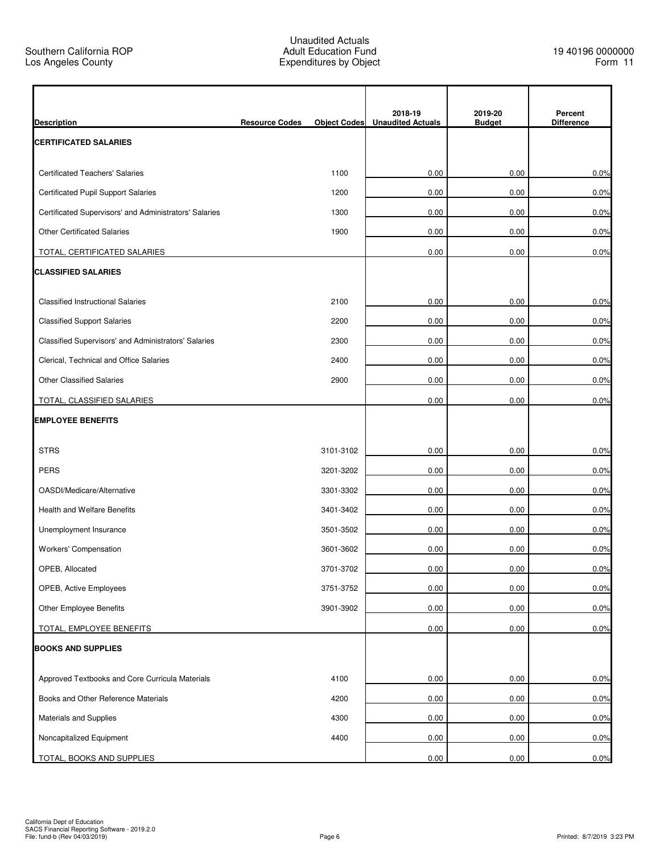r

|                                                        |                       |                     | 2018-19                  | 2019-20       | Percent           |
|--------------------------------------------------------|-----------------------|---------------------|--------------------------|---------------|-------------------|
| <b>Description</b>                                     | <b>Resource Codes</b> | <b>Object Codes</b> | <b>Unaudited Actuals</b> | <b>Budget</b> | <b>Difference</b> |
| <b>CERTIFICATED SALARIES</b>                           |                       |                     |                          |               |                   |
| <b>Certificated Teachers' Salaries</b>                 |                       | 1100                | 0.00                     | 0.00          | 0.0%              |
| <b>Certificated Pupil Support Salaries</b>             |                       | 1200                | 0.00                     | 0.00          | 0.0%              |
| Certificated Supervisors' and Administrators' Salaries |                       | 1300                | 0.00                     | 0.00          | 0.0%              |
| <b>Other Certificated Salaries</b>                     |                       | 1900                | 0.00                     | 0.00          | 0.0%              |
| TOTAL, CERTIFICATED SALARIES                           |                       |                     | 0.00                     | 0.00          | 0.0%              |
| <b>CLASSIFIED SALARIES</b>                             |                       |                     |                          |               |                   |
| <b>Classified Instructional Salaries</b>               |                       | 2100                | 0.00                     | 0.00          | 0.0%              |
| <b>Classified Support Salaries</b>                     |                       | 2200                | 0.00                     | 0.00          | 0.0%              |
| Classified Supervisors' and Administrators' Salaries   |                       | 2300                | 0.00                     | 0.00          | 0.0%              |
| Clerical, Technical and Office Salaries                |                       | 2400                | 0.00                     | 0.00          | 0.0%              |
| <b>Other Classified Salaries</b>                       |                       | 2900                | 0.00                     | 0.00          | 0.0%              |
| TOTAL, CLASSIFIED SALARIES                             |                       |                     | 0.00                     | 0.00          | 0.0%              |
| <b>EMPLOYEE BENEFITS</b>                               |                       |                     |                          |               |                   |
| <b>STRS</b>                                            |                       | 3101-3102           | 0.00                     | 0.00          | 0.0%              |
| <b>PERS</b>                                            |                       | 3201-3202           | 0.00                     | 0.00          | 0.0%              |
| OASDI/Medicare/Alternative                             |                       | 3301-3302           | 0.00                     | 0.00          | 0.0%              |
| <b>Health and Welfare Benefits</b>                     |                       | 3401-3402           | 0.00                     | 0.00          | 0.0%              |
| Unemployment Insurance                                 |                       | 3501-3502           | 0.00                     | 0.00          | 0.0%              |
| Workers' Compensation                                  |                       | 3601-3602           | 0.00                     | 0.00          | 0.0%              |
| OPEB, Allocated                                        |                       | 3701-3702           | 0.00                     | 0.00          | 0.0%              |
| OPEB, Active Employees                                 |                       | 3751-3752           | 0.00                     | 0.00          | 0.0%              |
| Other Employee Benefits                                |                       | 3901-3902           | 0.00                     | 0.00          | 0.0%              |
| TOTAL, EMPLOYEE BENEFITS                               |                       |                     | 0.00                     | 0.00          | 0.0%              |
| <b>BOOKS AND SUPPLIES</b>                              |                       |                     |                          |               |                   |
| Approved Textbooks and Core Curricula Materials        |                       | 4100                | 0.00                     | 0.00          | 0.0%              |
| Books and Other Reference Materials                    |                       | 4200                | 0.00                     | 0.00          | 0.0%              |
| Materials and Supplies                                 |                       | 4300                | 0.00                     | 0.00          | 0.0%              |
| Noncapitalized Equipment                               |                       | 4400                | 0.00                     | 0.00          | 0.0%              |
| TOTAL, BOOKS AND SUPPLIES                              |                       |                     | 0.00                     | 0.00          | 0.0%              |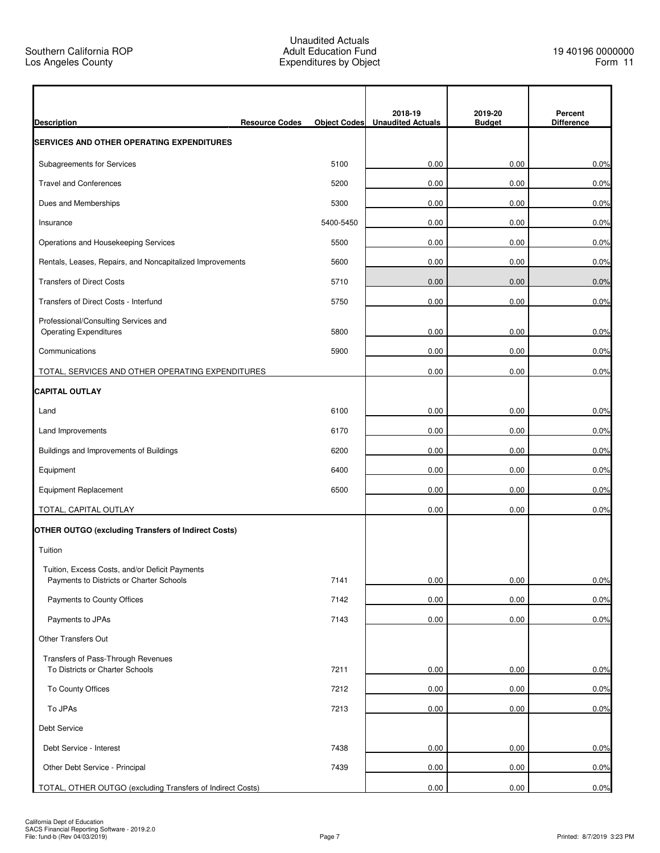| <b>Description</b><br><b>Resource Codes</b>                           | <b>Object Codes</b> | 2018-19<br><b>Unaudited Actuals</b> | 2019-20<br><b>Budget</b> | Percent<br><b>Difference</b> |
|-----------------------------------------------------------------------|---------------------|-------------------------------------|--------------------------|------------------------------|
| <b>SERVICES AND OTHER OPERATING EXPENDITURES</b>                      |                     |                                     |                          |                              |
| Subagreements for Services                                            | 5100                | 0.00                                | 0.00                     | 0.0%                         |
| <b>Travel and Conferences</b>                                         | 5200                | 0.00                                | 0.00                     | 0.0%                         |
| Dues and Memberships                                                  | 5300                | 0.00                                | 0.00                     | 0.0%                         |
| Insurance                                                             | 5400-5450           | 0.00                                | 0.00                     | 0.0%                         |
| Operations and Housekeeping Services                                  | 5500                | 0.00                                | 0.00                     | 0.0%                         |
| Rentals, Leases, Repairs, and Noncapitalized Improvements             | 5600                | 0.00                                | 0.00                     | 0.0%                         |
| <b>Transfers of Direct Costs</b>                                      | 5710                | 0.00                                | 0.00                     | 0.0%                         |
| Transfers of Direct Costs - Interfund                                 | 5750                | 0.00                                | 0.00                     | 0.0%                         |
| Professional/Consulting Services and                                  |                     |                                     |                          |                              |
| <b>Operating Expenditures</b>                                         | 5800                | 0.00                                | 0.00                     | 0.0%                         |
| Communications                                                        | 5900                | 0.00                                | 0.00                     | 0.0%                         |
| TOTAL, SERVICES AND OTHER OPERATING EXPENDITURES                      |                     | 0.00                                | 0.00                     | 0.0%                         |
| <b>CAPITAL OUTLAY</b>                                                 |                     |                                     |                          |                              |
| Land                                                                  | 6100                | 0.00                                | 0.00                     | 0.0%                         |
| Land Improvements                                                     | 6170                | 0.00                                | 0.00                     | 0.0%                         |
| Buildings and Improvements of Buildings                               | 6200                | 0.00                                | 0.00                     | 0.0%                         |
| Equipment                                                             | 6400                | 0.00                                | 0.00                     | 0.0%                         |
| <b>Equipment Replacement</b>                                          | 6500                | 0.00                                | 0.00                     | 0.0%                         |
| TOTAL, CAPITAL OUTLAY                                                 |                     | 0.00                                | 0.00                     | 0.0%                         |
| <b>OTHER OUTGO (excluding Transfers of Indirect Costs)</b>            |                     |                                     |                          |                              |
| Tuition                                                               |                     |                                     |                          |                              |
| Tuition, Excess Costs, and/or Deficit Payments                        |                     |                                     |                          |                              |
| Payments to Districts or Charter Schools                              | 7141                | 0.00                                | 0.00                     | 0.0%                         |
| Payments to County Offices                                            | 7142                | 0.00                                | 0.00                     | 0.0%                         |
| Payments to JPAs                                                      | 7143                | 0.00                                | 0.00                     | 0.0%                         |
| Other Transfers Out                                                   |                     |                                     |                          |                              |
| Transfers of Pass-Through Revenues<br>To Districts or Charter Schools | 7211                | 0.00                                | 0.00                     | 0.0%                         |
| To County Offices                                                     | 7212                | 0.00                                | 0.00                     | 0.0%                         |
| To JPAs                                                               | 7213                | 0.00                                | 0.00                     | 0.0%                         |
| <b>Debt Service</b>                                                   |                     |                                     |                          |                              |
| Debt Service - Interest                                               | 7438                | 0.00                                | 0.00                     | 0.0%                         |
| Other Debt Service - Principal                                        | 7439                | 0.00                                | 0.00                     | 0.0%                         |
| TOTAL, OTHER OUTGO (excluding Transfers of Indirect Costs)            |                     | 0.00                                | 0.00                     | 0.0%                         |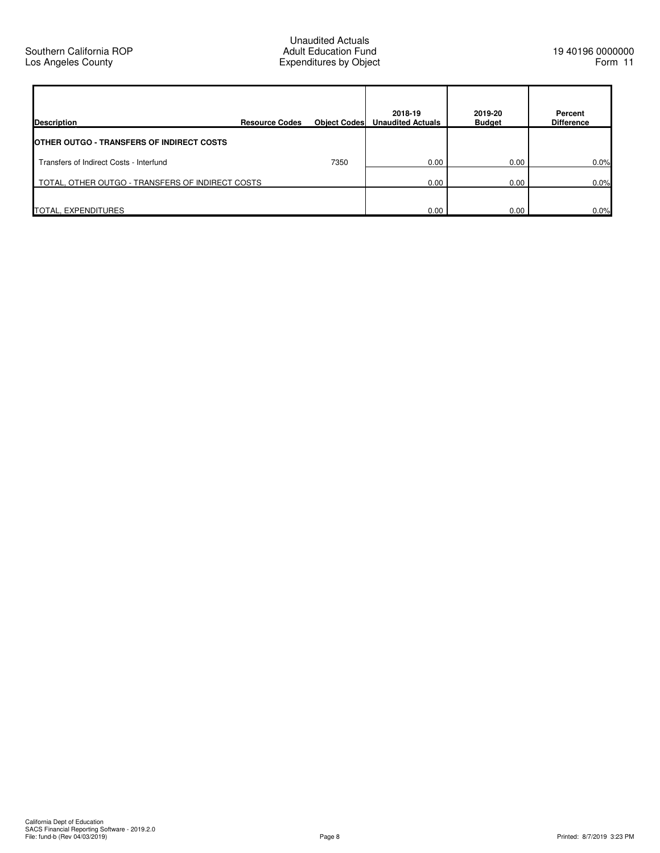| <b>Description</b>                               | <b>Resource Codes</b> | <b>Object Codes</b> | 2018-19<br><b>Unaudited Actuals</b> | 2019-20<br><b>Budget</b> | Percent<br><b>Difference</b> |
|--------------------------------------------------|-----------------------|---------------------|-------------------------------------|--------------------------|------------------------------|
| <b>OTHER OUTGO - TRANSFERS OF INDIRECT COSTS</b> |                       |                     |                                     |                          |                              |
| Transfers of Indirect Costs - Interfund          |                       | 7350                | 0.00                                | 0.00                     | 0.0%                         |
| TOTAL, OTHER OUTGO - TRANSFERS OF INDIRECT COSTS |                       | 0.00                | 0.00                                | 0.0%                     |                              |
| TOTAL, EXPENDITURES                              |                       |                     | 0.00                                | 0.00                     | 0.0%                         |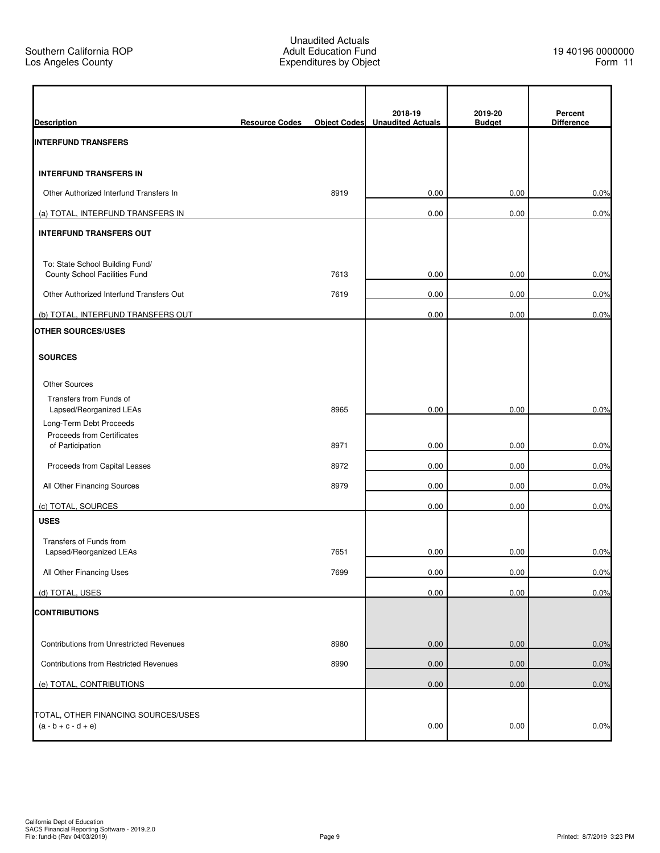| <b>Description</b>                                                        | <b>Resource Codes</b> | <b>Object Codes</b> | 2018-19<br><b>Unaudited Actuals</b> | 2019-20<br><b>Budget</b> | Percent<br><b>Difference</b> |
|---------------------------------------------------------------------------|-----------------------|---------------------|-------------------------------------|--------------------------|------------------------------|
| <b>INTERFUND TRANSFERS</b>                                                |                       |                     |                                     |                          |                              |
| <b>INTERFUND TRANSFERS IN</b>                                             |                       |                     |                                     |                          |                              |
| Other Authorized Interfund Transfers In                                   |                       | 8919                | 0.00                                | 0.00                     | 0.0%                         |
| (a) TOTAL, INTERFUND TRANSFERS IN                                         |                       |                     | 0.00                                | 0.00                     | 0.0%                         |
| <b>INTERFUND TRANSFERS OUT</b>                                            |                       |                     |                                     |                          |                              |
| To: State School Building Fund/<br>County School Facilities Fund          |                       | 7613                | 0.00                                | 0.00                     | 0.0%                         |
| Other Authorized Interfund Transfers Out                                  |                       | 7619                | 0.00                                | 0.00                     | 0.0%                         |
| (b) TOTAL, INTERFUND TRANSFERS OUT                                        |                       |                     | 0.00                                | 0.00                     | 0.0%                         |
| OTHER SOURCES/USES                                                        |                       |                     |                                     |                          |                              |
| <b>SOURCES</b>                                                            |                       |                     |                                     |                          |                              |
| <b>Other Sources</b>                                                      |                       |                     |                                     |                          |                              |
| Transfers from Funds of<br>Lapsed/Reorganized LEAs                        |                       | 8965                | 0.00                                | 0.00                     | 0.0%                         |
| Long-Term Debt Proceeds<br>Proceeds from Certificates<br>of Participation |                       | 8971                | 0.00                                | 0.00                     | 0.0%                         |
| Proceeds from Capital Leases                                              |                       | 8972                | 0.00                                | 0.00                     | 0.0%                         |
| All Other Financing Sources                                               |                       | 8979                | 0.00                                | 0.00                     | 0.0%                         |
| (c) TOTAL, SOURCES                                                        |                       |                     | 0.00                                | 0.00                     | 0.0%                         |
| <b>USES</b>                                                               |                       |                     |                                     |                          |                              |
| Transfers of Funds from                                                   |                       |                     |                                     |                          |                              |
| Lapsed/Reorganized LEAs                                                   |                       | 7651                | 0.00                                | 0.00                     | 0.0%                         |
| All Other Financing Uses                                                  |                       | 7699                | 0.00                                | 0.00                     | 0.0%                         |
| (d) TOTAL, USES                                                           |                       |                     | 0.00                                | 0.00                     | 0.0%                         |
| <b>CONTRIBUTIONS</b>                                                      |                       |                     |                                     |                          |                              |
| <b>Contributions from Unrestricted Revenues</b>                           |                       | 8980                | 0.00                                | 0.00                     | 0.0%                         |
| Contributions from Restricted Revenues                                    |                       | 8990                | 0.00                                | 0.00                     | 0.0%                         |
| (e) TOTAL, CONTRIBUTIONS                                                  |                       |                     | 0.00                                | 0.00                     | 0.0%                         |
|                                                                           |                       |                     |                                     |                          |                              |
| TOTAL, OTHER FINANCING SOURCES/USES<br>$(a - b + c - d + e)$              |                       |                     | 0.00                                | 0.00                     | 0.0%                         |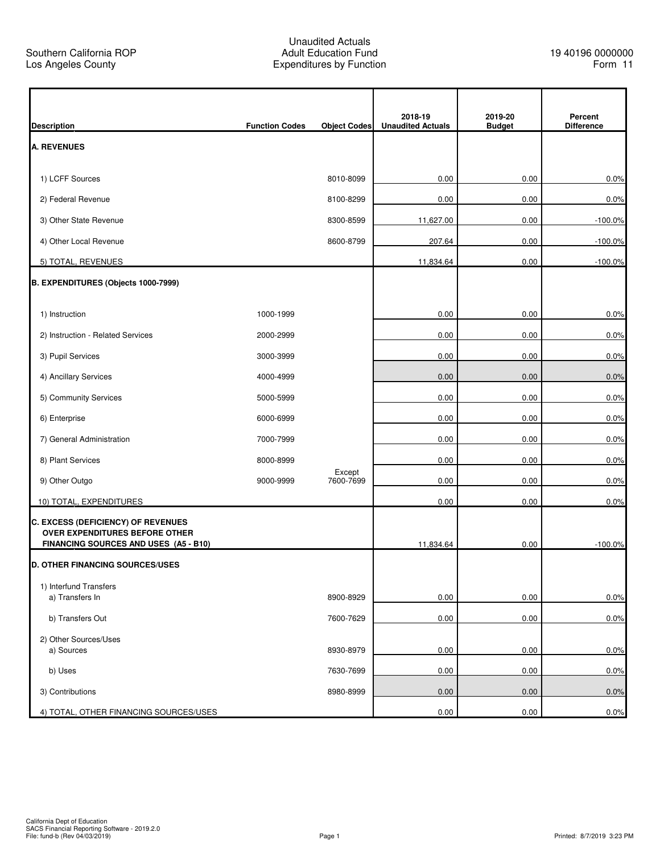| <b>Description</b>                                                      | <b>Function Codes</b> | <b>Object Codes</b> | 2018-19<br><b>Unaudited Actuals</b> | 2019-20<br><b>Budget</b> | Percent<br><b>Difference</b> |
|-------------------------------------------------------------------------|-----------------------|---------------------|-------------------------------------|--------------------------|------------------------------|
| A. REVENUES                                                             |                       |                     |                                     |                          |                              |
| 1) LCFF Sources                                                         |                       | 8010-8099           | 0.00                                | 0.00                     | 0.0%                         |
| 2) Federal Revenue                                                      |                       | 8100-8299           | 0.00                                | 0.00                     | 0.0%                         |
| 3) Other State Revenue                                                  |                       | 8300-8599           | 11,627.00                           | 0.00                     | $-100.0%$                    |
| 4) Other Local Revenue                                                  |                       | 8600-8799           | 207.64                              | 0.00                     | $-100.0%$                    |
| 5) TOTAL, REVENUES                                                      |                       |                     | 11,834.64                           | 0.00                     | $-100.0%$                    |
| B. EXPENDITURES (Objects 1000-7999)                                     |                       |                     |                                     |                          |                              |
|                                                                         |                       |                     |                                     |                          |                              |
| 1) Instruction                                                          | 1000-1999             |                     | 0.00                                | 0.00                     | 0.0%                         |
| 2) Instruction - Related Services                                       | 2000-2999             |                     | 0.00                                | 0.00                     | 0.0%                         |
| 3) Pupil Services                                                       | 3000-3999             |                     | 0.00                                | 0.00                     | 0.0%                         |
| 4) Ancillary Services                                                   | 4000-4999             |                     | 0.00                                | 0.00                     | 0.0%                         |
| 5) Community Services                                                   | 5000-5999             |                     | 0.00                                | 0.00                     | 0.0%                         |
| 6) Enterprise                                                           | 6000-6999             |                     | 0.00                                | 0.00                     | 0.0%                         |
| 7) General Administration                                               | 7000-7999             |                     | 0.00                                | 0.00                     | 0.0%                         |
| 8) Plant Services                                                       | 8000-8999             |                     | 0.00                                | 0.00                     | 0.0%                         |
| 9) Other Outgo                                                          | 9000-9999             | Except<br>7600-7699 | 0.00                                | 0.00                     | 0.0%                         |
| 10) TOTAL, EXPENDITURES                                                 |                       |                     | 0.00                                | 0.00                     | 0.0%                         |
| <b>C. EXCESS (DEFICIENCY) OF REVENUES</b>                               |                       |                     |                                     |                          |                              |
| OVER EXPENDITURES BEFORE OTHER<br>FINANCING SOURCES AND USES (A5 - B10) |                       |                     | 11,834.64                           | 0.00                     | $-100.0%$                    |
| <b>D. OTHER FINANCING SOURCES/USES</b>                                  |                       |                     |                                     |                          |                              |
| 1) Interfund Transfers                                                  |                       |                     |                                     |                          |                              |
| a) Transfers In                                                         |                       | 8900-8929           | 0.00                                | 0.00                     | 0.0%                         |
| b) Transfers Out                                                        |                       | 7600-7629           | 0.00                                | 0.00                     | 0.0%                         |
| 2) Other Sources/Uses<br>a) Sources                                     |                       | 8930-8979           | 0.00                                | 0.00                     | 0.0%                         |
|                                                                         |                       |                     |                                     |                          |                              |
| b) Uses                                                                 |                       | 7630-7699           | 0.00                                | 0.00                     | 0.0%                         |
| 3) Contributions                                                        |                       | 8980-8999           | 0.00                                | 0.00                     | 0.0%                         |
| 4) TOTAL, OTHER FINANCING SOURCES/USES                                  |                       |                     | 0.00                                | 0.00                     | 0.0%                         |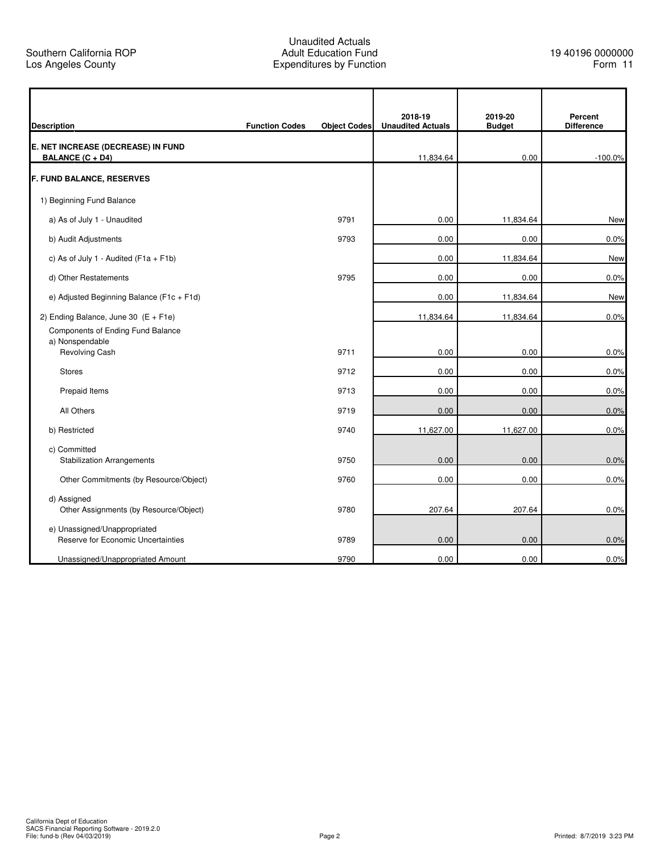r

q

|                                                       |                       |                     | 2018-19                  | 2019-20       | Percent           |
|-------------------------------------------------------|-----------------------|---------------------|--------------------------|---------------|-------------------|
| <b>Description</b>                                    | <b>Function Codes</b> | <b>Object Codes</b> | <b>Unaudited Actuals</b> | <b>Budget</b> | <b>Difference</b> |
| E. NET INCREASE (DECREASE) IN FUND                    |                       |                     |                          |               |                   |
| <b>BALANCE (C + D4)</b>                               |                       |                     | 11,834.64                | 0.00          | $-100.0%$         |
| <b>F. FUND BALANCE, RESERVES</b>                      |                       |                     |                          |               |                   |
| 1) Beginning Fund Balance                             |                       |                     |                          |               |                   |
| a) As of July 1 - Unaudited                           |                       | 9791                | 0.00                     | 11,834.64     | New               |
| b) Audit Adjustments                                  |                       | 9793                | 0.00                     | 0.00          | 0.0%              |
| c) As of July 1 - Audited ( $F1a + F1b$ )             |                       |                     | 0.00                     | 11,834.64     | New               |
| d) Other Restatements                                 |                       | 9795                | 0.00                     | 0.00          | 0.0%              |
| e) Adjusted Beginning Balance (F1c + F1d)             |                       |                     | 0.00                     | 11,834.64     | New               |
| 2) Ending Balance, June 30 $(E + F1e)$                |                       |                     | 11,834.64                | 11,834.64     | 0.0%              |
| Components of Ending Fund Balance<br>a) Nonspendable  |                       |                     |                          |               |                   |
| Revolving Cash                                        |                       | 9711                | 0.00                     | 0.00          | 0.0%              |
| <b>Stores</b>                                         |                       | 9712                | 0.00                     | 0.00          | 0.0%              |
| Prepaid Items                                         |                       | 9713                | 0.00                     | 0.00          | 0.0%              |
| All Others                                            |                       | 9719                | 0.00                     | 0.00          | 0.0%              |
| b) Restricted                                         |                       | 9740                | 11,627.00                | 11,627.00     | 0.0%              |
| c) Committed                                          |                       |                     |                          |               |                   |
| <b>Stabilization Arrangements</b>                     |                       | 9750                | 0.00                     | 0.00          | 0.0%              |
| Other Commitments (by Resource/Object)                |                       | 9760                | 0.00                     | 0.00          | 0.0%              |
| d) Assigned<br>Other Assignments (by Resource/Object) |                       | 9780                | 207.64                   | 207.64        | 0.0%              |
| e) Unassigned/Unappropriated                          |                       |                     |                          |               |                   |
| Reserve for Economic Uncertainties                    |                       | 9789                | 0.00                     | 0.00          | 0.0%              |
| Unassigned/Unappropriated Amount                      |                       | 9790                | 0.00                     | 0.00          | 0.0%              |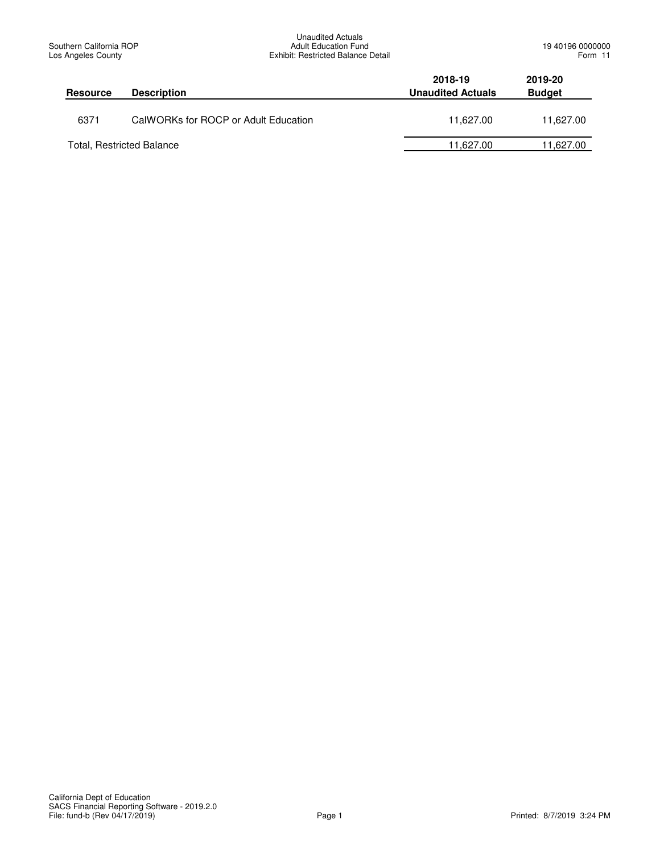| <b>Resource</b> | <b>Description</b>                   | 2018-19<br><b>Unaudited Actuals</b> | 2019-20<br><b>Budget</b> |
|-----------------|--------------------------------------|-------------------------------------|--------------------------|
| 6371            | CalWORKs for ROCP or Adult Education | 11.627.00                           | 11.627.00                |
|                 | <b>Total, Restricted Balance</b>     | 11.627.00                           | 11,627.00                |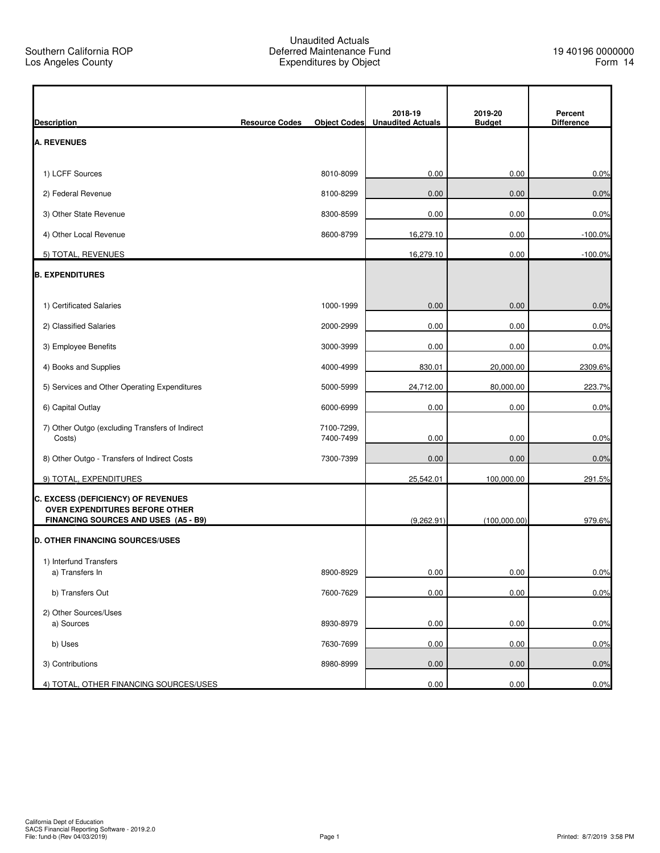| <b>Description</b>                                                             | <b>Resource Codes</b> | <b>Object Codes</b>     | 2018-19<br><b>Unaudited Actuals</b> | 2019-20<br><b>Budget</b> | Percent<br><b>Difference</b> |
|--------------------------------------------------------------------------------|-----------------------|-------------------------|-------------------------------------|--------------------------|------------------------------|
| <b>A. REVENUES</b>                                                             |                       |                         |                                     |                          |                              |
| 1) LCFF Sources                                                                |                       | 8010-8099               | 0.00                                | 0.00                     | 0.0%                         |
| 2) Federal Revenue                                                             |                       | 8100-8299               | 0.00                                | 0.00                     | 0.0%                         |
|                                                                                |                       |                         |                                     |                          |                              |
| 3) Other State Revenue                                                         |                       | 8300-8599               | 0.00                                | 0.00                     | 0.0%                         |
| 4) Other Local Revenue                                                         |                       | 8600-8799               | 16,279.10                           | 0.00                     | $-100.0%$                    |
| 5) TOTAL, REVENUES                                                             |                       |                         | 16,279.10                           | 0.00                     | $-100.0%$                    |
| <b>B. EXPENDITURES</b>                                                         |                       |                         |                                     |                          |                              |
| 1) Certificated Salaries                                                       |                       | 1000-1999               | 0.00                                | 0.00                     | 0.0%                         |
| 2) Classified Salaries                                                         |                       | 2000-2999               | 0.00                                | 0.00                     | 0.0%                         |
| 3) Employee Benefits                                                           |                       | 3000-3999               | 0.00                                | 0.00                     | 0.0%                         |
| 4) Books and Supplies                                                          |                       | 4000-4999               | 830.01                              | 20,000.00                | 2309.6%                      |
| 5) Services and Other Operating Expenditures                                   |                       | 5000-5999               | 24,712.00                           | 80,000.00                | 223.7%                       |
| 6) Capital Outlay                                                              |                       | 6000-6999               | 0.00                                | 0.00                     | 0.0%                         |
| 7) Other Outgo (excluding Transfers of Indirect<br>Costs)                      |                       | 7100-7299,<br>7400-7499 | 0.00                                | 0.00                     | 0.0%                         |
| 8) Other Outgo - Transfers of Indirect Costs                                   |                       | 7300-7399               | 0.00                                | 0.00                     | 0.0%                         |
| 9) TOTAL, EXPENDITURES                                                         |                       |                         | 25,542.01                           | 100,000.00               | 291.5%                       |
| C. EXCESS (DEFICIENCY) OF REVENUES<br>OVER EXPENDITURES BEFORE OTHER           |                       |                         |                                     |                          |                              |
| FINANCING SOURCES AND USES (A5 - B9)<br><b>D. OTHER FINANCING SOURCES/USES</b> |                       |                         | (9,262.91)                          | (100,000.00)             | 979.6%                       |
|                                                                                |                       |                         |                                     |                          |                              |
| 1) Interfund Transfers<br>a) Transfers In                                      |                       | 8900-8929               | 0.00                                | 0.00                     | 0.0%                         |
| b) Transfers Out                                                               |                       | 7600-7629               | 0.00                                | 0.00                     | 0.0%                         |
| 2) Other Sources/Uses                                                          |                       |                         |                                     |                          |                              |
| a) Sources                                                                     |                       | 8930-8979               | 0.00                                | 0.00                     | 0.0%                         |
| b) Uses                                                                        |                       | 7630-7699               | 0.00                                | 0.00                     | 0.0%                         |
| 3) Contributions                                                               |                       | 8980-8999               | 0.00                                | 0.00                     | 0.0%                         |
| 4) TOTAL, OTHER FINANCING SOURCES/USES                                         |                       |                         | 0.00                                | 0.00                     | 0.0%                         |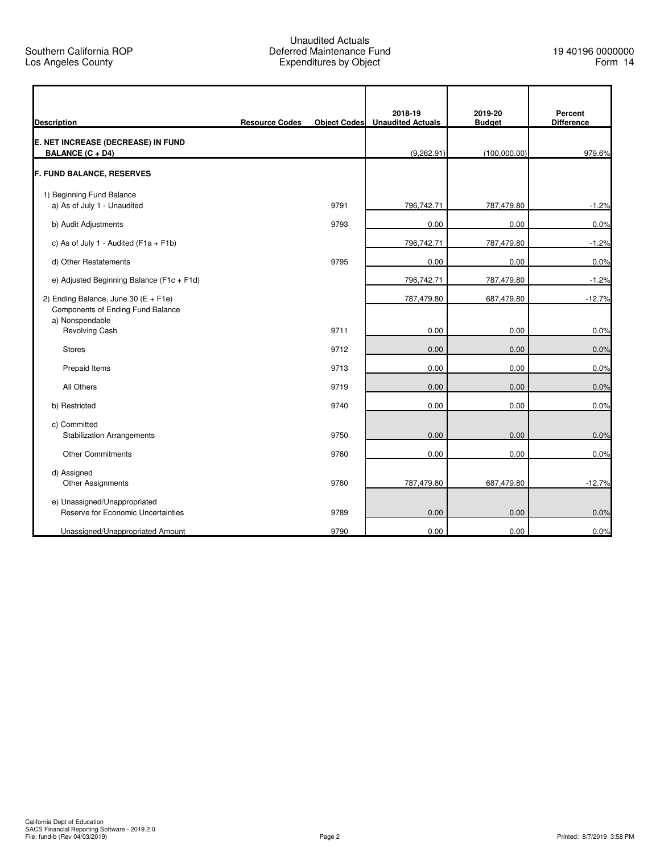| <b>Description</b>                                                          | <b>Resource Codes</b> | <b>Object Codes</b> | 2018-19<br><b>Unaudited Actuals</b> | 2019-20<br><b>Budget</b> | Percent<br><b>Difference</b> |
|-----------------------------------------------------------------------------|-----------------------|---------------------|-------------------------------------|--------------------------|------------------------------|
| E. NET INCREASE (DECREASE) IN FUND<br><b>BALANCE (C + D4)</b>               |                       |                     | (9,262.91)                          | (100,000.00)             | 979.6%                       |
| F. FUND BALANCE, RESERVES                                                   |                       |                     |                                     |                          |                              |
| 1) Beginning Fund Balance                                                   |                       |                     |                                     |                          |                              |
| a) As of July 1 - Unaudited                                                 |                       | 9791                | 796,742.71                          | 787,479.80               | $-1.2%$                      |
| b) Audit Adjustments                                                        |                       | 9793                | 0.00                                | 0.00                     | 0.0%                         |
| c) As of July 1 - Audited $(F1a + F1b)$                                     |                       |                     | 796,742.71                          | 787,479.80               | $-1.2%$                      |
| d) Other Restatements                                                       |                       | 9795                | 0.00                                | 0.00                     | 0.0%                         |
| e) Adjusted Beginning Balance (F1c + F1d)                                   |                       |                     | 796,742.71                          | 787,479.80               | $-1.2%$                      |
| 2) Ending Balance, June 30 $(E + F1e)$<br>Components of Ending Fund Balance |                       |                     | 787,479.80                          | 687,479.80               | $-12.7%$                     |
| a) Nonspendable<br><b>Revolving Cash</b>                                    |                       | 9711                | 0.00                                | 0.00                     | 0.0%                         |
| <b>Stores</b>                                                               |                       | 9712                | 0.00                                | 0.00                     | 0.0%                         |
| Prepaid Items                                                               |                       | 9713                | 0.00                                | 0.00                     | 0.0%                         |
| All Others                                                                  |                       | 9719                | 0.00                                | 0.00                     | 0.0%                         |
| b) Restricted                                                               |                       | 9740                | 0.00                                | 0.00                     | 0.0%                         |
| c) Committed<br><b>Stabilization Arrangements</b>                           |                       | 9750                | 0.00                                | 0.00                     | 0.0%                         |
| <b>Other Commitments</b>                                                    |                       | 9760                | 0.00                                | 0.00                     | 0.0%                         |
| d) Assigned<br><b>Other Assignments</b>                                     |                       | 9780                | 787,479.80                          | 687,479.80               | $-12.7%$                     |
| e) Unassigned/Unappropriated<br>Reserve for Economic Uncertainties          |                       | 9789                | 0.00                                | 0.00                     | 0.0%                         |
| Unassigned/Unappropriated Amount                                            |                       | 9790                | 0.00                                | 0.00                     | 0.0%                         |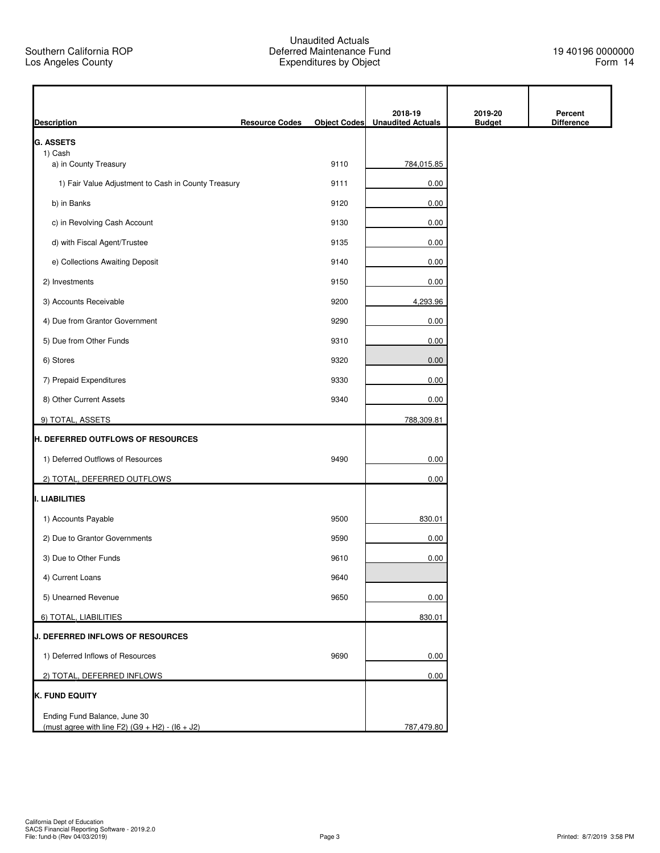| <b>Description</b>                                                                | <b>Resource Codes</b> | <b>Object Codes</b> | 2018-19<br><b>Unaudited Actuals</b> | 2019-20<br><b>Budget</b> | Percent<br><b>Difference</b> |
|-----------------------------------------------------------------------------------|-----------------------|---------------------|-------------------------------------|--------------------------|------------------------------|
| <b>G. ASSETS</b>                                                                  |                       |                     |                                     |                          |                              |
| 1) Cash<br>a) in County Treasury                                                  |                       | 9110                | 784,015.85                          |                          |                              |
| 1) Fair Value Adjustment to Cash in County Treasury                               |                       | 9111                | 0.00                                |                          |                              |
| b) in Banks                                                                       |                       | 9120                | 0.00                                |                          |                              |
| c) in Revolving Cash Account                                                      |                       | 9130                | 0.00                                |                          |                              |
| d) with Fiscal Agent/Trustee                                                      |                       | 9135                | 0.00                                |                          |                              |
| e) Collections Awaiting Deposit                                                   |                       | 9140                | 0.00                                |                          |                              |
| 2) Investments                                                                    |                       | 9150                | 0.00                                |                          |                              |
| 3) Accounts Receivable                                                            |                       | 9200                | 4,293.96                            |                          |                              |
| 4) Due from Grantor Government                                                    |                       | 9290                | 0.00                                |                          |                              |
| 5) Due from Other Funds                                                           |                       | 9310                | 0.00                                |                          |                              |
| 6) Stores                                                                         |                       | 9320                | 0.00                                |                          |                              |
| 7) Prepaid Expenditures                                                           |                       | 9330                | 0.00                                |                          |                              |
| 8) Other Current Assets                                                           |                       | 9340                | 0.00                                |                          |                              |
| 9) TOTAL, ASSETS                                                                  |                       |                     | 788,309.81                          |                          |                              |
| <b>H. DEFERRED OUTFLOWS OF RESOURCES</b>                                          |                       |                     |                                     |                          |                              |
| 1) Deferred Outflows of Resources                                                 |                       | 9490                | 0.00                                |                          |                              |
| 2) TOTAL, DEFERRED OUTFLOWS                                                       |                       |                     | 0.00                                |                          |                              |
| I. LIABILITIES                                                                    |                       |                     |                                     |                          |                              |
| 1) Accounts Payable                                                               |                       | 9500                | 830.01                              |                          |                              |
| 2) Due to Grantor Governments                                                     |                       | 9590                | 0.00                                |                          |                              |
| 3) Due to Other Funds                                                             |                       | 9610                | 0.00                                |                          |                              |
| 4) Current Loans                                                                  |                       | 9640                |                                     |                          |                              |
| 5) Unearned Revenue                                                               |                       | 9650                | 0.00                                |                          |                              |
| 6) TOTAL, LIABILITIES                                                             |                       |                     | 830.01                              |                          |                              |
| J. DEFERRED INFLOWS OF RESOURCES                                                  |                       |                     |                                     |                          |                              |
| 1) Deferred Inflows of Resources                                                  |                       | 9690                | 0.00                                |                          |                              |
| 2) TOTAL, DEFERRED INFLOWS                                                        |                       |                     | 0.00                                |                          |                              |
| K. FUND EQUITY                                                                    |                       |                     |                                     |                          |                              |
| Ending Fund Balance, June 30<br>(must agree with line F2) $(G9 + H2) - (16 + J2)$ |                       |                     | 787,479.80                          |                          |                              |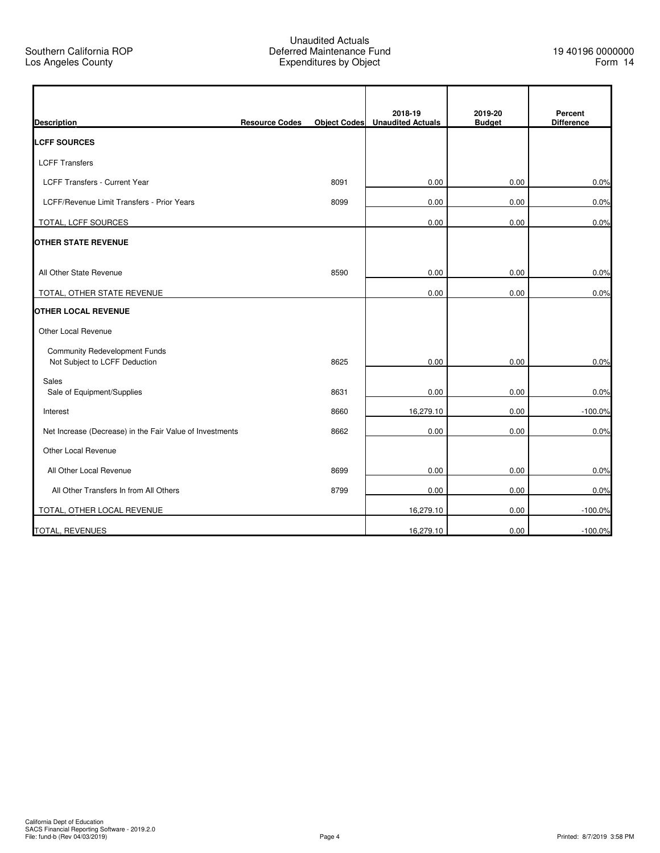|                                                                       |                       |                     | 2018-19                  | 2019-20       | Percent           |
|-----------------------------------------------------------------------|-----------------------|---------------------|--------------------------|---------------|-------------------|
| <b>Description</b>                                                    | <b>Resource Codes</b> | <b>Object Codes</b> | <b>Unaudited Actuals</b> | <b>Budget</b> | <b>Difference</b> |
| <b>LCFF SOURCES</b>                                                   |                       |                     |                          |               |                   |
| <b>LCFF Transfers</b>                                                 |                       |                     |                          |               |                   |
| LCFF Transfers - Current Year                                         |                       | 8091                | 0.00                     | 0.00          | 0.0%              |
| LCFF/Revenue Limit Transfers - Prior Years                            |                       | 8099                | 0.00                     | 0.00          | 0.0%              |
| TOTAL, LCFF SOURCES                                                   |                       |                     | 0.00                     | 0.00          | 0.0%              |
| <b>OTHER STATE REVENUE</b>                                            |                       |                     |                          |               |                   |
|                                                                       |                       |                     |                          |               |                   |
| All Other State Revenue                                               |                       | 8590                | 0.00                     | 0.00          | 0.0%              |
| TOTAL, OTHER STATE REVENUE                                            |                       |                     | 0.00                     | 0.00          | 0.0%              |
| <b>OTHER LOCAL REVENUE</b>                                            |                       |                     |                          |               |                   |
| Other Local Revenue                                                   |                       |                     |                          |               |                   |
| <b>Community Redevelopment Funds</b><br>Not Subject to LCFF Deduction |                       | 8625                | 0.00                     | 0.00          | 0.0%              |
| <b>Sales</b>                                                          |                       |                     |                          |               |                   |
| Sale of Equipment/Supplies                                            |                       | 8631                | 0.00                     | 0.00          | 0.0%              |
| Interest                                                              |                       | 8660                | 16,279.10                | 0.00          | $-100.0%$         |
| Net Increase (Decrease) in the Fair Value of Investments              |                       | 8662                | 0.00                     | 0.00          | 0.0%              |
| Other Local Revenue                                                   |                       |                     |                          |               |                   |
| All Other Local Revenue                                               |                       | 8699                | 0.00                     | 0.00          | 0.0%              |
| All Other Transfers In from All Others                                |                       | 8799                | 0.00                     | 0.00          | 0.0%              |
| TOTAL, OTHER LOCAL REVENUE                                            |                       |                     | 16,279.10                | 0.00          | $-100.0%$         |
| <b>TOTAL, REVENUES</b>                                                |                       |                     | 16,279.10                | 0.00          | $-100.0%$         |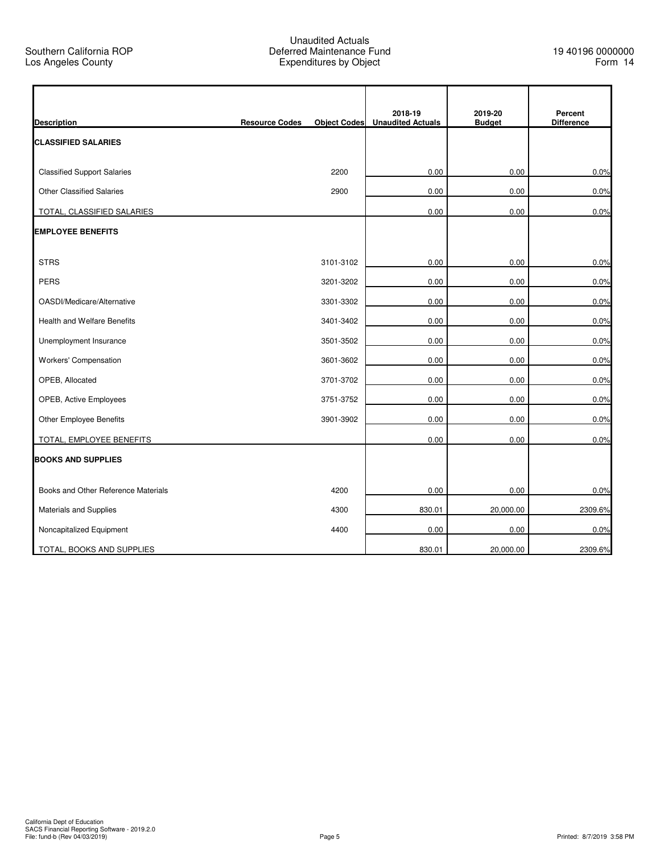$\mathbf{r}$ 

|                                     |                       |                     | 2018-19                  | 2019-20       | Percent           |
|-------------------------------------|-----------------------|---------------------|--------------------------|---------------|-------------------|
| <b>Description</b>                  | <b>Resource Codes</b> | <b>Object Codes</b> | <b>Unaudited Actuals</b> | <b>Budget</b> | <b>Difference</b> |
| <b>CLASSIFIED SALARIES</b>          |                       |                     |                          |               |                   |
| <b>Classified Support Salaries</b>  |                       | 2200                | 0.00                     | 0.00          | 0.0%              |
| <b>Other Classified Salaries</b>    |                       | 2900                | 0.00                     | 0.00          | 0.0%              |
| TOTAL, CLASSIFIED SALARIES          |                       |                     | 0.00                     | 0.00          | 0.0%              |
| <b>EMPLOYEE BENEFITS</b>            |                       |                     |                          |               |                   |
| <b>STRS</b>                         |                       | 3101-3102           | 0.00                     | 0.00          | 0.0%              |
| <b>PERS</b>                         |                       | 3201-3202           | 0.00                     | 0.00          | 0.0%              |
| OASDI/Medicare/Alternative          |                       | 3301-3302           | 0.00                     | 0.00          | 0.0%              |
| <b>Health and Welfare Benefits</b>  |                       | 3401-3402           | 0.00                     | 0.00          | 0.0%              |
| Unemployment Insurance              |                       | 3501-3502           | 0.00                     | 0.00          | 0.0%              |
| <b>Workers' Compensation</b>        |                       | 3601-3602           | 0.00                     | 0.00          | 0.0%              |
| OPEB, Allocated                     |                       | 3701-3702           | 0.00                     | 0.00          | 0.0%              |
| OPEB, Active Employees              |                       | 3751-3752           | 0.00                     | 0.00          | 0.0%              |
| Other Employee Benefits             |                       | 3901-3902           | 0.00                     | 0.00          | 0.0%              |
| TOTAL, EMPLOYEE BENEFITS            |                       |                     | 0.00                     | 0.00          | 0.0%              |
| <b>BOOKS AND SUPPLIES</b>           |                       |                     |                          |               |                   |
| Books and Other Reference Materials |                       | 4200                | 0.00                     | 0.00          | 0.0%              |
| Materials and Supplies              |                       | 4300                | 830.01                   | 20,000.00     | 2309.6%           |
| Noncapitalized Equipment            |                       | 4400                | 0.00                     | 0.00          | 0.0%              |
| TOTAL, BOOKS AND SUPPLIES           |                       |                     | 830.01                   | 20,000.00     | 2309.6%           |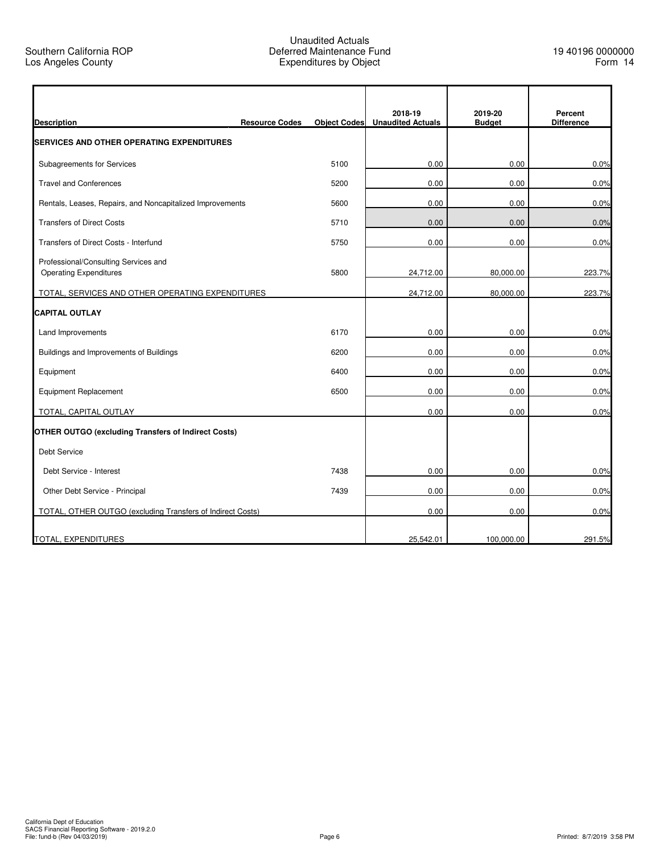| <b>Description</b>                                                    | <b>Resource Codes</b> | <b>Object Codes</b> | 2018-19<br><b>Unaudited Actuals</b> | 2019-20<br><b>Budget</b> | Percent<br><b>Difference</b> |
|-----------------------------------------------------------------------|-----------------------|---------------------|-------------------------------------|--------------------------|------------------------------|
| <b>SERVICES AND OTHER OPERATING EXPENDITURES</b>                      |                       |                     |                                     |                          |                              |
| Subagreements for Services                                            |                       | 5100                | 0.00                                | 0.00                     | 0.0%                         |
| <b>Travel and Conferences</b>                                         |                       | 5200                | 0.00                                | 0.00                     | 0.0%                         |
| Rentals, Leases, Repairs, and Noncapitalized Improvements             |                       | 5600                | 0.00                                | 0.00                     | 0.0%                         |
| <b>Transfers of Direct Costs</b>                                      |                       | 5710                | 0.00                                | 0.00                     | 0.0%                         |
| Transfers of Direct Costs - Interfund                                 |                       | 5750                | 0.00                                | 0.00                     | 0.0%                         |
| Professional/Consulting Services and<br><b>Operating Expenditures</b> |                       | 5800                | 24,712.00                           | 80,000.00                | 223.7%                       |
| TOTAL, SERVICES AND OTHER OPERATING EXPENDITURES                      |                       |                     | 24,712.00                           | 80,000.00                | 223.7%                       |
| <b>CAPITAL OUTLAY</b>                                                 |                       |                     |                                     |                          |                              |
| Land Improvements                                                     |                       | 6170                | 0.00                                | 0.00                     | 0.0%                         |
| Buildings and Improvements of Buildings                               |                       | 6200                | 0.00                                | 0.00                     | 0.0%                         |
| Equipment                                                             |                       | 6400                | 0.00                                | 0.00                     | 0.0%                         |
| <b>Equipment Replacement</b>                                          |                       | 6500                | 0.00                                | 0.00                     | 0.0%                         |
| TOTAL, CAPITAL OUTLAY                                                 |                       |                     | 0.00                                | 0.00                     | 0.0%                         |
| <b>OTHER OUTGO (excluding Transfers of Indirect Costs)</b>            |                       |                     |                                     |                          |                              |
| <b>Debt Service</b>                                                   |                       |                     |                                     |                          |                              |
| Debt Service - Interest                                               |                       | 7438                | 0.00                                | 0.00                     | 0.0%                         |
| Other Debt Service - Principal                                        |                       | 7439                | 0.00                                | 0.00                     | 0.0%                         |
| TOTAL, OTHER OUTGO (excluding Transfers of Indirect Costs)            |                       |                     | 0.00                                | 0.00                     | 0.0%                         |
| TOTAL, EXPENDITURES                                                   |                       |                     | 25,542.01                           | 100,000.00               | 291.5%                       |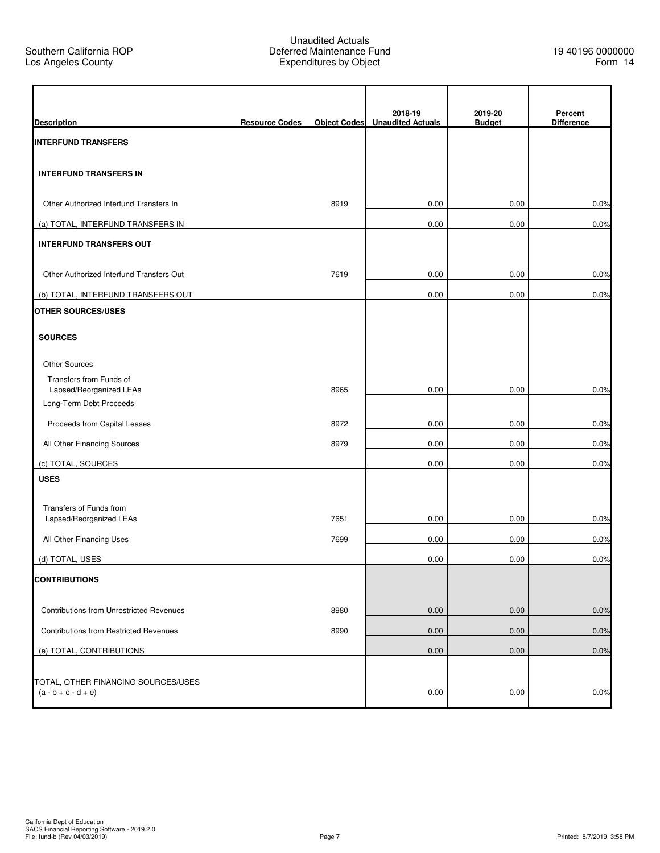$\mathbf{r}$ 

|                                                    |                       |                     | 2018-19                  | 2019-20       | Percent           |
|----------------------------------------------------|-----------------------|---------------------|--------------------------|---------------|-------------------|
| <b>Description</b>                                 | <b>Resource Codes</b> | <b>Object Codes</b> | <b>Unaudited Actuals</b> | <b>Budget</b> | <b>Difference</b> |
| <b>INTERFUND TRANSFERS</b>                         |                       |                     |                          |               |                   |
| <b>INTERFUND TRANSFERS IN</b>                      |                       |                     |                          |               |                   |
| Other Authorized Interfund Transfers In            |                       | 8919                | 0.00                     | 0.00          | 0.0%              |
| (a) TOTAL, INTERFUND TRANSFERS IN                  |                       |                     | 0.00                     | 0.00          | 0.0%              |
| <b>INTERFUND TRANSFERS OUT</b>                     |                       |                     |                          |               |                   |
| Other Authorized Interfund Transfers Out           |                       | 7619                | 0.00                     | 0.00          | 0.0%              |
| (b) TOTAL, INTERFUND TRANSFERS OUT                 |                       |                     | 0.00                     | 0.00          | 0.0%              |
| <b>OTHER SOURCES/USES</b>                          |                       |                     |                          |               |                   |
| <b>SOURCES</b>                                     |                       |                     |                          |               |                   |
| <b>Other Sources</b>                               |                       |                     |                          |               |                   |
| Transfers from Funds of                            |                       |                     |                          |               |                   |
| Lapsed/Reorganized LEAs<br>Long-Term Debt Proceeds |                       | 8965                | 0.00                     | 0.00          | 0.0%              |
| Proceeds from Capital Leases                       |                       | 8972                | 0.00                     | 0.00          | 0.0%              |
| All Other Financing Sources                        |                       | 8979                | 0.00                     | 0.00          | 0.0%              |
| (c) TOTAL, SOURCES                                 |                       |                     | 0.00                     | 0.00          | 0.0%              |
| <b>USES</b>                                        |                       |                     |                          |               |                   |
|                                                    |                       |                     |                          |               |                   |
| Transfers of Funds from<br>Lapsed/Reorganized LEAs |                       | 7651                | 0.00                     | 0.00          | 0.0%              |
| All Other Financing Uses                           |                       | 7699                | 0.00                     | 0.00          | 0.0%              |
| (d) TOTAL, USES                                    |                       |                     | 0.00                     | 0.00          | 0.0%              |
| <b>CONTRIBUTIONS</b>                               |                       |                     |                          |               |                   |
|                                                    |                       |                     |                          |               |                   |
| Contributions from Unrestricted Revenues           |                       | 8980                | 0.00                     | 0.00          | 0.0%              |
| <b>Contributions from Restricted Revenues</b>      |                       | 8990                | 0.00                     | 0.00          | 0.0%              |
| (e) TOTAL, CONTRIBUTIONS                           |                       |                     | 0.00                     | 0.00          | 0.0%              |
| TOTAL, OTHER FINANCING SOURCES/USES                |                       |                     |                          |               |                   |
| $(a - b + c - d + e)$                              |                       |                     | 0.00                     | 0.00          | 0.0%              |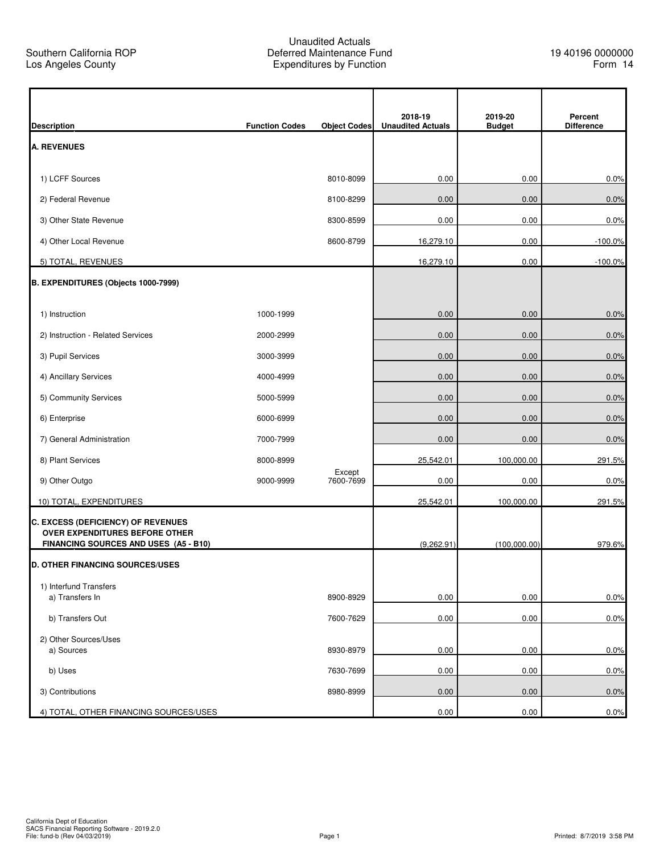Ì

| <b>Description</b>                                                      | <b>Function Codes</b> | <b>Object Codes</b> | 2018-19<br><b>Unaudited Actuals</b> | 2019-20<br><b>Budget</b> | Percent<br><b>Difference</b> |
|-------------------------------------------------------------------------|-----------------------|---------------------|-------------------------------------|--------------------------|------------------------------|
| <b>A. REVENUES</b>                                                      |                       |                     |                                     |                          |                              |
|                                                                         |                       |                     |                                     |                          |                              |
| 1) LCFF Sources                                                         |                       | 8010-8099           | 0.00                                | 0.00                     | 0.0%                         |
| 2) Federal Revenue                                                      |                       | 8100-8299           | 0.00                                | 0.00                     | 0.0%                         |
| 3) Other State Revenue                                                  |                       | 8300-8599           | 0.00                                | 0.00                     | 0.0%                         |
| 4) Other Local Revenue                                                  |                       | 8600-8799           | 16,279.10                           | 0.00                     | $-100.0%$                    |
| 5) TOTAL, REVENUES                                                      |                       |                     | 16,279.10                           | 0.00                     | $-100.0%$                    |
| B. EXPENDITURES (Objects 1000-7999)                                     |                       |                     |                                     |                          |                              |
| 1) Instruction                                                          | 1000-1999             |                     | 0.00                                | 0.00                     | 0.0%                         |
| 2) Instruction - Related Services                                       | 2000-2999             |                     | 0.00                                | 0.00                     | 0.0%                         |
| 3) Pupil Services                                                       | 3000-3999             |                     | 0.00                                | 0.00                     | 0.0%                         |
| 4) Ancillary Services                                                   | 4000-4999             |                     | 0.00                                | 0.00                     | 0.0%                         |
| 5) Community Services                                                   | 5000-5999             |                     | 0.00                                | 0.00                     | 0.0%                         |
| 6) Enterprise                                                           | 6000-6999             |                     | 0.00                                | 0.00                     | 0.0%                         |
| 7) General Administration                                               | 7000-7999             |                     | 0.00                                | 0.00                     | 0.0%                         |
| 8) Plant Services                                                       | 8000-8999             |                     | 25,542.01                           | 100,000.00               | 291.5%                       |
| 9) Other Outgo                                                          | 9000-9999             | Except<br>7600-7699 | 0.00                                | 0.00                     | 0.0%                         |
| 10) TOTAL, EXPENDITURES                                                 |                       |                     | 25,542.01                           | 100,000.00               | 291.5%                       |
| C. EXCESS (DEFICIENCY) OF REVENUES                                      |                       |                     |                                     |                          |                              |
| OVER EXPENDITURES BEFORE OTHER<br>FINANCING SOURCES AND USES (A5 - B10) |                       |                     | (9,262.91)                          | (100,000.00)             | 979.6%                       |
| <b>D. OTHER FINANCING SOURCES/USES</b>                                  |                       |                     |                                     |                          |                              |
| 1) Interfund Transfers                                                  |                       |                     |                                     |                          |                              |
| a) Transfers In                                                         |                       | 8900-8929           | 0.00                                | 0.00                     | 0.0%                         |
| b) Transfers Out                                                        |                       | 7600-7629           | 0.00                                | 0.00                     | 0.0%                         |
| 2) Other Sources/Uses<br>a) Sources                                     |                       | 8930-8979           | 0.00                                | 0.00                     | 0.0%                         |
| b) Uses                                                                 |                       | 7630-7699           | 0.00                                | 0.00                     | 0.0%                         |
|                                                                         |                       |                     |                                     |                          |                              |
| 3) Contributions                                                        |                       | 8980-8999           | 0.00                                | 0.00                     | 0.0%                         |
| 4) TOTAL, OTHER FINANCING SOURCES/USES                                  |                       |                     | 0.00                                | 0.00                     | 0.0%                         |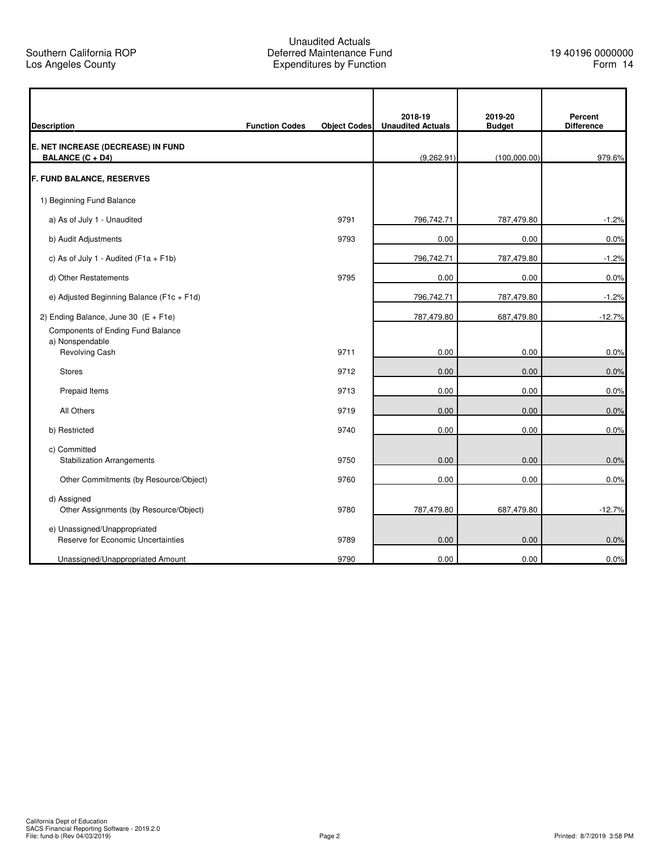r

## Unaudited Actuals Deferred Maintenance Fund Expenditures by Function

q

|                                                       |                       |                     | 2018-19                  | 2019-20       | Percent           |
|-------------------------------------------------------|-----------------------|---------------------|--------------------------|---------------|-------------------|
| <b>Description</b>                                    | <b>Function Codes</b> | <b>Object Codes</b> | <b>Unaudited Actuals</b> | <b>Budget</b> | <b>Difference</b> |
| E. NET INCREASE (DECREASE) IN FUND                    |                       |                     |                          |               |                   |
| BALANCE (C + D4)                                      |                       |                     | (9.262.91)               | (100.000.00)  | 979.6%            |
| <b>F. FUND BALANCE, RESERVES</b>                      |                       |                     |                          |               |                   |
| 1) Beginning Fund Balance                             |                       |                     |                          |               |                   |
| a) As of July 1 - Unaudited                           |                       | 9791                | 796,742.71               | 787,479.80    | $-1.2%$           |
| b) Audit Adjustments                                  |                       | 9793                | 0.00                     | 0.00          | 0.0%              |
| c) As of July 1 - Audited ( $F1a + F1b$ )             |                       |                     | 796,742.71               | 787,479.80    | $-1.2%$           |
| d) Other Restatements                                 |                       | 9795                | 0.00                     | 0.00          | 0.0%              |
| e) Adjusted Beginning Balance (F1c + F1d)             |                       |                     | 796,742.71               | 787,479.80    | $-1.2%$           |
| 2) Ending Balance, June 30 $(E + F1e)$                |                       |                     | 787,479.80               | 687,479.80    | $-12.7%$          |
| Components of Ending Fund Balance                     |                       |                     |                          |               |                   |
| a) Nonspendable<br>Revolving Cash                     |                       | 9711                | 0.00                     | 0.00          | 0.0%              |
| <b>Stores</b>                                         |                       | 9712                | 0.00                     | 0.00          | 0.0%              |
| Prepaid Items                                         |                       | 9713                | 0.00                     | 0.00          | 0.0%              |
| All Others                                            |                       | 9719                | 0.00                     | 0.00          | 0.0%              |
| b) Restricted                                         |                       | 9740                | 0.00                     | 0.00          | 0.0%              |
| c) Committed                                          |                       |                     |                          |               |                   |
| <b>Stabilization Arrangements</b>                     |                       | 9750                | 0.00                     | 0.00          | 0.0%              |
| Other Commitments (by Resource/Object)                |                       | 9760                | 0.00                     | 0.00          | 0.0%              |
| d) Assigned<br>Other Assignments (by Resource/Object) |                       | 9780                | 787,479.80               | 687,479.80    | $-12.7%$          |
| e) Unassigned/Unappropriated                          |                       |                     |                          |               |                   |
| Reserve for Economic Uncertainties                    |                       | 9789                | 0.00                     | 0.00          | 0.0%              |
| Unassigned/Unappropriated Amount                      |                       | 9790                | 0.00                     | 0.00          | 0.0%              |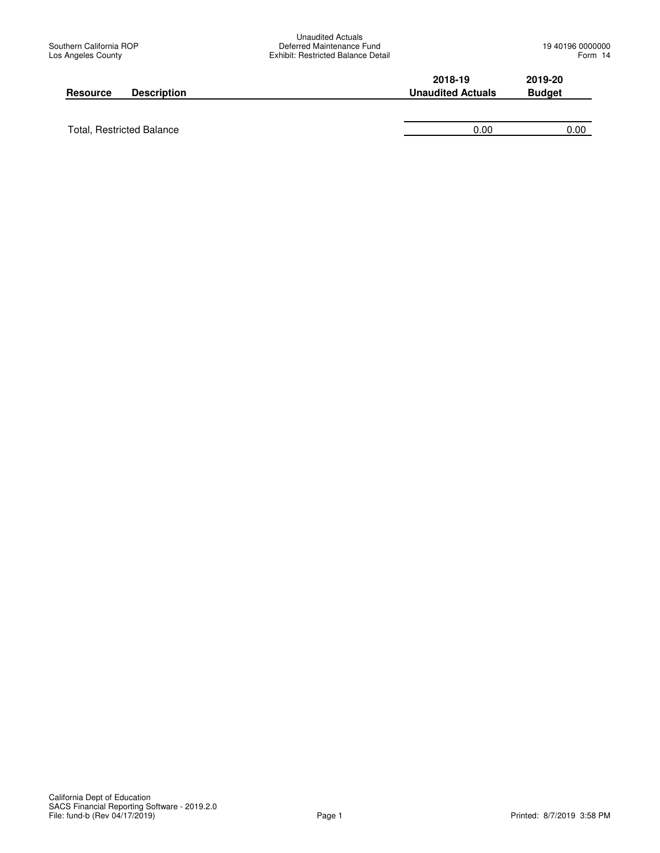| <b>Description</b>               | 2018-19                  | 2019-20       |
|----------------------------------|--------------------------|---------------|
| <b>Resource</b>                  | <b>Unaudited Actuals</b> | <b>Budget</b> |
| <b>Total, Restricted Balance</b> | 0.00                     | 0.00          |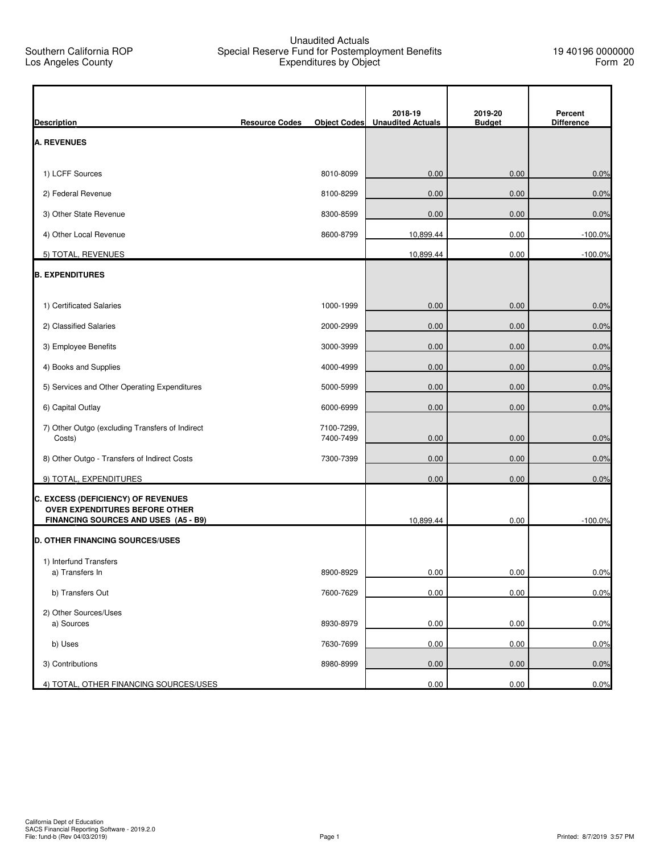### Unaudited Actuals Special Reserve Fund for Postemployment Benefits Expenditures by Object

| <b>Description</b>                                                     | <b>Resource Codes</b> | <b>Object Codes</b>     | 2018-19<br><b>Unaudited Actuals</b> | 2019-20<br><b>Budget</b> | Percent<br><b>Difference</b> |
|------------------------------------------------------------------------|-----------------------|-------------------------|-------------------------------------|--------------------------|------------------------------|
| <b>A. REVENUES</b>                                                     |                       |                         |                                     |                          |                              |
|                                                                        |                       |                         |                                     |                          |                              |
| 1) LCFF Sources                                                        |                       | 8010-8099               | 0.00                                | 0.00                     | 0.0%                         |
| 2) Federal Revenue                                                     |                       | 8100-8299               | 0.00                                | 0.00                     | 0.0%                         |
| 3) Other State Revenue                                                 |                       | 8300-8599               | 0.00                                | 0.00                     | 0.0%                         |
| 4) Other Local Revenue                                                 |                       | 8600-8799               | 10,899.44                           | 0.00                     | $-100.0\%$                   |
| 5) TOTAL, REVENUES                                                     |                       |                         | 10,899.44                           | 0.00                     | $-100.0%$                    |
| <b>B. EXPENDITURES</b>                                                 |                       |                         |                                     |                          |                              |
| 1) Certificated Salaries                                               |                       | 1000-1999               | 0.00                                | 0.00                     | 0.0%                         |
| 2) Classified Salaries                                                 |                       | 2000-2999               | 0.00                                | 0.00                     | 0.0%                         |
| 3) Employee Benefits                                                   |                       | 3000-3999               | 0.00                                | 0.00                     | 0.0%                         |
| 4) Books and Supplies                                                  |                       | 4000-4999               | 0.00                                | 0.00                     | 0.0%                         |
| 5) Services and Other Operating Expenditures                           |                       | 5000-5999               | 0.00                                | 0.00                     | 0.0%                         |
| 6) Capital Outlay                                                      |                       | 6000-6999               | 0.00                                | 0.00                     | 0.0%                         |
| 7) Other Outgo (excluding Transfers of Indirect<br>Costs)              |                       | 7100-7299,<br>7400-7499 | 0.00                                | 0.00                     | 0.0%                         |
| 8) Other Outgo - Transfers of Indirect Costs                           |                       | 7300-7399               | 0.00                                | 0.00                     | 0.0%                         |
| 9) TOTAL, EXPENDITURES                                                 |                       |                         | 0.00                                | 0.00                     | 0.0%                         |
| C. EXCESS (DEFICIENCY) OF REVENUES                                     |                       |                         |                                     |                          |                              |
| OVER EXPENDITURES BEFORE OTHER<br>FINANCING SOURCES AND USES (A5 - B9) |                       |                         | 10,899.44                           | 0.00                     | $-100.0%$                    |
| <b>D. OTHER FINANCING SOURCES/USES</b>                                 |                       |                         |                                     |                          |                              |
| 1) Interfund Transfers                                                 |                       |                         |                                     |                          |                              |
| a) Transfers In                                                        |                       | 8900-8929               | 0.00                                | 0.00                     | 0.0%                         |
| b) Transfers Out                                                       |                       | 7600-7629               | 0.00                                | 0.00                     | 0.0%                         |
| 2) Other Sources/Uses<br>a) Sources                                    |                       | 8930-8979               | 0.00                                | 0.00                     | 0.0%                         |
| b) Uses                                                                |                       | 7630-7699               | 0.00                                | 0.00                     | 0.0%                         |
| 3) Contributions                                                       |                       | 8980-8999               | 0.00                                | 0.00                     | 0.0%                         |
| 4) TOTAL, OTHER FINANCING SOURCES/USES                                 |                       |                         | 0.00                                | 0.00                     | 0.0%                         |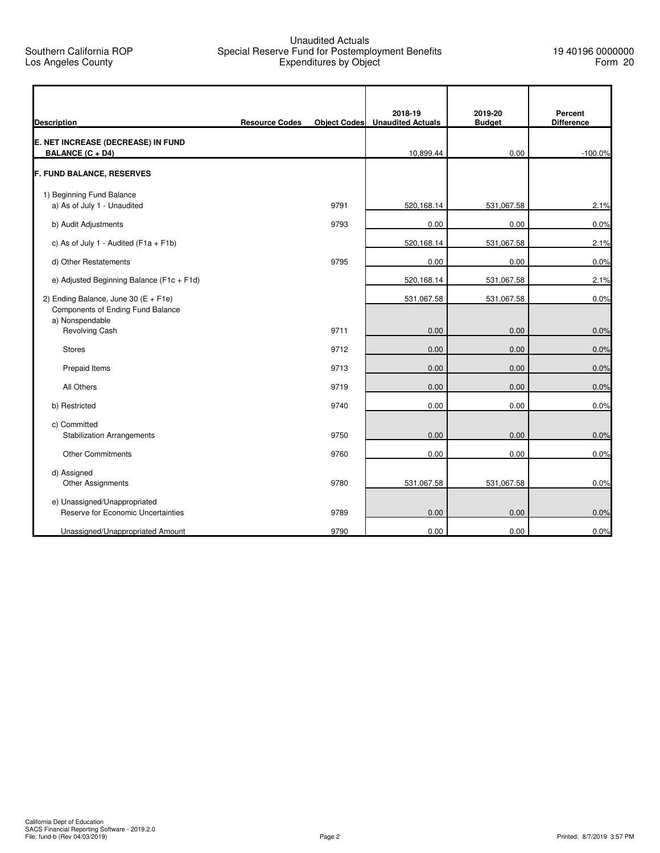## Unaudited Actuals Special Reserve Fund for Postemployment Benefits Expenditures by Object

| <b>Description</b>                                                                              | <b>Resource Codes</b> |      | 2018-19<br>Object Codes Unaudited Actuals | 2019-20<br><b>Budget</b> | Percent<br><b>Difference</b> |
|-------------------------------------------------------------------------------------------------|-----------------------|------|-------------------------------------------|--------------------------|------------------------------|
| E. NET INCREASE (DECREASE) IN FUND<br><b>BALANCE (C + D4)</b>                                   |                       |      | 10,899.44                                 | 0.00                     | $-100.0%$                    |
| <b>F. FUND BALANCE, RESERVES</b>                                                                |                       |      |                                           |                          |                              |
| 1) Beginning Fund Balance                                                                       |                       |      |                                           |                          |                              |
| a) As of July 1 - Unaudited                                                                     |                       | 9791 | 520,168.14                                | 531,067.58               | 2.1%                         |
| b) Audit Adjustments                                                                            |                       | 9793 | 0.00                                      | 0.00                     | 0.0%                         |
| c) As of July 1 - Audited ( $F1a + F1b$ )                                                       |                       |      | 520,168.14                                | 531,067.58               | 2.1%                         |
| d) Other Restatements                                                                           |                       | 9795 | 0.00                                      | 0.00                     | 0.0%                         |
| e) Adjusted Beginning Balance (F1c + F1d)                                                       |                       |      | 520,168.14                                | 531,067.58               | 2.1%                         |
| 2) Ending Balance, June 30 ( $E$ + F1e)<br>Components of Ending Fund Balance<br>a) Nonspendable |                       |      | 531,067.58                                | 531,067.58               | 0.0%                         |
| <b>Revolving Cash</b>                                                                           |                       | 9711 | 0.00                                      | 0.00                     | 0.0%                         |
| <b>Stores</b>                                                                                   |                       | 9712 | 0.00                                      | 0.00                     | 0.0%                         |
| Prepaid Items                                                                                   |                       | 9713 | 0.00                                      | 0.00                     | 0.0%                         |
| All Others                                                                                      |                       | 9719 | 0.00                                      | 0.00                     | 0.0%                         |
| b) Restricted                                                                                   |                       | 9740 | 0.00                                      | 0.00                     | 0.0%                         |
| c) Committed<br><b>Stabilization Arrangements</b>                                               |                       | 9750 | 0.00                                      | 0.00                     | 0.0%                         |
| <b>Other Commitments</b>                                                                        |                       | 9760 | 0.00                                      | 0.00                     | 0.0%                         |
| d) Assigned<br>Other Assignments                                                                |                       | 9780 | 531,067.58                                | 531,067.58               | 0.0%                         |
| e) Unassigned/Unappropriated<br>Reserve for Economic Uncertainties                              |                       | 9789 | 0.00                                      | 0.00                     | 0.0%                         |
| Unassigned/Unappropriated Amount                                                                |                       | 9790 | 0.00                                      | 0.00                     | 0.0%                         |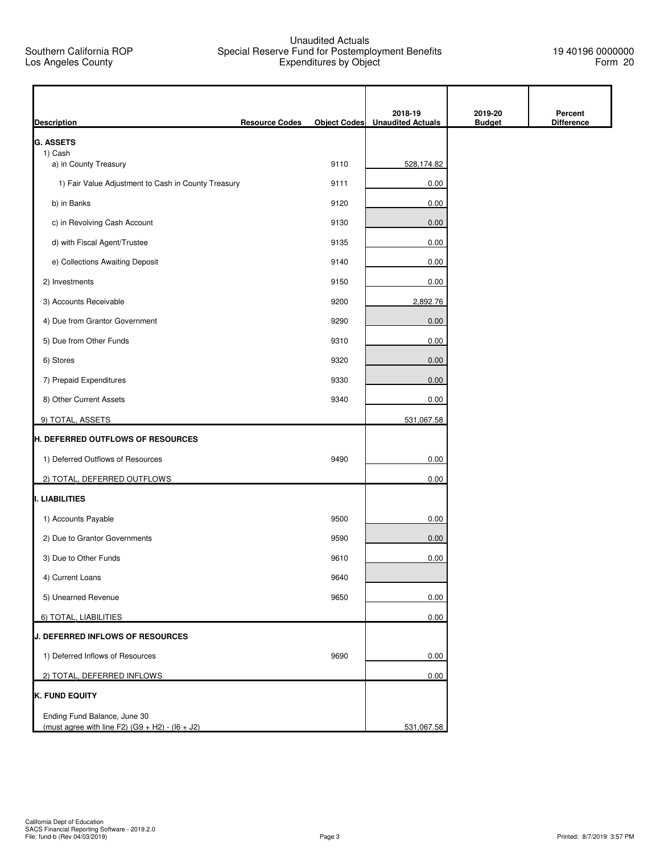## Unaudited Actuals Special Reserve Fund for Postemployment Benefits Expenditures by Object

19 40196 0000000 Form 20

| <b>Description</b>                                  | <b>Resource Codes</b> | <b>Object Codes</b> | 2018-19<br><b>Unaudited Actuals</b> | 2019-20<br><b>Budget</b> | Percent<br><b>Difference</b> |
|-----------------------------------------------------|-----------------------|---------------------|-------------------------------------|--------------------------|------------------------------|
| <b>G. ASSETS</b>                                    |                       |                     |                                     |                          |                              |
| 1) Cash                                             |                       | 9110                |                                     |                          |                              |
| a) in County Treasury                               |                       |                     | 528,174.82                          |                          |                              |
| 1) Fair Value Adjustment to Cash in County Treasury |                       | 9111                | 0.00                                |                          |                              |
| b) in Banks                                         |                       | 9120                | 0.00                                |                          |                              |
| c) in Revolving Cash Account                        |                       | 9130                | 0.00                                |                          |                              |
| d) with Fiscal Agent/Trustee                        |                       | 9135                | 0.00                                |                          |                              |
| e) Collections Awaiting Deposit                     |                       | 9140                | 0.00                                |                          |                              |
| 2) Investments                                      |                       | 9150                | 0.00                                |                          |                              |
| 3) Accounts Receivable                              |                       | 9200                | 2,892.76                            |                          |                              |
| 4) Due from Grantor Government                      |                       | 9290                | 0.00                                |                          |                              |
| 5) Due from Other Funds                             |                       | 9310                | 0.00                                |                          |                              |
| 6) Stores                                           |                       | 9320                | 0.00                                |                          |                              |
| 7) Prepaid Expenditures                             |                       | 9330                | 0.00                                |                          |                              |
| 8) Other Current Assets                             |                       | 9340                | 0.00                                |                          |                              |
| 9) TOTAL, ASSETS                                    |                       |                     | 531,067.58                          |                          |                              |
| H. DEFERRED OUTFLOWS OF RESOURCES                   |                       |                     |                                     |                          |                              |
| 1) Deferred Outflows of Resources                   |                       | 9490                | 0.00                                |                          |                              |
| 2) TOTAL, DEFERRED OUTFLOWS                         |                       |                     | 0.00                                |                          |                              |
| I. LIABILITIES                                      |                       |                     |                                     |                          |                              |
| 1) Accounts Payable                                 |                       | 9500                | 0.00                                |                          |                              |
| 2) Due to Grantor Governments                       |                       | 9590                | 0.00                                |                          |                              |
| 3) Due to Other Funds                               |                       | 9610                | 0.00                                |                          |                              |
| 4) Current Loans                                    |                       | 9640                |                                     |                          |                              |
| 5) Unearned Revenue                                 |                       | 9650                | 0.00                                |                          |                              |
| 6) TOTAL, LIABILITIES                               |                       |                     | 0.00                                |                          |                              |
| <b>J. DEFERRED INFLOWS OF RESOURCES</b>             |                       |                     |                                     |                          |                              |
| 1) Deferred Inflows of Resources                    |                       | 9690                | 0.00                                |                          |                              |
| 2) TOTAL, DEFERRED INFLOWS                          |                       |                     | 0.00                                |                          |                              |
| <b>K. FUND EQUITY</b>                               |                       |                     |                                     |                          |                              |
| Ending Fund Balance, June 30                        |                       |                     |                                     |                          |                              |
| (must agree with line F2) $(G9 + H2) - (16 + J2)$   |                       |                     | 531,067.58                          |                          |                              |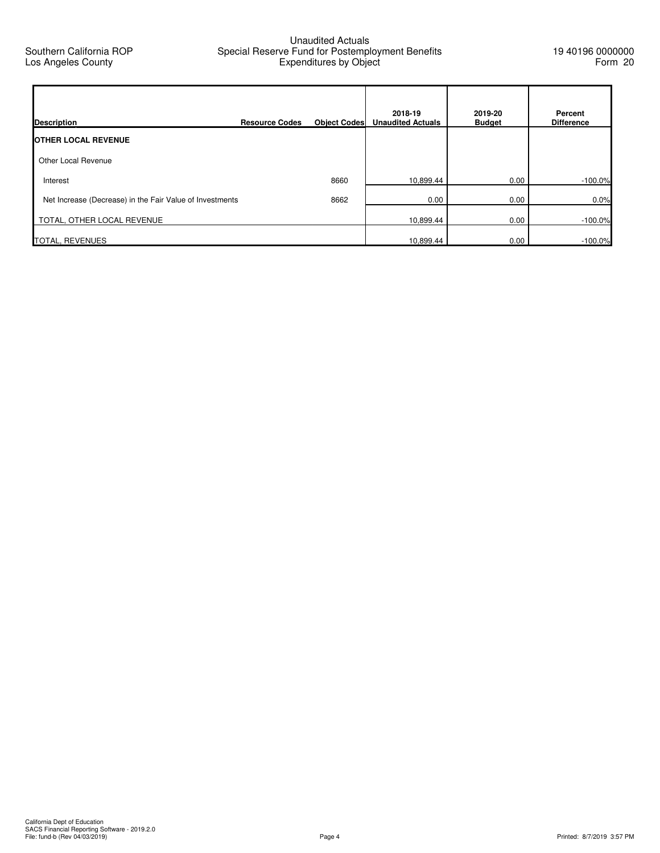## Unaudited Actuals Special Reserve Fund for Postemployment Benefits Expenditures by Object

| <b>Description</b>                                       | <b>Resource Codes</b> | <b>Object Codes</b> | 2018-19<br><b>Unaudited Actuals</b> | 2019-20<br><b>Budget</b> | Percent<br><b>Difference</b> |
|----------------------------------------------------------|-----------------------|---------------------|-------------------------------------|--------------------------|------------------------------|
| <b>IOTHER LOCAL REVENUE</b>                              |                       |                     |                                     |                          |                              |
| Other Local Revenue                                      |                       |                     |                                     |                          |                              |
| Interest                                                 |                       | 8660                | 10,899.44                           | 0.00                     | $-100.0%$                    |
| Net Increase (Decrease) in the Fair Value of Investments |                       | 8662                | 0.00                                | 0.00                     | 0.0%                         |
| TOTAL, OTHER LOCAL REVENUE                               |                       |                     | 10,899.44                           | 0.00                     | $-100.0%$                    |
| <b>TOTAL, REVENUES</b>                                   |                       |                     | 10,899.44                           | 0.00                     | $-100.0\%$                   |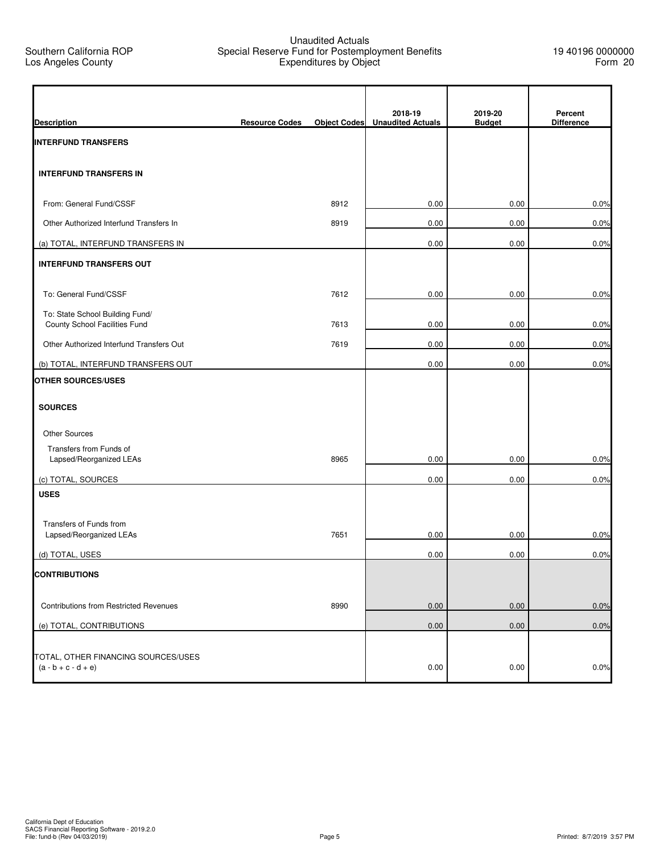## Unaudited Actuals Special Reserve Fund for Postemployment Benefits Expenditures by Object

| <b>Description</b>                                               | <b>Resource Codes</b> | <b>Object Codes</b> | 2018-19<br><b>Unaudited Actuals</b> | 2019-20<br><b>Budget</b> | Percent<br><b>Difference</b> |
|------------------------------------------------------------------|-----------------------|---------------------|-------------------------------------|--------------------------|------------------------------|
| <b>INTERFUND TRANSFERS</b>                                       |                       |                     |                                     |                          |                              |
| <b>INTERFUND TRANSFERS IN</b>                                    |                       |                     |                                     |                          |                              |
| From: General Fund/CSSF                                          |                       | 8912                | 0.00                                | 0.00                     | 0.0%                         |
| Other Authorized Interfund Transfers In                          |                       | 8919                | 0.00                                | 0.00                     | 0.0%                         |
| (a) TOTAL, INTERFUND TRANSFERS IN                                |                       |                     | 0.00                                | 0.00                     | 0.0%                         |
| <b>INTERFUND TRANSFERS OUT</b>                                   |                       |                     |                                     |                          |                              |
| To: General Fund/CSSF                                            |                       | 7612                | 0.00                                | 0.00                     | 0.0%                         |
| To: State School Building Fund/<br>County School Facilities Fund |                       | 7613                | 0.00                                | 0.00                     | 0.0%                         |
| Other Authorized Interfund Transfers Out                         |                       | 7619                | 0.00                                | 0.00                     | 0.0%                         |
| (b) TOTAL, INTERFUND TRANSFERS OUT                               |                       |                     | 0.00                                | 0.00                     | 0.0%                         |
| <b>OTHER SOURCES/USES</b>                                        |                       |                     |                                     |                          |                              |
| <b>SOURCES</b>                                                   |                       |                     |                                     |                          |                              |
| <b>Other Sources</b>                                             |                       |                     |                                     |                          |                              |
| Transfers from Funds of<br>Lapsed/Reorganized LEAs               |                       | 8965                | 0.00                                | 0.00                     | 0.0%                         |
| (c) TOTAL, SOURCES                                               |                       |                     | 0.00                                | 0.00                     | 0.0%                         |
| <b>USES</b>                                                      |                       |                     |                                     |                          |                              |
| Transfers of Funds from<br>Lapsed/Reorganized LEAs               |                       | 7651                | 0.00                                | 0.00                     | 0.0%                         |
| (d) TOTAL, USES                                                  |                       |                     | 0.00                                | 0.00                     | 0.0%                         |
| <b>CONTRIBUTIONS</b>                                             |                       |                     |                                     |                          |                              |
| Contributions from Restricted Revenues                           |                       | 8990                | 0.00                                | 0.00                     | 0.0%                         |
| (e) TOTAL, CONTRIBUTIONS                                         |                       |                     | 0.00                                | 0.00                     | 0.0%                         |
| TOTAL, OTHER FINANCING SOURCES/USES<br>$(a - b + c - d + e)$     |                       |                     | 0.00                                | 0.00                     | 0.0%                         |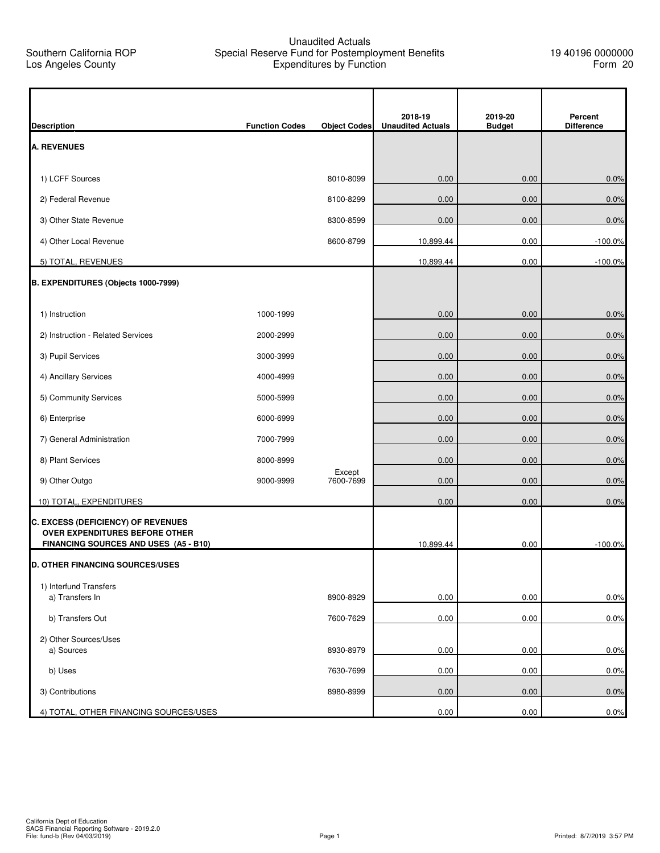## Unaudited Actuals Special Reserve Fund for Postemployment Benefits Expenditures by Function

| <b>Description</b>                                                             | <b>Function Codes</b> | <b>Object Codes</b> | 2018-19<br><b>Unaudited Actuals</b> | 2019-20<br><b>Budget</b> | Percent<br><b>Difference</b> |
|--------------------------------------------------------------------------------|-----------------------|---------------------|-------------------------------------|--------------------------|------------------------------|
| <b>A. REVENUES</b>                                                             |                       |                     |                                     |                          |                              |
|                                                                                |                       |                     |                                     |                          |                              |
| 1) LCFF Sources                                                                |                       | 8010-8099           | 0.00                                | 0.00                     | 0.0%                         |
| 2) Federal Revenue                                                             |                       | 8100-8299           | 0.00                                | 0.00                     | 0.0%                         |
| 3) Other State Revenue                                                         |                       | 8300-8599           | 0.00                                | 0.00                     | 0.0%                         |
| 4) Other Local Revenue                                                         |                       | 8600-8799           | 10,899.44                           | 0.00                     | $-100.0\%$                   |
| 5) TOTAL, REVENUES                                                             |                       |                     | 10,899.44                           | 0.00                     | $-100.0%$                    |
| B. EXPENDITURES (Objects 1000-7999)                                            |                       |                     |                                     |                          |                              |
|                                                                                |                       |                     |                                     |                          |                              |
| 1) Instruction                                                                 | 1000-1999             |                     | 0.00                                | 0.00                     | 0.0%                         |
| 2) Instruction - Related Services                                              | 2000-2999             |                     | 0.00                                | 0.00                     | 0.0%                         |
| 3) Pupil Services                                                              | 3000-3999             |                     | 0.00                                | 0.00                     | 0.0%                         |
| 4) Ancillary Services                                                          | 4000-4999             |                     | 0.00                                | 0.00                     | 0.0%                         |
| 5) Community Services                                                          | 5000-5999             |                     | 0.00                                | 0.00                     | 0.0%                         |
| 6) Enterprise                                                                  | 6000-6999             |                     | 0.00                                | 0.00                     | 0.0%                         |
| 7) General Administration                                                      | 7000-7999             |                     | 0.00                                | 0.00                     | 0.0%                         |
| 8) Plant Services                                                              | 8000-8999             |                     | 0.00                                | 0.00                     | 0.0%                         |
| 9) Other Outgo                                                                 | 9000-9999             | Except<br>7600-7699 | 0.00                                | 0.00                     | 0.0%                         |
| 10) TOTAL, EXPENDITURES                                                        |                       |                     | 0.00                                | 0.00                     | 0.0%                         |
| <b>C. EXCESS (DEFICIENCY) OF REVENUES</b>                                      |                       |                     |                                     |                          |                              |
| <b>OVER EXPENDITURES BEFORE OTHER</b><br>FINANCING SOURCES AND USES (A5 - B10) |                       |                     | 10,899.44                           | 0.00                     | $-100.0%$                    |
| <b>D. OTHER FINANCING SOURCES/USES</b>                                         |                       |                     |                                     |                          |                              |
| 1) Interfund Transfers                                                         |                       |                     |                                     |                          |                              |
| a) Transfers In                                                                |                       | 8900-8929           | 0.00                                | 0.00                     | 0.0%                         |
| b) Transfers Out                                                               |                       | 7600-7629           | 0.00                                | 0.00                     | 0.0%                         |
| 2) Other Sources/Uses                                                          |                       |                     |                                     |                          |                              |
| a) Sources                                                                     |                       | 8930-8979           | 0.00                                | 0.00                     | 0.0%                         |
| b) Uses                                                                        |                       | 7630-7699           | 0.00                                | 0.00                     | 0.0%                         |
| 3) Contributions                                                               |                       | 8980-8999           | 0.00                                | 0.00                     | 0.0%                         |
| 4) TOTAL, OTHER FINANCING SOURCES/USES                                         |                       |                     | 0.00                                | 0.00                     | 0.0%                         |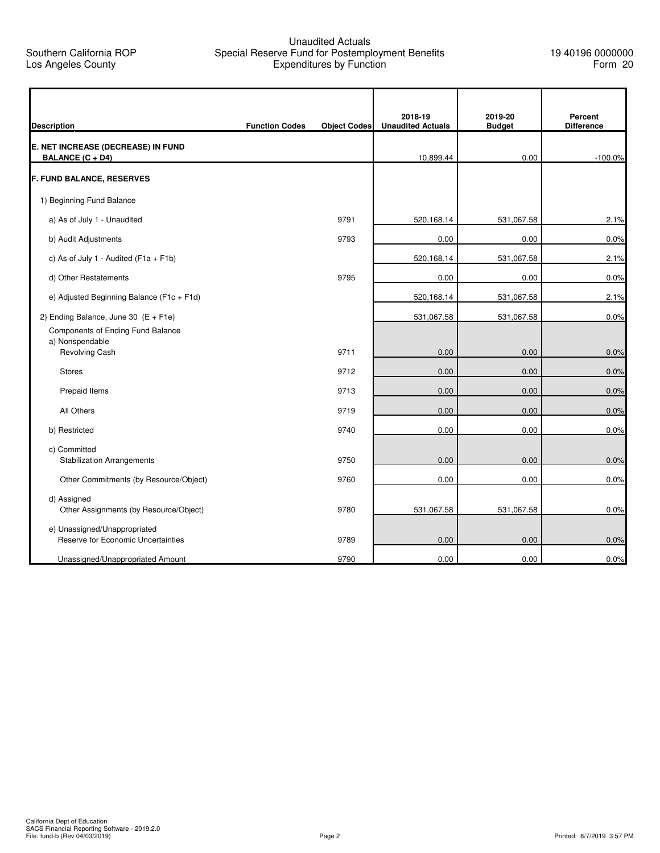## Unaudited Actuals Special Reserve Fund for Postemployment Benefits Expenditures by Function

| <b>Description</b>                                                 | <b>Function Codes</b> | <b>Object Codes</b> | 2018-19<br><b>Unaudited Actuals</b> | 2019-20<br><b>Budget</b> | Percent<br><b>Difference</b> |
|--------------------------------------------------------------------|-----------------------|---------------------|-------------------------------------|--------------------------|------------------------------|
| E. NET INCREASE (DECREASE) IN FUND                                 |                       |                     |                                     |                          |                              |
| <b>BALANCE (C + D4)</b>                                            |                       |                     | 10,899.44                           | 0.00                     | $-100.0%$                    |
| <b>F. FUND BALANCE, RESERVES</b>                                   |                       |                     |                                     |                          |                              |
| 1) Beginning Fund Balance                                          |                       |                     |                                     |                          |                              |
| a) As of July 1 - Unaudited                                        |                       | 9791                | 520,168.14                          | 531,067.58               | 2.1%                         |
| b) Audit Adjustments                                               |                       | 9793                | 0.00                                | 0.00                     | 0.0%                         |
| c) As of July 1 - Audited ( $F1a + F1b$ )                          |                       |                     | 520,168.14                          | 531,067.58               | 2.1%                         |
| d) Other Restatements                                              |                       | 9795                | 0.00                                | 0.00                     | 0.0%                         |
| e) Adjusted Beginning Balance (F1c + F1d)                          |                       |                     | 520,168.14                          | 531,067.58               | 2.1%                         |
| 2) Ending Balance, June 30 $(E + F1e)$                             |                       |                     | 531,067.58                          | 531,067.58               | 0.0%                         |
| Components of Ending Fund Balance<br>a) Nonspendable               |                       |                     |                                     |                          |                              |
| Revolving Cash                                                     |                       | 9711                | 0.00                                | 0.00                     | 0.0%                         |
| <b>Stores</b>                                                      |                       | 9712                | 0.00                                | 0.00                     | 0.0%                         |
| Prepaid Items                                                      |                       | 9713                | 0.00                                | 0.00                     | 0.0%                         |
| All Others                                                         |                       | 9719                | 0.00                                | 0.00                     | 0.0%                         |
| b) Restricted                                                      |                       | 9740                | 0.00                                | 0.00                     | 0.0%                         |
| c) Committed                                                       |                       |                     |                                     |                          |                              |
| <b>Stabilization Arrangements</b>                                  |                       | 9750                | 0.00                                | 0.00                     | 0.0%                         |
| Other Commitments (by Resource/Object)                             |                       | 9760                | 0.00                                | 0.00                     | 0.0%                         |
| d) Assigned<br>Other Assignments (by Resource/Object)              |                       | 9780                | 531,067.58                          | 531,067.58               | 0.0%                         |
| e) Unassigned/Unappropriated<br>Reserve for Economic Uncertainties |                       | 9789                | 0.00                                | 0.00                     | 0.0%                         |
| Unassigned/Unappropriated Amount                                   |                       | 9790                | 0.00                                | 0.00                     | 0.0%                         |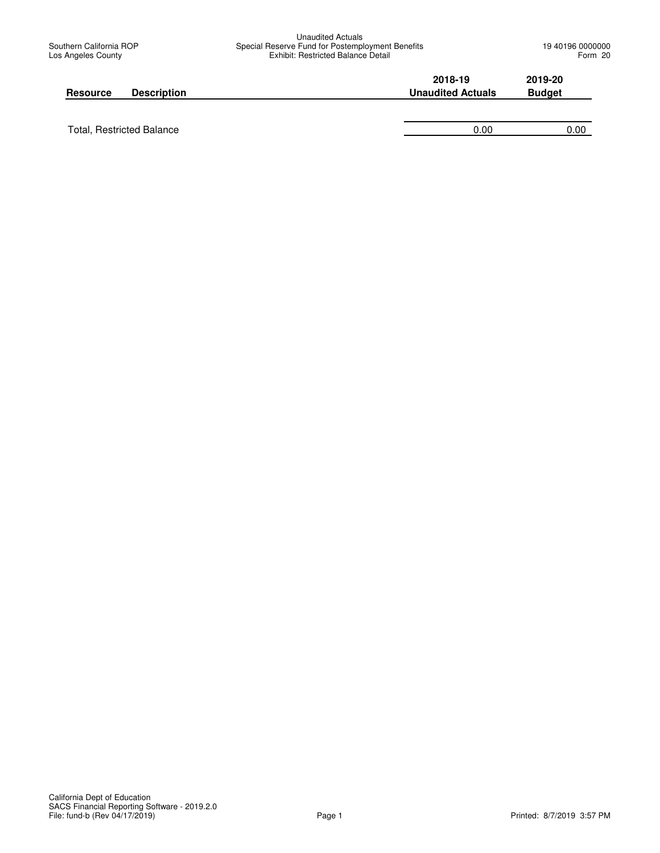| <b>Resource</b> | <b>Description</b> | 2018-19<br><b>Unaudited Actuals</b> | 2019-20<br><b>Budget</b> |
|-----------------|--------------------|-------------------------------------|--------------------------|
|                 |                    |                                     |                          |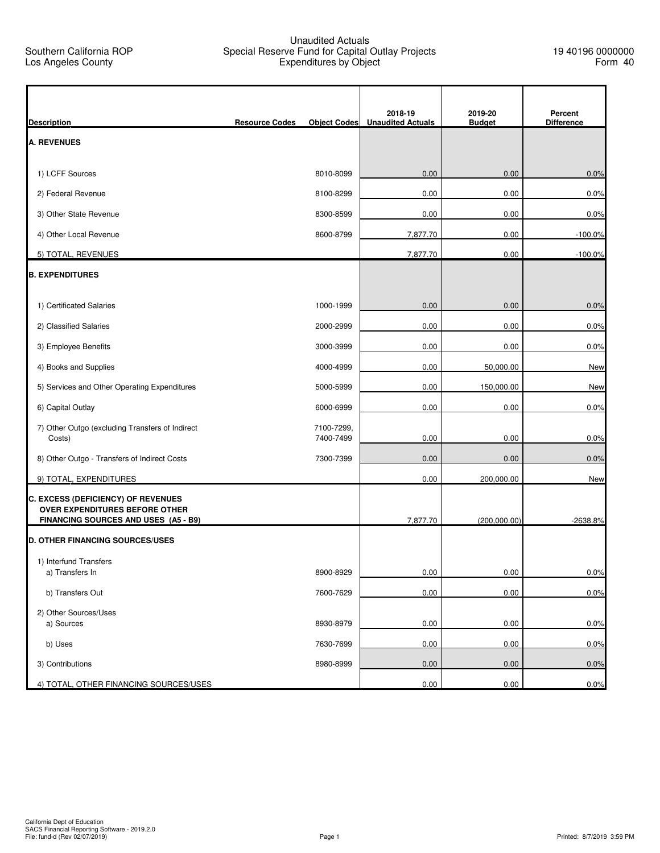## Unaudited Actuals Special Reserve Fund for Capital Outlay Projects Expenditures by Object

h

| <b>Description</b>                                                     | <b>Resource Codes</b> | <b>Object Codes</b>     | 2018-19<br><b>Unaudited Actuals</b> | 2019-20<br><b>Budget</b> | Percent<br><b>Difference</b> |
|------------------------------------------------------------------------|-----------------------|-------------------------|-------------------------------------|--------------------------|------------------------------|
| <b>A. REVENUES</b>                                                     |                       |                         |                                     |                          |                              |
| 1) LCFF Sources                                                        |                       | 8010-8099               | 0.00                                | 0.00                     | 0.0%                         |
| 2) Federal Revenue                                                     |                       | 8100-8299               | 0.00                                | 0.00                     | 0.0%                         |
| 3) Other State Revenue                                                 |                       | 8300-8599               | 0.00                                | 0.00                     | 0.0%                         |
| 4) Other Local Revenue                                                 |                       | 8600-8799               | 7,877.70                            | 0.00                     | $-100.0%$                    |
| 5) TOTAL, REVENUES                                                     |                       |                         | 7,877.70                            | 0.00                     | $-100.0%$                    |
|                                                                        |                       |                         |                                     |                          |                              |
| <b>B. EXPENDITURES</b>                                                 |                       |                         |                                     |                          |                              |
| 1) Certificated Salaries                                               |                       | 1000-1999               | 0.00                                | 0.00                     | 0.0%                         |
| 2) Classified Salaries                                                 |                       | 2000-2999               | 0.00                                | 0.00                     | 0.0%                         |
| 3) Employee Benefits                                                   |                       | 3000-3999               | 0.00                                | 0.00                     | 0.0%                         |
| 4) Books and Supplies                                                  |                       | 4000-4999               | 0.00                                | 50,000.00                | <b>New</b>                   |
| 5) Services and Other Operating Expenditures                           |                       | 5000-5999               | 0.00                                | 150,000.00               | New                          |
| 6) Capital Outlay                                                      |                       | 6000-6999               | 0.00                                | 0.00                     | 0.0%                         |
| 7) Other Outgo (excluding Transfers of Indirect<br>Costs)              |                       | 7100-7299,<br>7400-7499 | 0.00                                | 0.00                     | 0.0%                         |
| 8) Other Outgo - Transfers of Indirect Costs                           |                       | 7300-7399               | 0.00                                | 0.00                     | 0.0%                         |
| 9) TOTAL, EXPENDITURES                                                 |                       |                         | 0.00                                | 200,000.00               | New                          |
| C. EXCESS (DEFICIENCY) OF REVENUES                                     |                       |                         |                                     |                          |                              |
| OVER EXPENDITURES BEFORE OTHER<br>FINANCING SOURCES AND USES (A5 - B9) |                       |                         | 7,877.70                            | (200,000.00)             | $-2638.8%$                   |
| <b>D. OTHER FINANCING SOURCES/USES</b>                                 |                       |                         |                                     |                          |                              |
| 1) Interfund Transfers                                                 |                       |                         |                                     |                          |                              |
| a) Transfers In                                                        |                       | 8900-8929               | 0.00                                | 0.00                     | 0.0%                         |
| b) Transfers Out                                                       |                       | 7600-7629               | 0.00                                | 0.00                     | 0.0%                         |
| 2) Other Sources/Uses<br>a) Sources                                    |                       |                         |                                     |                          |                              |
|                                                                        |                       | 8930-8979               | 0.00                                | 0.00                     | 0.0%                         |
| b) Uses                                                                |                       | 7630-7699               | 0.00                                | 0.00                     | 0.0%                         |
| 3) Contributions                                                       |                       | 8980-8999               | 0.00                                | 0.00                     | 0.0%                         |
| 4) TOTAL, OTHER FINANCING SOURCES/USES                                 |                       |                         | 0.00                                | 0.00                     | 0.0%                         |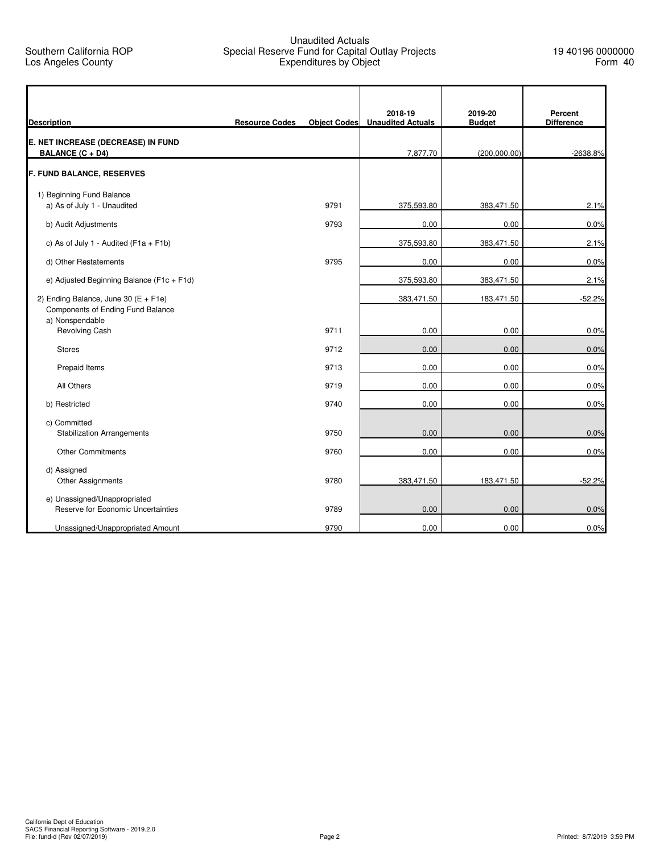## Unaudited Actuals Special Reserve Fund for Capital Outlay Projects Expenditures by Object

۰

| <b>Description</b>                                                                               | <b>Resource Codes</b> | <b>Object Codes</b> | 2018-19<br><b>Unaudited Actuals</b> | 2019-20<br><b>Budget</b> | Percent<br><b>Difference</b> |
|--------------------------------------------------------------------------------------------------|-----------------------|---------------------|-------------------------------------|--------------------------|------------------------------|
| E. NET INCREASE (DECREASE) IN FUND<br><b>BALANCE (C + D4)</b>                                    |                       |                     | 7,877.70                            | (200,000.00)             | -2638.8%                     |
| <b>F. FUND BALANCE, RESERVES</b>                                                                 |                       |                     |                                     |                          |                              |
| 1) Beginning Fund Balance<br>a) As of July 1 - Unaudited                                         |                       | 9791                | 375,593.80                          | 383,471.50               | 2.1%                         |
| b) Audit Adjustments                                                                             |                       | 9793                | 0.00                                | 0.00                     | 0.0%                         |
| c) As of July 1 - Audited ( $F1a + F1b$ )                                                        |                       |                     | 375,593.80                          | 383,471.50               | 2.1%                         |
| d) Other Restatements                                                                            |                       | 9795                | 0.00                                | 0.00                     | 0.0%                         |
| e) Adjusted Beginning Balance (F1c + F1d)                                                        |                       |                     | 375,593.80                          | 383,471.50               | 2.1%                         |
| 2) Ending Balance, June 30 ( $E + F1e$ )<br>Components of Ending Fund Balance<br>a) Nonspendable |                       |                     | 383,471.50                          | 183,471.50               | $-52.2%$                     |
| <b>Revolving Cash</b>                                                                            |                       | 9711                | 0.00                                | 0.00                     | 0.0%                         |
| <b>Stores</b>                                                                                    |                       | 9712                | 0.00                                | 0.00                     | 0.0%                         |
| Prepaid Items                                                                                    |                       | 9713                | 0.00                                | 0.00                     | 0.0%                         |
| All Others                                                                                       |                       | 9719                | 0.00                                | 0.00                     | 0.0%                         |
| b) Restricted                                                                                    |                       | 9740                | 0.00                                | 0.00                     | 0.0%                         |
| c) Committed<br><b>Stabilization Arrangements</b>                                                |                       | 9750                | 0.00                                | 0.00                     | 0.0%                         |
| <b>Other Commitments</b>                                                                         |                       | 9760                | 0.00                                | 0.00                     | 0.0%                         |
| d) Assigned<br>Other Assignments                                                                 |                       | 9780                | 383,471.50                          | 183,471.50               | $-52.2%$                     |
| e) Unassigned/Unappropriated<br>Reserve for Economic Uncertainties                               |                       | 9789                | 0.00                                | 0.00                     | 0.0%                         |
| Unassigned/Unappropriated Amount                                                                 |                       | 9790                | 0.00                                | 0.00                     | 0.0%                         |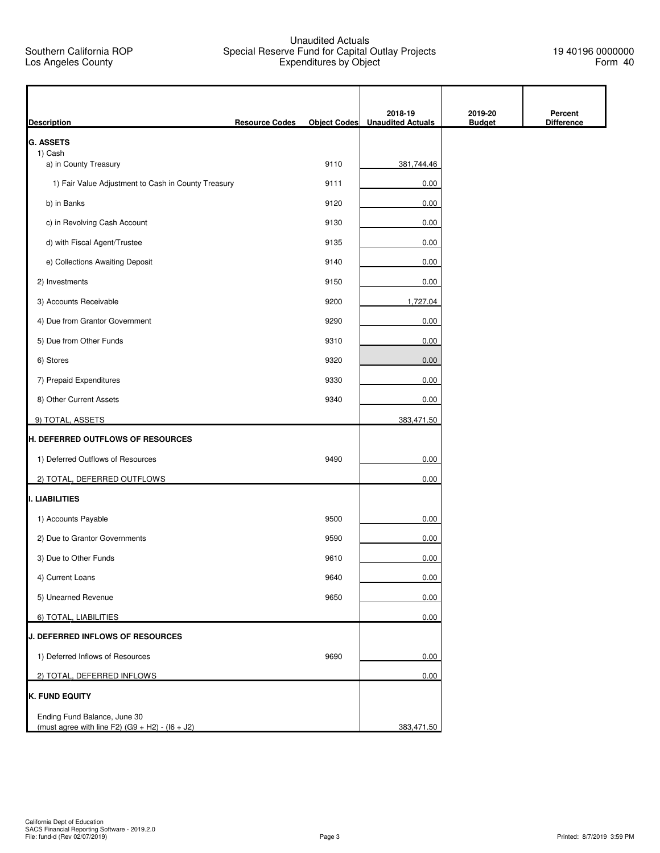## Unaudited Actuals Special Reserve Fund for Capital Outlay Projects Expenditures by Object

19 40196 0000000 Form 40

| <b>Description</b>                                                                | <b>Resource Codes</b> | <b>Object Codes</b> | 2018-19<br><b>Unaudited Actuals</b> | 2019-20<br><b>Budget</b> | Percent<br><b>Difference</b> |
|-----------------------------------------------------------------------------------|-----------------------|---------------------|-------------------------------------|--------------------------|------------------------------|
| <b>G. ASSETS</b>                                                                  |                       |                     |                                     |                          |                              |
| 1) Cash<br>a) in County Treasury                                                  |                       | 9110                | 381,744.46                          |                          |                              |
| 1) Fair Value Adjustment to Cash in County Treasury                               |                       | 9111                | 0.00                                |                          |                              |
| b) in Banks                                                                       |                       | 9120                | 0.00                                |                          |                              |
| c) in Revolving Cash Account                                                      |                       | 9130                | 0.00                                |                          |                              |
| d) with Fiscal Agent/Trustee                                                      |                       | 9135                | 0.00                                |                          |                              |
| e) Collections Awaiting Deposit                                                   |                       | 9140                | 0.00                                |                          |                              |
| 2) Investments                                                                    |                       | 9150                | 0.00                                |                          |                              |
| 3) Accounts Receivable                                                            |                       | 9200                | 1,727.04                            |                          |                              |
| 4) Due from Grantor Government                                                    |                       | 9290                | 0.00                                |                          |                              |
| 5) Due from Other Funds                                                           |                       | 9310                | 0.00                                |                          |                              |
| 6) Stores                                                                         |                       | 9320                | 0.00                                |                          |                              |
| 7) Prepaid Expenditures                                                           |                       | 9330                | 0.00                                |                          |                              |
| 8) Other Current Assets                                                           |                       | 9340                | 0.00                                |                          |                              |
|                                                                                   |                       |                     |                                     |                          |                              |
| 9) TOTAL, ASSETS<br>H. DEFERRED OUTFLOWS OF RESOURCES                             |                       |                     | 383,471.50                          |                          |                              |
|                                                                                   |                       |                     |                                     |                          |                              |
| 1) Deferred Outflows of Resources                                                 |                       | 9490                | 0.00                                |                          |                              |
| 2) TOTAL, DEFERRED OUTFLOWS                                                       |                       |                     | 0.00                                |                          |                              |
| I. LIABILITIES                                                                    |                       |                     |                                     |                          |                              |
| 1) Accounts Payable                                                               |                       | 9500                | 0.00                                |                          |                              |
| 2) Due to Grantor Governments                                                     |                       | 9590                | 0.00                                |                          |                              |
| 3) Due to Other Funds                                                             |                       | 9610                | 0.00                                |                          |                              |
| 4) Current Loans                                                                  |                       | 9640                | $0.00\,$                            |                          |                              |
| 5) Unearned Revenue                                                               |                       | 9650                | 0.00                                |                          |                              |
| 6) TOTAL, LIABILITIES                                                             |                       |                     | 0.00                                |                          |                              |
| J. DEFERRED INFLOWS OF RESOURCES                                                  |                       |                     |                                     |                          |                              |
| 1) Deferred Inflows of Resources                                                  |                       | 9690                | 0.00                                |                          |                              |
| 2) TOTAL, DEFERRED INFLOWS                                                        |                       |                     | 0.00                                |                          |                              |
| <b>K. FUND EQUITY</b>                                                             |                       |                     |                                     |                          |                              |
| Ending Fund Balance, June 30<br>(must agree with line F2) $(G9 + H2) - (16 + J2)$ |                       |                     | 383,471.50                          |                          |                              |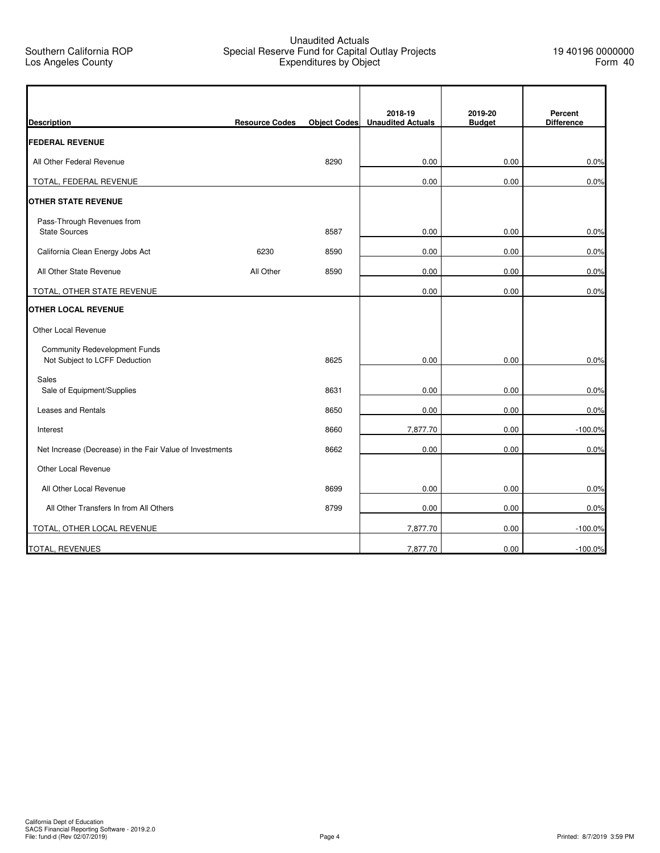Southern California ROP Los Angeles County

## Unaudited Actuals Special Reserve Fund for Capital Outlay Projects Expenditures by Object

| <b>Description</b>                                                    | <b>Resource Codes</b> | <b>Object Codes</b> | 2018-19<br><b>Unaudited Actuals</b> | 2019-20<br><b>Budget</b> | Percent<br><b>Difference</b> |
|-----------------------------------------------------------------------|-----------------------|---------------------|-------------------------------------|--------------------------|------------------------------|
| <b>FEDERAL REVENUE</b>                                                |                       |                     |                                     |                          |                              |
| All Other Federal Revenue                                             |                       | 8290                | 0.00                                | 0.00                     | 0.0%                         |
| TOTAL, FEDERAL REVENUE                                                |                       |                     | 0.00                                | 0.00                     | 0.0%                         |
| <b>OTHER STATE REVENUE</b>                                            |                       |                     |                                     |                          |                              |
| Pass-Through Revenues from<br><b>State Sources</b>                    |                       | 8587                | 0.00                                | 0.00                     | 0.0%                         |
| California Clean Energy Jobs Act                                      | 6230                  | 8590                | 0.00                                | 0.00                     | 0.0%                         |
| All Other State Revenue                                               | All Other             | 8590                | 0.00                                | 0.00                     | 0.0%                         |
| TOTAL, OTHER STATE REVENUE                                            |                       |                     | 0.00                                | 0.00                     | 0.0%                         |
| OTHER LOCAL REVENUE                                                   |                       |                     |                                     |                          |                              |
| Other Local Revenue                                                   |                       |                     |                                     |                          |                              |
| <b>Community Redevelopment Funds</b><br>Not Subject to LCFF Deduction |                       | 8625                | 0.00                                | 0.00                     | 0.0%                         |
| Sales<br>Sale of Equipment/Supplies                                   |                       | 8631                | 0.00                                | 0.00                     | 0.0%                         |
| <b>Leases and Rentals</b>                                             |                       | 8650                | 0.00                                | 0.00                     | 0.0%                         |
| Interest                                                              |                       | 8660                | 7,877.70                            | 0.00                     | $-100.0%$                    |
| Net Increase (Decrease) in the Fair Value of Investments              |                       | 8662                | 0.00                                | 0.00                     | 0.0%                         |
| Other Local Revenue                                                   |                       |                     |                                     |                          |                              |
| All Other Local Revenue                                               |                       | 8699                | 0.00                                | 0.00                     | 0.0%                         |
| All Other Transfers In from All Others                                |                       | 8799                | 0.00                                | 0.00                     | 0.0%                         |
| TOTAL, OTHER LOCAL REVENUE                                            |                       |                     | 7,877.70                            | 0.00                     | $-100.0%$                    |
| <b>TOTAL, REVENUES</b>                                                |                       |                     | 7,877.70                            | 0.00                     | $-100.0%$                    |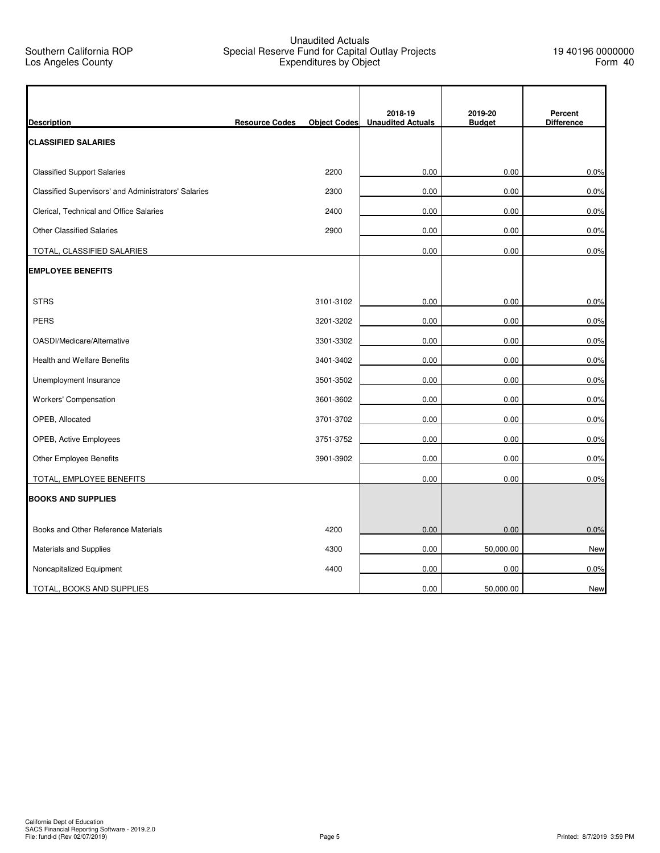## Unaudited Actuals Special Reserve Fund for Capital Outlay Projects Expenditures by Object

h

|                                                      |                       |                     | 2018-19                  | 2019-20       | Percent           |
|------------------------------------------------------|-----------------------|---------------------|--------------------------|---------------|-------------------|
| <b>Description</b>                                   | <b>Resource Codes</b> | <b>Object Codes</b> | <b>Unaudited Actuals</b> | <b>Budget</b> | <b>Difference</b> |
| <b>CLASSIFIED SALARIES</b>                           |                       |                     |                          |               |                   |
| <b>Classified Support Salaries</b>                   |                       | 2200                | 0.00                     | 0.00          | 0.0%              |
| Classified Supervisors' and Administrators' Salaries |                       | 2300                | 0.00                     | 0.00          | 0.0%              |
| Clerical, Technical and Office Salaries              |                       | 2400                | 0.00                     | 0.00          | 0.0%              |
| <b>Other Classified Salaries</b>                     |                       | 2900                | 0.00                     | 0.00          | 0.0%              |
| TOTAL, CLASSIFIED SALARIES                           |                       |                     | 0.00                     | 0.00          | 0.0%              |
| <b>EMPLOYEE BENEFITS</b>                             |                       |                     |                          |               |                   |
| <b>STRS</b>                                          |                       | 3101-3102           | 0.00                     | 0.00          | 0.0%              |
| <b>PERS</b>                                          |                       | 3201-3202           | 0.00                     | 0.00          | 0.0%              |
| OASDI/Medicare/Alternative                           |                       | 3301-3302           | 0.00                     | 0.00          | 0.0%              |
| <b>Health and Welfare Benefits</b>                   |                       | 3401-3402           | 0.00                     | 0.00          | 0.0%              |
| Unemployment Insurance                               |                       | 3501-3502           | 0.00                     | 0.00          | 0.0%              |
| Workers' Compensation                                |                       | 3601-3602           | 0.00                     | 0.00          | 0.0%              |
| OPEB, Allocated                                      |                       | 3701-3702           | 0.00                     | 0.00          | 0.0%              |
| OPEB, Active Employees                               |                       | 3751-3752           | 0.00                     | 0.00          | 0.0%              |
| Other Employee Benefits                              |                       | 3901-3902           | 0.00                     | 0.00          | 0.0%              |
| TOTAL, EMPLOYEE BENEFITS                             |                       |                     | 0.00                     | 0.00          | 0.0%              |
| <b>BOOKS AND SUPPLIES</b>                            |                       |                     |                          |               |                   |
| Books and Other Reference Materials                  |                       | 4200                | 0.00                     | 0.00          | 0.0%              |
| Materials and Supplies                               |                       | 4300                | 0.00                     | 50,000.00     | <b>New</b>        |
| Noncapitalized Equipment                             |                       | 4400                | 0.00                     | 0.00          | 0.0%              |
| TOTAL, BOOKS AND SUPPLIES                            |                       |                     | 0.00                     | 50,000.00     | New               |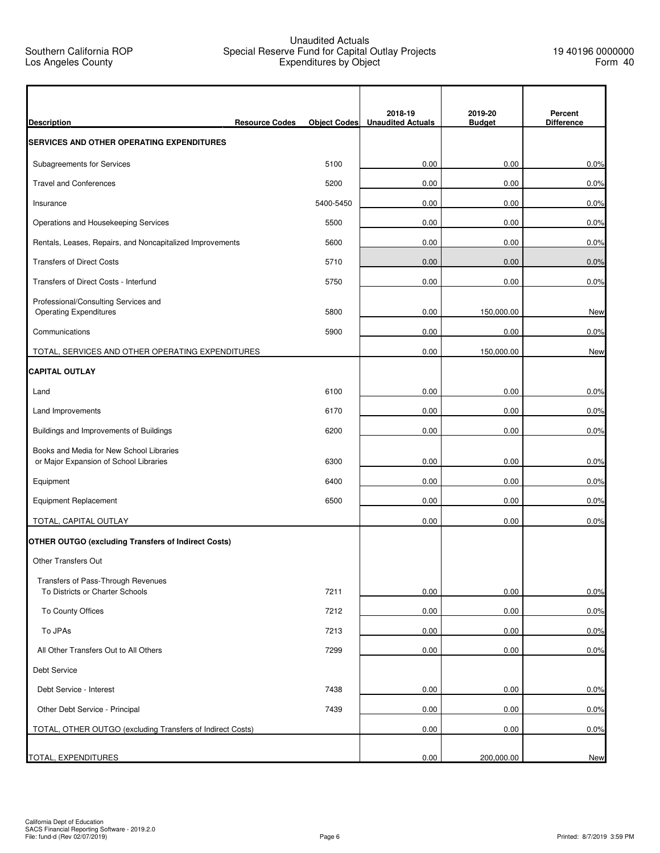### Unaudited Actuals Special Reserve Fund for Capital Outlay Projects Expenditures by Object

٦

| <b>Description</b>                                                                 | <b>Resource Codes</b> | <b>Object Codes</b> | 2018-19<br><b>Unaudited Actuals</b> | 2019-20<br><b>Budget</b> | Percent<br><b>Difference</b> |
|------------------------------------------------------------------------------------|-----------------------|---------------------|-------------------------------------|--------------------------|------------------------------|
| <b>SERVICES AND OTHER OPERATING EXPENDITURES</b>                                   |                       |                     |                                     |                          |                              |
| Subagreements for Services                                                         |                       | 5100                | 0.00                                | 0.00                     | 0.0%                         |
| <b>Travel and Conferences</b>                                                      |                       | 5200                | 0.00                                | 0.00                     | 0.0%                         |
| Insurance                                                                          |                       | 5400-5450           | 0.00                                | 0.00                     | 0.0%                         |
| Operations and Housekeeping Services                                               |                       | 5500                | 0.00                                | 0.00                     | 0.0%                         |
| Rentals, Leases, Repairs, and Noncapitalized Improvements                          |                       | 5600                | 0.00                                | 0.00                     | 0.0%                         |
| <b>Transfers of Direct Costs</b>                                                   |                       | 5710                | 0.00                                | 0.00                     | 0.0%                         |
| Transfers of Direct Costs - Interfund                                              |                       | 5750                | 0.00                                | 0.00                     | 0.0%                         |
| Professional/Consulting Services and<br><b>Operating Expenditures</b>              |                       | 5800                | 0.00                                | 150,000.00               | New                          |
| Communications                                                                     |                       | 5900                | 0.00                                | 0.00                     | 0.0%                         |
| TOTAL, SERVICES AND OTHER OPERATING EXPENDITURES                                   |                       |                     | 0.00                                | 150,000.00               | <b>New</b>                   |
| <b>CAPITAL OUTLAY</b>                                                              |                       |                     |                                     |                          |                              |
| Land                                                                               |                       | 6100                | 0.00                                | 0.00                     | 0.0%                         |
| Land Improvements                                                                  |                       | 6170                | 0.00                                | 0.00                     | 0.0%                         |
| Buildings and Improvements of Buildings                                            |                       | 6200                | 0.00                                | 0.00                     | 0.0%                         |
| Books and Media for New School Libraries<br>or Major Expansion of School Libraries |                       | 6300                | 0.00                                | 0.00                     | 0.0%                         |
| Equipment                                                                          |                       | 6400                | 0.00                                | 0.00                     | 0.0%                         |
| <b>Equipment Replacement</b>                                                       |                       | 6500                | 0.00                                | 0.00                     | 0.0%                         |
| TOTAL, CAPITAL OUTLAY                                                              |                       |                     | 0.00                                | 0.00                     | 0.0%                         |
| <b>OTHER OUTGO (excluding Transfers of Indirect Costs)</b>                         |                       |                     |                                     |                          |                              |
| <b>Other Transfers Out</b>                                                         |                       |                     |                                     |                          |                              |
| Transfers of Pass-Through Revenues<br>To Districts or Charter Schools              |                       | 7211                | 0.00                                | 0.00                     | 0.0%                         |
| To County Offices                                                                  |                       | 7212                | 0.00                                | 0.00                     | 0.0%                         |
| To JPAs                                                                            |                       | 7213                | 0.00                                | 0.00                     | 0.0%                         |
| All Other Transfers Out to All Others                                              |                       | 7299                | 0.00                                | 0.00                     | 0.0%                         |
| Debt Service                                                                       |                       |                     |                                     |                          |                              |
| Debt Service - Interest                                                            |                       | 7438                | 0.00                                | 0.00                     | 0.0%                         |
| Other Debt Service - Principal                                                     |                       | 7439                | 0.00                                | 0.00                     | 0.0%                         |
| TOTAL, OTHER OUTGO (excluding Transfers of Indirect Costs)                         |                       |                     | 0.00                                | 0.00                     | 0.0%                         |
| TOTAL, EXPENDITURES                                                                |                       |                     | 0.00                                | 200,000.00               | <b>New</b>                   |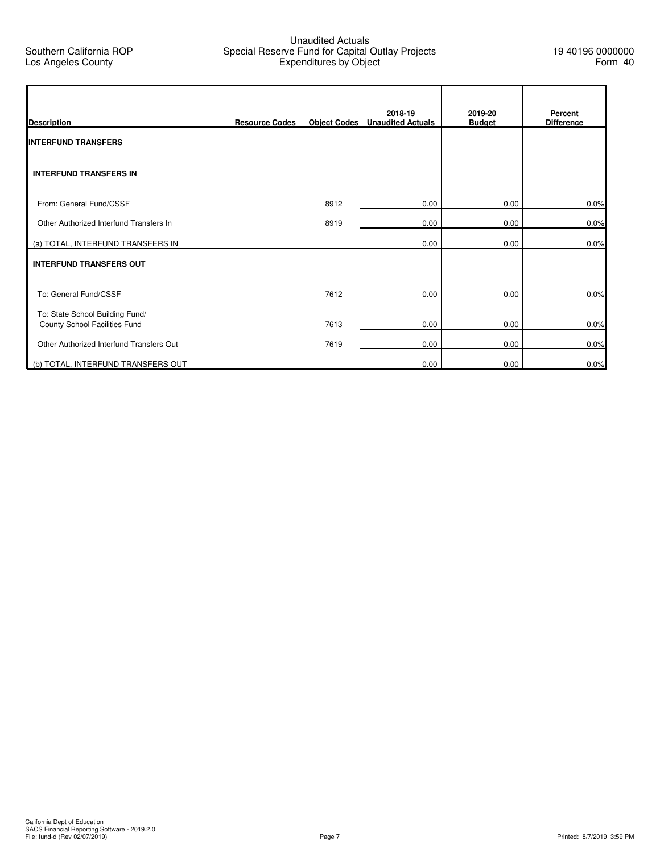## Unaudited Actuals Special Reserve Fund for Capital Outlay Projects Expenditures by Object

ı

| <b>Description</b>                                               | <b>Resource Codes</b> | <b>Object Codes</b> | 2018-19<br><b>Unaudited Actuals</b> | 2019-20<br><b>Budget</b> | Percent<br><b>Difference</b> |
|------------------------------------------------------------------|-----------------------|---------------------|-------------------------------------|--------------------------|------------------------------|
| <b>INTERFUND TRANSFERS</b>                                       |                       |                     |                                     |                          |                              |
| <b>INTERFUND TRANSFERS IN</b>                                    |                       |                     |                                     |                          |                              |
| From: General Fund/CSSF                                          |                       | 8912                | 0.00                                | 0.00                     | 0.0%                         |
| Other Authorized Interfund Transfers In                          |                       | 8919                | 0.00                                | 0.00                     | 0.0%                         |
| (a) TOTAL, INTERFUND TRANSFERS IN                                |                       |                     | 0.00                                | 0.00                     | 0.0%                         |
| <b>INTERFUND TRANSFERS OUT</b>                                   |                       |                     |                                     |                          |                              |
| To: General Fund/CSSF                                            |                       | 7612                | 0.00                                | 0.00                     | 0.0%                         |
| To: State School Building Fund/<br>County School Facilities Fund |                       | 7613                | 0.00                                | 0.00                     | 0.0%                         |
| Other Authorized Interfund Transfers Out                         |                       | 7619                | 0.00                                | 0.00                     | 0.0%                         |
| (b) TOTAL, INTERFUND TRANSFERS OUT                               |                       |                     | 0.00                                | 0.00                     | 0.0%                         |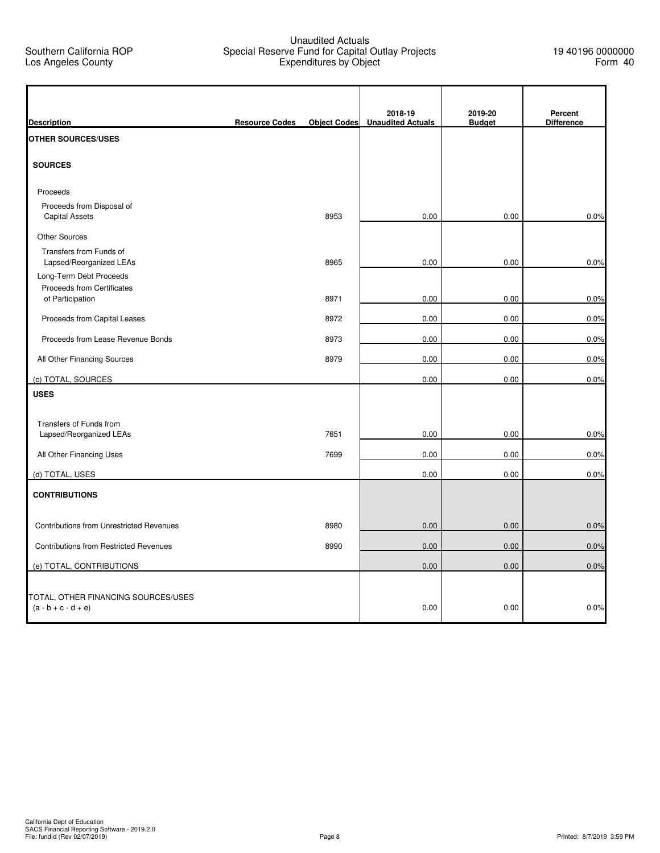## Unaudited Actuals Special Reserve Fund for Capital Outlay Projects Expenditures by Object

۰

| <b>Description</b>                                           | <b>Resource Codes</b> | <b>Object Codes</b> | 2018-19<br><b>Unaudited Actuals</b> | 2019-20<br><b>Budget</b> | Percent<br><b>Difference</b> |
|--------------------------------------------------------------|-----------------------|---------------------|-------------------------------------|--------------------------|------------------------------|
| <b>OTHER SOURCES/USES</b>                                    |                       |                     |                                     |                          |                              |
| <b>SOURCES</b>                                               |                       |                     |                                     |                          |                              |
| Proceeds                                                     |                       |                     |                                     |                          |                              |
| Proceeds from Disposal of<br><b>Capital Assets</b>           |                       | 8953                | 0.00                                | 0.00                     | 0.0%                         |
| <b>Other Sources</b>                                         |                       |                     |                                     |                          |                              |
| Transfers from Funds of<br>Lapsed/Reorganized LEAs           |                       | 8965                | 0.00                                | 0.00                     | 0.0%                         |
| Long-Term Debt Proceeds<br>Proceeds from Certificates        |                       |                     |                                     |                          |                              |
| of Participation                                             |                       | 8971                | 0.00                                | 0.00                     | 0.0%                         |
| Proceeds from Capital Leases                                 |                       | 8972                | 0.00                                | 0.00                     | 0.0%                         |
| Proceeds from Lease Revenue Bonds                            |                       | 8973                | 0.00                                | 0.00                     | 0.0%                         |
| All Other Financing Sources                                  |                       | 8979                | 0.00                                | 0.00                     | 0.0%                         |
| (c) TOTAL, SOURCES                                           |                       |                     | 0.00                                | 0.00                     | 0.0%                         |
| <b>USES</b>                                                  |                       |                     |                                     |                          |                              |
| Transfers of Funds from                                      |                       |                     |                                     |                          |                              |
| Lapsed/Reorganized LEAs                                      |                       | 7651                | 0.00                                | 0.00                     | 0.0%                         |
| All Other Financing Uses                                     |                       | 7699                | 0.00                                | 0.00                     | 0.0%                         |
| (d) TOTAL, USES                                              |                       |                     | 0.00                                | 0.00                     | 0.0%                         |
| <b>CONTRIBUTIONS</b>                                         |                       |                     |                                     |                          |                              |
|                                                              |                       |                     |                                     |                          |                              |
| <b>Contributions from Unrestricted Revenues</b>              |                       | 8980                | 0.00                                | 0.00                     | 0.0%                         |
| <b>Contributions from Restricted Revenues</b>                |                       | 8990                | 0.00                                | 0.00                     | 0.0%                         |
| (e) TOTAL, CONTRIBUTIONS                                     |                       |                     | 0.00                                | 0.00                     | 0.0%                         |
|                                                              |                       |                     |                                     |                          |                              |
| TOTAL, OTHER FINANCING SOURCES/USES<br>$(a - b + c - d + e)$ |                       |                     | 0.00                                | 0.00                     | 0.0%                         |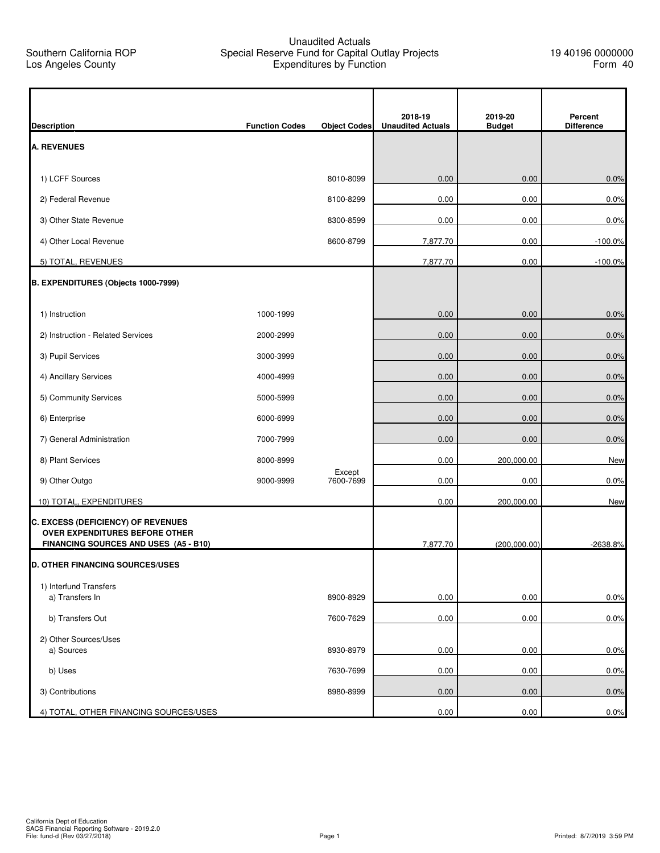## Unaudited Actuals Special Reserve Fund for Capital Outlay Projects Expenditures by Function

| 2018-19<br>2019-20<br>Percent<br><b>Unaudited Actuals</b><br><b>Function Codes</b><br><b>Object Codes</b><br><b>Budget</b><br><b>Difference</b><br>1) LCFF Sources<br>8010-8099<br>0.00<br>0.00<br>2) Federal Revenue<br>0.00<br>0.00<br>8100-8299<br>3) Other State Revenue<br>0.00<br>0.00<br>8300-8599<br>4) Other Local Revenue<br>8600-8799<br>7,877.70<br>0.00<br>5) TOTAL, REVENUES<br>7,877.70<br>0.00<br>B. EXPENDITURES (Objects 1000-7999)<br>1) Instruction<br>1000-1999<br>0.00<br>0.00<br>0.00<br>2) Instruction - Related Services<br>2000-2999<br>0.00<br>3) Pupil Services<br>0.00<br>0.00<br>3000-3999<br>4) Ancillary Services<br>4000-4999<br>0.00<br>0.00<br>5) Community Services<br>5000-5999<br>0.00<br>0.00<br>6) Enterprise<br>6000-6999<br>0.00<br>0.00<br>7) General Administration<br>7000-7999<br>0.00<br>0.00<br>8) Plant Services<br>0.00<br>8000-8999<br>200,000.00<br>Except<br>7600-7699<br>9) Other Outgo<br>9000-9999<br>0.00<br>0.00<br>10) TOTAL, EXPENDITURES<br>0.00<br>200,000.00<br>OVER EXPENDITURES BEFORE OTHER<br>FINANCING SOURCES AND USES (A5 - B10)<br>7,877.70<br>(200,000.00)<br>1) Interfund Transfers<br>a) Transfers In<br>0.00<br>8900-8929<br>0.00<br>b) Transfers Out<br>0.00<br>0.00<br>7600-7629<br>2) Other Sources/Uses<br>a) Sources<br>0.00<br>8930-8979<br>0.00<br>7630-7699<br>0.00<br>0.00<br>b) Uses |                                        |  |  |      |
|---------------------------------------------------------------------------------------------------------------------------------------------------------------------------------------------------------------------------------------------------------------------------------------------------------------------------------------------------------------------------------------------------------------------------------------------------------------------------------------------------------------------------------------------------------------------------------------------------------------------------------------------------------------------------------------------------------------------------------------------------------------------------------------------------------------------------------------------------------------------------------------------------------------------------------------------------------------------------------------------------------------------------------------------------------------------------------------------------------------------------------------------------------------------------------------------------------------------------------------------------------------------------------------------------------------------------------------------------------------------------|----------------------------------------|--|--|------|
| 0.0%<br>0.0%<br>0.0%<br>$-100.0%$<br>$-100.0%$<br>0.0%<br>0.0%                                                                                                                                                                                                                                                                                                                                                                                                                                                                                                                                                                                                                                                                                                                                                                                                                                                                                                                                                                                                                                                                                                                                                                                                                                                                                                            | <b>Description</b>                     |  |  |      |
|                                                                                                                                                                                                                                                                                                                                                                                                                                                                                                                                                                                                                                                                                                                                                                                                                                                                                                                                                                                                                                                                                                                                                                                                                                                                                                                                                                           | <b>A. REVENUES</b>                     |  |  |      |
|                                                                                                                                                                                                                                                                                                                                                                                                                                                                                                                                                                                                                                                                                                                                                                                                                                                                                                                                                                                                                                                                                                                                                                                                                                                                                                                                                                           |                                        |  |  |      |
|                                                                                                                                                                                                                                                                                                                                                                                                                                                                                                                                                                                                                                                                                                                                                                                                                                                                                                                                                                                                                                                                                                                                                                                                                                                                                                                                                                           |                                        |  |  |      |
|                                                                                                                                                                                                                                                                                                                                                                                                                                                                                                                                                                                                                                                                                                                                                                                                                                                                                                                                                                                                                                                                                                                                                                                                                                                                                                                                                                           |                                        |  |  |      |
|                                                                                                                                                                                                                                                                                                                                                                                                                                                                                                                                                                                                                                                                                                                                                                                                                                                                                                                                                                                                                                                                                                                                                                                                                                                                                                                                                                           |                                        |  |  |      |
|                                                                                                                                                                                                                                                                                                                                                                                                                                                                                                                                                                                                                                                                                                                                                                                                                                                                                                                                                                                                                                                                                                                                                                                                                                                                                                                                                                           |                                        |  |  |      |
|                                                                                                                                                                                                                                                                                                                                                                                                                                                                                                                                                                                                                                                                                                                                                                                                                                                                                                                                                                                                                                                                                                                                                                                                                                                                                                                                                                           |                                        |  |  |      |
|                                                                                                                                                                                                                                                                                                                                                                                                                                                                                                                                                                                                                                                                                                                                                                                                                                                                                                                                                                                                                                                                                                                                                                                                                                                                                                                                                                           |                                        |  |  |      |
|                                                                                                                                                                                                                                                                                                                                                                                                                                                                                                                                                                                                                                                                                                                                                                                                                                                                                                                                                                                                                                                                                                                                                                                                                                                                                                                                                                           |                                        |  |  |      |
|                                                                                                                                                                                                                                                                                                                                                                                                                                                                                                                                                                                                                                                                                                                                                                                                                                                                                                                                                                                                                                                                                                                                                                                                                                                                                                                                                                           |                                        |  |  |      |
| 0.0%<br>0.0%<br>0.0%<br>0.0%<br>New<br>0.0%<br>New                                                                                                                                                                                                                                                                                                                                                                                                                                                                                                                                                                                                                                                                                                                                                                                                                                                                                                                                                                                                                                                                                                                                                                                                                                                                                                                        |                                        |  |  | 0.0% |
|                                                                                                                                                                                                                                                                                                                                                                                                                                                                                                                                                                                                                                                                                                                                                                                                                                                                                                                                                                                                                                                                                                                                                                                                                                                                                                                                                                           |                                        |  |  |      |
|                                                                                                                                                                                                                                                                                                                                                                                                                                                                                                                                                                                                                                                                                                                                                                                                                                                                                                                                                                                                                                                                                                                                                                                                                                                                                                                                                                           |                                        |  |  |      |
|                                                                                                                                                                                                                                                                                                                                                                                                                                                                                                                                                                                                                                                                                                                                                                                                                                                                                                                                                                                                                                                                                                                                                                                                                                                                                                                                                                           |                                        |  |  |      |
|                                                                                                                                                                                                                                                                                                                                                                                                                                                                                                                                                                                                                                                                                                                                                                                                                                                                                                                                                                                                                                                                                                                                                                                                                                                                                                                                                                           |                                        |  |  |      |
|                                                                                                                                                                                                                                                                                                                                                                                                                                                                                                                                                                                                                                                                                                                                                                                                                                                                                                                                                                                                                                                                                                                                                                                                                                                                                                                                                                           |                                        |  |  |      |
|                                                                                                                                                                                                                                                                                                                                                                                                                                                                                                                                                                                                                                                                                                                                                                                                                                                                                                                                                                                                                                                                                                                                                                                                                                                                                                                                                                           |                                        |  |  |      |
|                                                                                                                                                                                                                                                                                                                                                                                                                                                                                                                                                                                                                                                                                                                                                                                                                                                                                                                                                                                                                                                                                                                                                                                                                                                                                                                                                                           |                                        |  |  |      |
| -2638.8%<br>0.0%<br>0.0%<br>0.0%<br>0.0%                                                                                                                                                                                                                                                                                                                                                                                                                                                                                                                                                                                                                                                                                                                                                                                                                                                                                                                                                                                                                                                                                                                                                                                                                                                                                                                                  | C. EXCESS (DEFICIENCY) OF REVENUES     |  |  |      |
|                                                                                                                                                                                                                                                                                                                                                                                                                                                                                                                                                                                                                                                                                                                                                                                                                                                                                                                                                                                                                                                                                                                                                                                                                                                                                                                                                                           |                                        |  |  |      |
|                                                                                                                                                                                                                                                                                                                                                                                                                                                                                                                                                                                                                                                                                                                                                                                                                                                                                                                                                                                                                                                                                                                                                                                                                                                                                                                                                                           | <b>D. OTHER FINANCING SOURCES/USES</b> |  |  |      |
|                                                                                                                                                                                                                                                                                                                                                                                                                                                                                                                                                                                                                                                                                                                                                                                                                                                                                                                                                                                                                                                                                                                                                                                                                                                                                                                                                                           |                                        |  |  |      |
|                                                                                                                                                                                                                                                                                                                                                                                                                                                                                                                                                                                                                                                                                                                                                                                                                                                                                                                                                                                                                                                                                                                                                                                                                                                                                                                                                                           |                                        |  |  |      |
|                                                                                                                                                                                                                                                                                                                                                                                                                                                                                                                                                                                                                                                                                                                                                                                                                                                                                                                                                                                                                                                                                                                                                                                                                                                                                                                                                                           |                                        |  |  |      |
|                                                                                                                                                                                                                                                                                                                                                                                                                                                                                                                                                                                                                                                                                                                                                                                                                                                                                                                                                                                                                                                                                                                                                                                                                                                                                                                                                                           |                                        |  |  |      |
|                                                                                                                                                                                                                                                                                                                                                                                                                                                                                                                                                                                                                                                                                                                                                                                                                                                                                                                                                                                                                                                                                                                                                                                                                                                                                                                                                                           |                                        |  |  |      |
| 3) Contributions                                                                                                                                                                                                                                                                                                                                                                                                                                                                                                                                                                                                                                                                                                                                                                                                                                                                                                                                                                                                                                                                                                                                                                                                                                                                                                                                                          |                                        |  |  |      |
| 0.00<br>8980-8999<br>0.00<br>0.0%<br>4) TOTAL, OTHER FINANCING SOURCES/USES<br>0.00<br>0.00<br>0.0%                                                                                                                                                                                                                                                                                                                                                                                                                                                                                                                                                                                                                                                                                                                                                                                                                                                                                                                                                                                                                                                                                                                                                                                                                                                                       |                                        |  |  |      |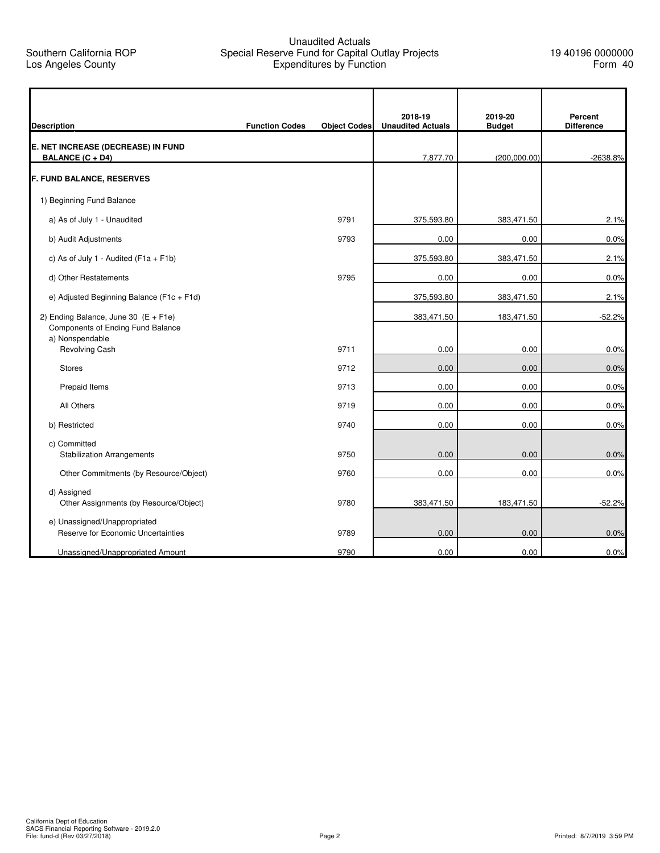## Unaudited Actuals Special Reserve Fund for Capital Outlay Projects Expenditures by Function

| <b>Description</b>                                                                             | <b>Function Codes</b> | <b>Object Codes</b> | 2018-19<br><b>Unaudited Actuals</b> | 2019-20<br><b>Budget</b> | Percent<br><b>Difference</b> |
|------------------------------------------------------------------------------------------------|-----------------------|---------------------|-------------------------------------|--------------------------|------------------------------|
| E. NET INCREASE (DECREASE) IN FUND<br><b>BALANCE (C + D4)</b>                                  |                       |                     | 7,877.70                            | (200,000.00)             | -2638.8%                     |
| <b>F. FUND BALANCE, RESERVES</b>                                                               |                       |                     |                                     |                          |                              |
| 1) Beginning Fund Balance                                                                      |                       |                     |                                     |                          |                              |
| a) As of July 1 - Unaudited                                                                    |                       | 9791                | 375,593.80                          | 383,471.50               | 2.1%                         |
| b) Audit Adjustments                                                                           |                       | 9793                | 0.00                                | 0.00                     | 0.0%                         |
| c) As of July 1 - Audited ( $F1a + F1b$ )                                                      |                       |                     | 375,593.80                          | 383,471.50               | 2.1%                         |
| d) Other Restatements                                                                          |                       | 9795                | 0.00                                | 0.00                     | 0.0%                         |
| e) Adjusted Beginning Balance (F1c + F1d)                                                      |                       |                     | 375,593.80                          | 383,471.50               | 2.1%                         |
| 2) Ending Balance, June 30 $(E + F1e)$<br>Components of Ending Fund Balance<br>a) Nonspendable |                       |                     | 383,471.50                          | 183,471.50               | $-52.2%$                     |
| Revolving Cash                                                                                 |                       | 9711                | 0.00                                | 0.00                     | 0.0%                         |
| <b>Stores</b>                                                                                  |                       | 9712                | 0.00                                | 0.00                     | 0.0%                         |
| Prepaid Items                                                                                  |                       | 9713                | 0.00                                | 0.00                     | 0.0%                         |
| All Others                                                                                     |                       | 9719                | 0.00                                | 0.00                     | 0.0%                         |
| b) Restricted                                                                                  |                       | 9740                | 0.00                                | 0.00                     | 0.0%                         |
| c) Committed<br><b>Stabilization Arrangements</b>                                              |                       | 9750                | 0.00                                | 0.00                     | 0.0%                         |
| Other Commitments (by Resource/Object)                                                         |                       | 9760                | 0.00                                | 0.00                     | 0.0%                         |
| d) Assigned<br>Other Assignments (by Resource/Object)                                          |                       | 9780                | 383,471.50                          | 183,471.50               | $-52.2%$                     |
| e) Unassigned/Unappropriated<br>Reserve for Economic Uncertainties                             |                       | 9789                | 0.00                                | 0.00                     | 0.0%                         |
| Unassigned/Unappropriated Amount                                                               |                       | 9790                | 0.00                                | 0.00                     | 0.0%                         |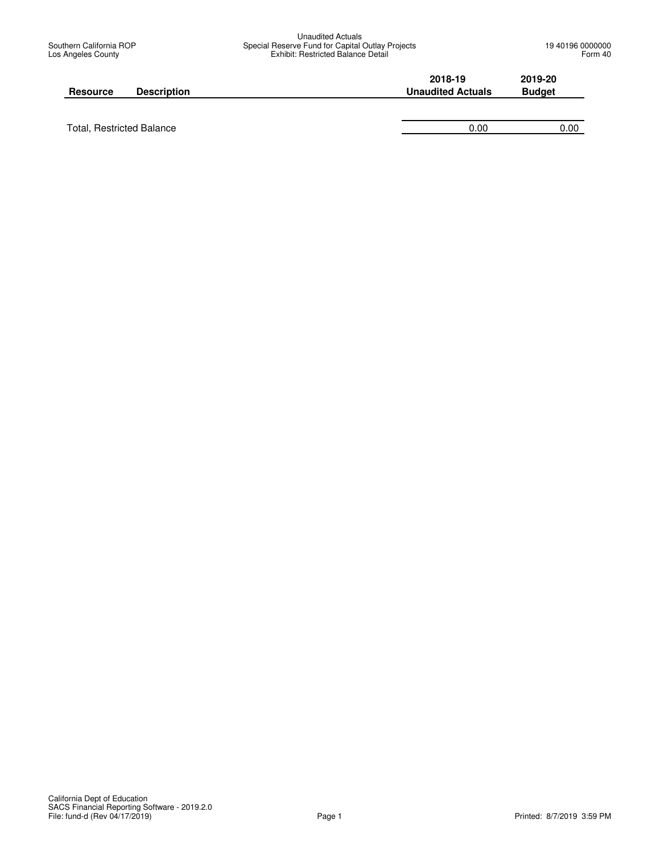| <b>Unaudited Actuals</b>                         |
|--------------------------------------------------|
| Special Reserve Fund for Capital Outlay Projects |
| Exhibit: Restricted Balance Detail               |

| <b>Resource</b> | <b>Description</b> | 2018-19<br><b>Unaudited Actuals</b> | 2019-20<br><b>Budget</b> |
|-----------------|--------------------|-------------------------------------|--------------------------|
|                 |                    |                                     |                          |

Total, Restricted Balance 0.00 0.00 0.00 0.00 0.00 0.00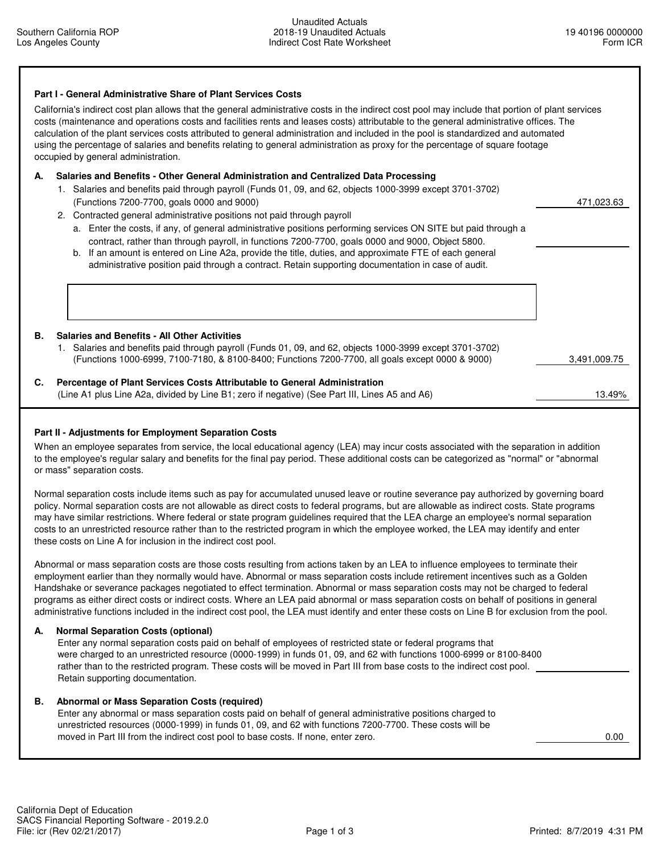| Part I - General Administrative Share of Plant Services Costs<br>California's indirect cost plan allows that the general administrative costs in the indirect cost pool may include that portion of plant services<br>costs (maintenance and operations costs and facilities rents and leases costs) attributable to the general administrative offices. The<br>calculation of the plant services costs attributed to general administration and included in the pool is standardized and automated<br>using the percentage of salaries and benefits relating to general administration as proxy for the percentage of square footage<br>occupied by general administration.                                                                                                                                                                                                                                                                                                                                          |              |
|-----------------------------------------------------------------------------------------------------------------------------------------------------------------------------------------------------------------------------------------------------------------------------------------------------------------------------------------------------------------------------------------------------------------------------------------------------------------------------------------------------------------------------------------------------------------------------------------------------------------------------------------------------------------------------------------------------------------------------------------------------------------------------------------------------------------------------------------------------------------------------------------------------------------------------------------------------------------------------------------------------------------------|--------------|
| Salaries and Benefits - Other General Administration and Centralized Data Processing<br>А.<br>1. Salaries and benefits paid through payroll (Funds 01, 09, and 62, objects 1000-3999 except 3701-3702)<br>(Functions 7200-7700, goals 0000 and 9000)<br>2. Contracted general administrative positions not paid through payroll<br>a. Enter the costs, if any, of general administrative positions performing services ON SITE but paid through a<br>contract, rather than through payroll, in functions 7200-7700, goals 0000 and 9000, Object 5800.<br>b. If an amount is entered on Line A2a, provide the title, duties, and approximate FTE of each general<br>administrative position paid through a contract. Retain supporting documentation in case of audit.                                                                                                                                                                                                                                                 | 471.023.63   |
| <b>Salaries and Benefits - All Other Activities</b><br>В.<br>1. Salaries and benefits paid through payroll (Funds 01, 09, and 62, objects 1000-3999 except 3701-3702)<br>(Functions 1000-6999, 7100-7180, & 8100-8400; Functions 7200-7700, all goals except 0000 & 9000)<br>Percentage of Plant Services Costs Attributable to General Administration<br>C.                                                                                                                                                                                                                                                                                                                                                                                                                                                                                                                                                                                                                                                          | 3.491.009.75 |
| (Line A1 plus Line A2a, divided by Line B1; zero if negative) (See Part III, Lines A5 and A6)                                                                                                                                                                                                                                                                                                                                                                                                                                                                                                                                                                                                                                                                                                                                                                                                                                                                                                                         | 13.49%       |
| Part II - Adjustments for Employment Separation Costs<br>When an employee separates from service, the local educational agency (LEA) may incur costs associated with the separation in addition<br>to the employee's regular salary and benefits for the final pay period. These additional costs can be categorized as "normal" or "abnormal<br>or mass" separation costs.<br>Normal separation costs include items such as pay for accumulated unused leave or routine severance pay authorized by governing board<br>policy. Normal separation costs are not allowable as direct costs to federal programs, but are allowable as indirect costs. State programs<br>may have similar restrictions. Where federal or state program guidelines required that the LEA charge an employee's normal separation<br>costs to an unrestricted resource rather than to the restricted program in which the employee worked, the LEA may identify and enter<br>these costs on Line A for inclusion in the indirect cost pool. |              |

 Abnormal or mass separation costs are those costs resulting from actions taken by an LEA to influence employees to terminate their employment earlier than they normally would have. Abnormal or mass separation costs include retirement incentives such as a Golden Handshake or severance packages negotiated to effect termination. Abnormal or mass separation costs may not be charged to federal programs as either direct costs or indirect costs. Where an LEA paid abnormal or mass separation costs on behalf of positions in general administrative functions included in the indirect cost pool, the LEA must identify and enter these costs on Line B for exclusion from the pool.

## **A. Normal Separation Costs (optional)**

 Enter any normal separation costs paid on behalf of employees of restricted state or federal programs that were charged to an unrestricted resource (0000-1999) in funds 01, 09, and 62 with functions 1000-6999 or 8100-8400 rather than to the restricted program. These costs will be moved in Part III from base costs to the indirect cost pool. Retain supporting documentation.

## **B. Abnormal or Mass Separation Costs (required)**

 Enter any abnormal or mass separation costs paid on behalf of general administrative positions charged to unrestricted resources (0000-1999) in funds 01, 09, and 62 with functions 7200-7700. These costs will be moved in Part III from the indirect cost pool to base costs. If none, enter zero. 0.00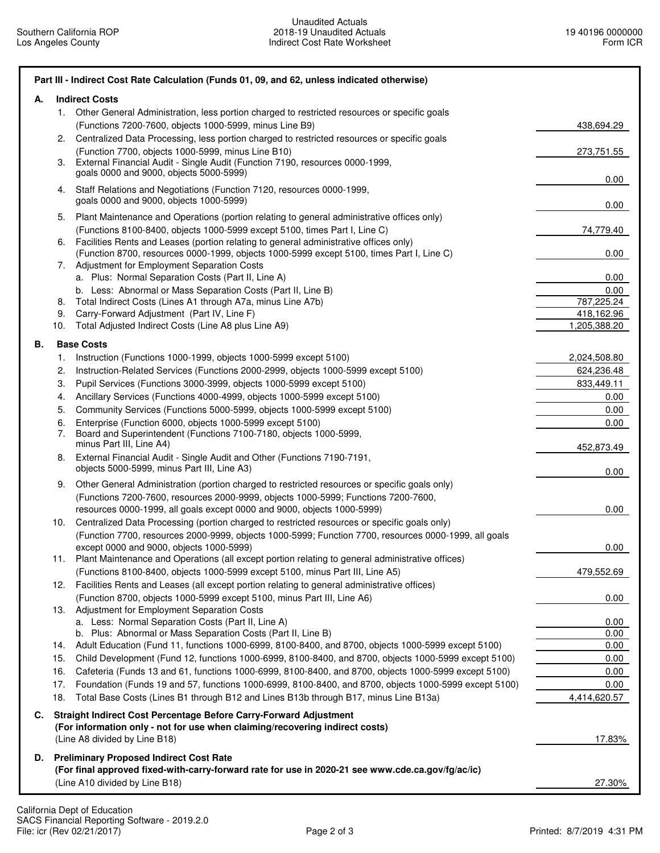| А. |     | <b>Indirect Costs</b>                                                                                                                             |              |
|----|-----|---------------------------------------------------------------------------------------------------------------------------------------------------|--------------|
|    | 1.  | Other General Administration, less portion charged to restricted resources or specific goals                                                      |              |
|    |     | (Functions 7200-7600, objects 1000-5999, minus Line B9)                                                                                           | 438,694.29   |
|    | 2.  | Centralized Data Processing, less portion charged to restricted resources or specific goals                                                       |              |
|    | 3.  | (Function 7700, objects 1000-5999, minus Line B10)<br>External Financial Audit - Single Audit (Function 7190, resources 0000-1999,                | 273,751.55   |
|    |     | goals 0000 and 9000, objects 5000-5999)                                                                                                           |              |
|    | 4.  | Staff Relations and Negotiations (Function 7120, resources 0000-1999,                                                                             | 0.00         |
|    |     | goals 0000 and 9000, objects 1000-5999)                                                                                                           | 0.00         |
|    | 5.  | Plant Maintenance and Operations (portion relating to general administrative offices only)                                                        |              |
|    |     | (Functions 8100-8400, objects 1000-5999 except 5100, times Part I, Line C)                                                                        | 74,779.40    |
|    | 6.  | Facilities Rents and Leases (portion relating to general administrative offices only)                                                             |              |
|    |     | (Function 8700, resources 0000-1999, objects 1000-5999 except 5100, times Part I, Line C)                                                         | 0.00         |
|    | 7.  | Adjustment for Employment Separation Costs<br>a. Plus: Normal Separation Costs (Part II, Line A)                                                  | 0.00         |
|    |     | b. Less: Abnormal or Mass Separation Costs (Part II, Line B)                                                                                      | 0.00         |
|    | 8.  | Total Indirect Costs (Lines A1 through A7a, minus Line A7b)                                                                                       | 787,225.24   |
|    | 9.  | Carry-Forward Adjustment (Part IV, Line F)                                                                                                        | 418,162.96   |
|    | 10. | Total Adjusted Indirect Costs (Line A8 plus Line A9)                                                                                              | 1,205,388.20 |
| В. |     | <b>Base Costs</b>                                                                                                                                 |              |
|    | 1.  | Instruction (Functions 1000-1999, objects 1000-5999 except 5100)                                                                                  | 2,024,508.80 |
|    | 2.  | Instruction-Related Services (Functions 2000-2999, objects 1000-5999 except 5100)                                                                 | 624,236.48   |
|    | 3.  | Pupil Services (Functions 3000-3999, objects 1000-5999 except 5100)                                                                               | 833,449.11   |
|    | 4.  | Ancillary Services (Functions 4000-4999, objects 1000-5999 except 5100)                                                                           | 0.00         |
|    | 5.  | Community Services (Functions 5000-5999, objects 1000-5999 except 5100)                                                                           | $0.00\,$     |
|    | 6.  | Enterprise (Function 6000, objects 1000-5999 except 5100)                                                                                         | 0.00         |
|    | 7.  | Board and Superintendent (Functions 7100-7180, objects 1000-5999,<br>minus Part III, Line A4)                                                     |              |
|    | 8.  | External Financial Audit - Single Audit and Other (Functions 7190-7191,                                                                           | 452,873.49   |
|    |     | objects 5000-5999, minus Part III, Line A3)                                                                                                       | 0.00         |
|    | 9.  | Other General Administration (portion charged to restricted resources or specific goals only)                                                     |              |
|    |     | (Functions 7200-7600, resources 2000-9999, objects 1000-5999; Functions 7200-7600,                                                                |              |
|    |     | resources 0000-1999, all goals except 0000 and 9000, objects 1000-5999)                                                                           | 0.00         |
|    | 10. | Centralized Data Processing (portion charged to restricted resources or specific goals only)                                                      |              |
|    |     | (Function 7700, resources 2000-9999, objects 1000-5999; Function 7700, resources 0000-1999, all goals<br>except 0000 and 9000, objects 1000-5999) | 0.00         |
|    | 11. | Plant Maintenance and Operations (all except portion relating to general administrative offices)                                                  |              |
|    |     | (Functions 8100-8400, objects 1000-5999 except 5100, minus Part III, Line A5)                                                                     | 479,552.69   |
|    | 12. | Facilities Rents and Leases (all except portion relating to general administrative offices)                                                       |              |
|    |     | (Function 8700, objects 1000-5999 except 5100, minus Part III, Line A6)                                                                           | 0.00         |
|    | 13. | Adjustment for Employment Separation Costs                                                                                                        |              |
|    |     | a. Less: Normal Separation Costs (Part II, Line A)<br>b. Plus: Abnormal or Mass Separation Costs (Part II, Line B)                                | 0.00<br>0.00 |
|    |     | 14. Adult Education (Fund 11, functions 1000-6999, 8100-8400, and 8700, objects 1000-5999 except 5100)                                            | 0.00         |
|    | 15. | Child Development (Fund 12, functions 1000-6999, 8100-8400, and 8700, objects 1000-5999 except 5100)                                              | 0.00         |
|    | 16. | Cafeteria (Funds 13 and 61, functions 1000-6999, 8100-8400, and 8700, objects 1000-5999 except 5100)                                              | 0.00         |
|    | 17. | Foundation (Funds 19 and 57, functions 1000-6999, 8100-8400, and 8700, objects 1000-5999 except 5100)                                             | 0.00         |
|    | 18. | Total Base Costs (Lines B1 through B12 and Lines B13b through B17, minus Line B13a)                                                               | 4,414,620.57 |
| C. |     | Straight Indirect Cost Percentage Before Carry-Forward Adjustment                                                                                 |              |
|    |     | (For information only - not for use when claiming/recovering indirect costs)                                                                      |              |
|    |     | (Line A8 divided by Line B18)                                                                                                                     | 17.83%       |
|    |     | D. Preliminary Proposed Indirect Cost Rate                                                                                                        |              |
|    |     | (For final approved fixed-with-carry-forward rate for use in 2020-21 see www.cde.ca.gov/fg/ac/ic)                                                 |              |
|    |     | (Line A10 divided by Line B18)                                                                                                                    | 27.30%       |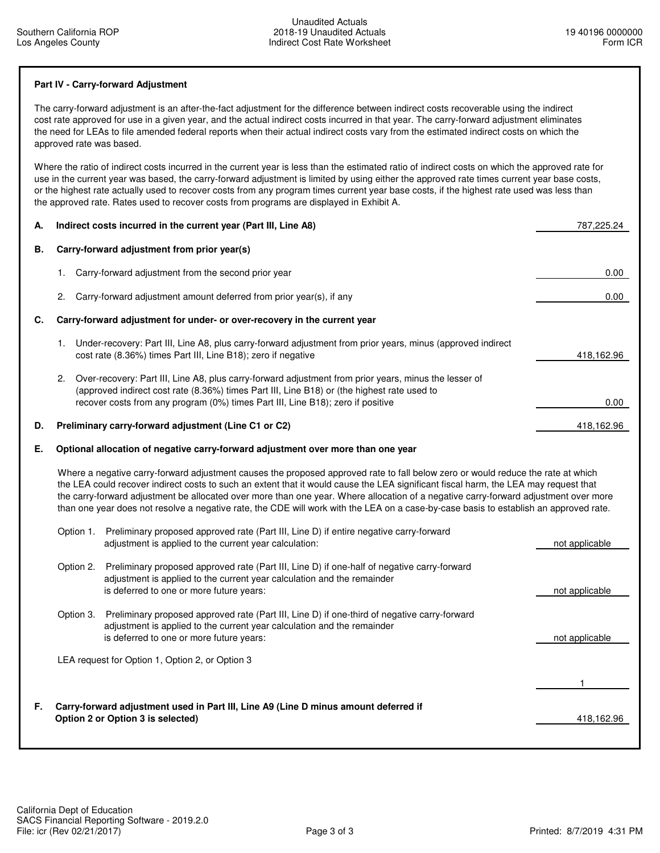## **Part IV - Carry-forward Adjustment**

 The carry-forward adjustment is an after-the-fact adjustment for the difference between indirect costs recoverable using the indirect cost rate approved for use in a given year, and the actual indirect costs incurred in that year. The carry-forward adjustment eliminates the need for LEAs to file amended federal reports when their actual indirect costs vary from the estimated indirect costs on which the approved rate was based.

 Where the ratio of indirect costs incurred in the current year is less than the estimated ratio of indirect costs on which the approved rate for use in the current year was based, the carry-forward adjustment is limited by using either the approved rate times current year base costs, or the highest rate actually used to recover costs from any program times current year base costs, if the highest rate used was less than the approved rate. Rates used to recover costs from programs are displayed in Exhibit A.

| А. | Indirect costs incurred in the current year (Part III, Line A8)                                                                                                                                                                                                                                                                                                                                                                                                                                                                                           | 787,225.24     |
|----|-----------------------------------------------------------------------------------------------------------------------------------------------------------------------------------------------------------------------------------------------------------------------------------------------------------------------------------------------------------------------------------------------------------------------------------------------------------------------------------------------------------------------------------------------------------|----------------|
| В. | Carry-forward adjustment from prior year(s)                                                                                                                                                                                                                                                                                                                                                                                                                                                                                                               |                |
|    | Carry-forward adjustment from the second prior year<br>1.                                                                                                                                                                                                                                                                                                                                                                                                                                                                                                 | 0.00           |
|    | Carry-forward adjustment amount deferred from prior year(s), if any<br>2.                                                                                                                                                                                                                                                                                                                                                                                                                                                                                 | $0.00\,$       |
| C. | Carry-forward adjustment for under- or over-recovery in the current year                                                                                                                                                                                                                                                                                                                                                                                                                                                                                  |                |
|    | Under-recovery: Part III, Line A8, plus carry-forward adjustment from prior years, minus (approved indirect<br>1.<br>cost rate (8.36%) times Part III, Line B18); zero if negative                                                                                                                                                                                                                                                                                                                                                                        | 418,162.96     |
|    | Over-recovery: Part III, Line A8, plus carry-forward adjustment from prior years, minus the lesser of<br>2.<br>(approved indirect cost rate (8.36%) times Part III, Line B18) or (the highest rate used to<br>recover costs from any program (0%) times Part III, Line B18); zero if positive                                                                                                                                                                                                                                                             | 0.00           |
| D. | Preliminary carry-forward adjustment (Line C1 or C2)                                                                                                                                                                                                                                                                                                                                                                                                                                                                                                      | 418,162.96     |
| Е. | Optional allocation of negative carry-forward adjustment over more than one year                                                                                                                                                                                                                                                                                                                                                                                                                                                                          |                |
|    | Where a negative carry-forward adjustment causes the proposed approved rate to fall below zero or would reduce the rate at which<br>the LEA could recover indirect costs to such an extent that it would cause the LEA significant fiscal harm, the LEA may request that<br>the carry-forward adjustment be allocated over more than one year. Where allocation of a negative carry-forward adjustment over more<br>than one year does not resolve a negative rate, the CDE will work with the LEA on a case-by-case basis to establish an approved rate. |                |
|    | Option 1. Preliminary proposed approved rate (Part III, Line D) if entire negative carry-forward<br>adjustment is applied to the current year calculation:                                                                                                                                                                                                                                                                                                                                                                                                | not applicable |
|    | Preliminary proposed approved rate (Part III, Line D) if one-half of negative carry-forward<br>Option 2.<br>adjustment is applied to the current year calculation and the remainder<br>is deferred to one or more future years:                                                                                                                                                                                                                                                                                                                           | not applicable |
|    | Preliminary proposed approved rate (Part III, Line D) if one-third of negative carry-forward<br>Option 3.<br>adjustment is applied to the current year calculation and the remainder<br>is deferred to one or more future years:                                                                                                                                                                                                                                                                                                                          | not applicable |
|    | LEA request for Option 1, Option 2, or Option 3                                                                                                                                                                                                                                                                                                                                                                                                                                                                                                           |                |
|    |                                                                                                                                                                                                                                                                                                                                                                                                                                                                                                                                                           | 1              |
| F. | Carry-forward adjustment used in Part III, Line A9 (Line D minus amount deferred if<br>Option 2 or Option 3 is selected)                                                                                                                                                                                                                                                                                                                                                                                                                                  | 418,162.96     |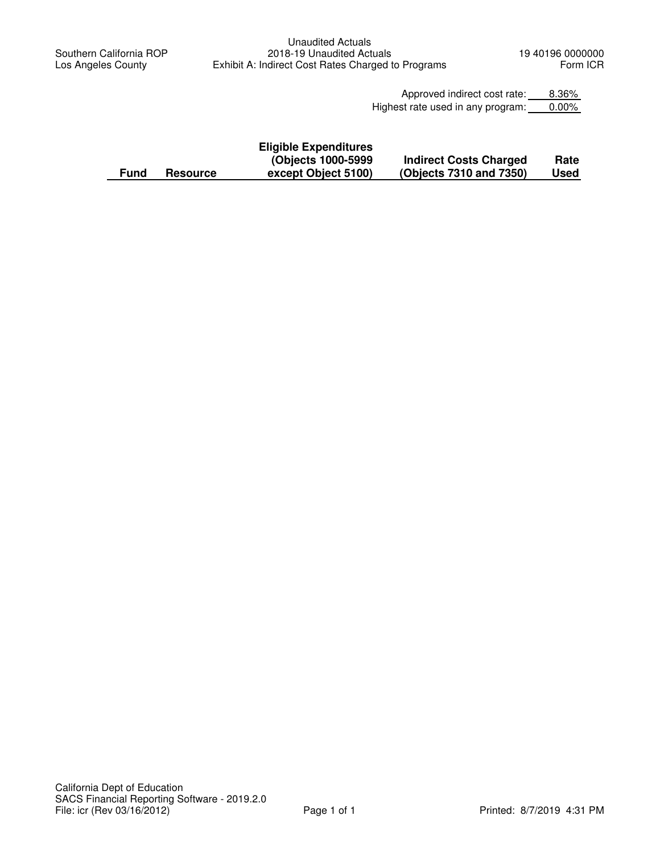Approved indirect cost rate: 8.36% Highest rate used in any program: 0.00%

|      |                 | <b>Eligible Expenditures</b> |                               |             |
|------|-----------------|------------------------------|-------------------------------|-------------|
|      |                 | (Objects 1000-5999)          | <b>Indirect Costs Charged</b> | Rate        |
| Fund | <b>Resource</b> | except Object 5100)          | (Objects 7310 and 7350)       | <b>Used</b> |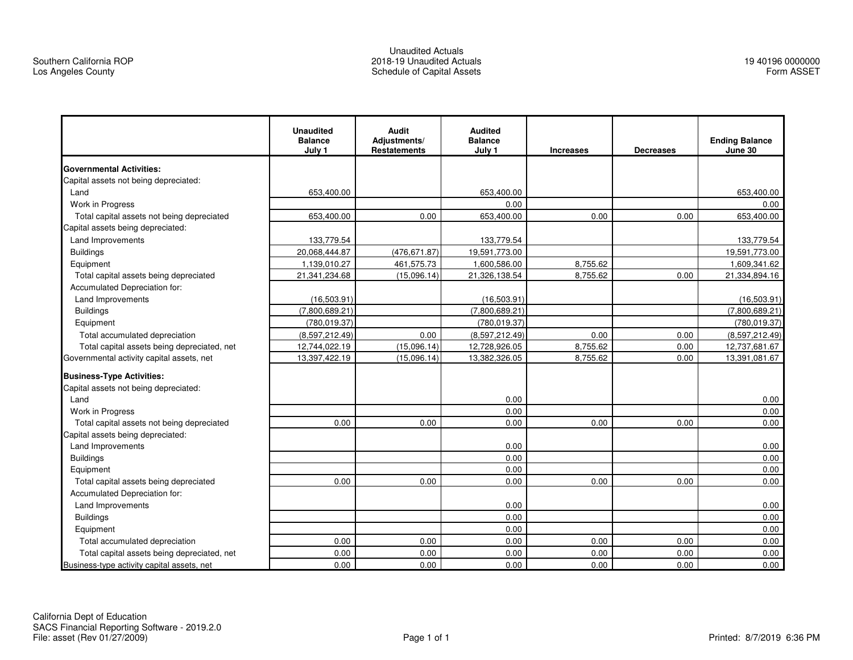#### Unaudited Actuals 2018-19 Unaudited ActualsSchedule of Capital Assets

|                                             | <b>Unaudited</b><br><b>Balance</b><br>July 1 | <b>Audit</b><br>Adjustments/<br><b>Restatements</b> | <b>Audited</b><br><b>Balance</b><br>July 1 | <b>Increases</b> | <b>Decreases</b> | <b>Ending Balance</b><br>June 30 |
|---------------------------------------------|----------------------------------------------|-----------------------------------------------------|--------------------------------------------|------------------|------------------|----------------------------------|
| <b>Governmental Activities:</b>             |                                              |                                                     |                                            |                  |                  |                                  |
| Capital assets not being depreciated:       |                                              |                                                     |                                            |                  |                  |                                  |
| Land                                        | 653,400.00                                   |                                                     | 653,400.00                                 |                  |                  | 653,400.00                       |
| Work in Progress                            |                                              |                                                     | 0.00                                       |                  |                  | 0.00                             |
| Total capital assets not being depreciated  | 653,400.00                                   | 0.00                                                | 653,400.00                                 | 0.00             | 0.00             | 653,400.00                       |
| Capital assets being depreciated:           |                                              |                                                     |                                            |                  |                  |                                  |
| <b>Land Improvements</b>                    | 133,779.54                                   |                                                     | 133,779.54                                 |                  |                  | 133,779.54                       |
| <b>Buildings</b>                            | 20,068,444.87                                | (476, 671.87)                                       | 19,591,773.00                              |                  |                  | 19,591,773.00                    |
| Equipment                                   | 1,139,010.27                                 | 461,575.73                                          | 1,600,586.00                               | 8,755.62         |                  | 1,609,341.62                     |
| Total capital assets being depreciated      | 21,341,234.68                                | (15,096.14)                                         | 21,326,138.54                              | 8,755.62         | 0.00             | 21,334,894.16                    |
| Accumulated Depreciation for:               |                                              |                                                     |                                            |                  |                  |                                  |
| Land Improvements                           | (16,503.91)                                  |                                                     | (16,503.91)                                |                  |                  | (16, 503.91)                     |
| <b>Buildings</b>                            | (7,800,689.21)                               |                                                     | (7,800,689.21)                             |                  |                  | (7,800,689.21)                   |
| Equipment                                   | (780.019.37)                                 |                                                     | (780.019.37)                               |                  |                  | (780.019.37)                     |
| Total accumulated depreciation              | (8,597,212.49)                               | 0.00                                                | (8,597,212.49)                             | 0.00             | 0.00             | (8,597,212.49)                   |
| Total capital assets being depreciated, net | 12,744,022.19                                | (15,096.14)                                         | 12,728,926.05                              | 8,755.62         | 0.00             | 12,737,681.67                    |
| Governmental activity capital assets, net   | 13,397,422.19                                | (15,096.14)                                         | 13,382,326.05                              | 8,755.62         | 0.00             | 13,391,081.67                    |
| <b>Business-Type Activities:</b>            |                                              |                                                     |                                            |                  |                  |                                  |
| Capital assets not being depreciated:       |                                              |                                                     |                                            |                  |                  |                                  |
| Land                                        |                                              |                                                     | 0.00                                       |                  |                  | 0.00                             |
| Work in Progress                            |                                              |                                                     | 0.00                                       |                  |                  | 0.00                             |
| Total capital assets not being depreciated  | 0.00                                         | 0.00                                                | 0.00                                       | 0.00             | 0.00             | 0.00                             |
| Capital assets being depreciated:           |                                              |                                                     |                                            |                  |                  |                                  |
| Land Improvements                           |                                              |                                                     | 0.00                                       |                  |                  | 0.00                             |
| <b>Buildings</b>                            |                                              |                                                     | 0.00                                       |                  |                  | 0.00                             |
| Equipment                                   |                                              |                                                     | 0.00                                       |                  |                  | 0.00                             |
| Total capital assets being depreciated      | 0.00                                         | 0.00                                                | 0.00                                       | 0.00             | 0.00             | 0.00                             |
| Accumulated Depreciation for:               |                                              |                                                     |                                            |                  |                  |                                  |
| Land Improvements                           |                                              |                                                     | 0.00                                       |                  |                  | 0.00                             |
| <b>Buildings</b>                            |                                              |                                                     | 0.00                                       |                  |                  | 0.00                             |
| Equipment                                   |                                              |                                                     | 0.00                                       |                  |                  | 0.00                             |
| Total accumulated depreciation              | 0.00                                         | 0.00                                                | 0.00                                       | 0.00             | 0.00             | 0.00                             |
| Total capital assets being depreciated, net | 0.00                                         | 0.00                                                | 0.00                                       | 0.00             | 0.00             | 0.00                             |
| Business-type activity capital assets, net  | 0.00                                         | 0.00                                                | 0.00                                       | 0.00             | 0.00             | 0.00                             |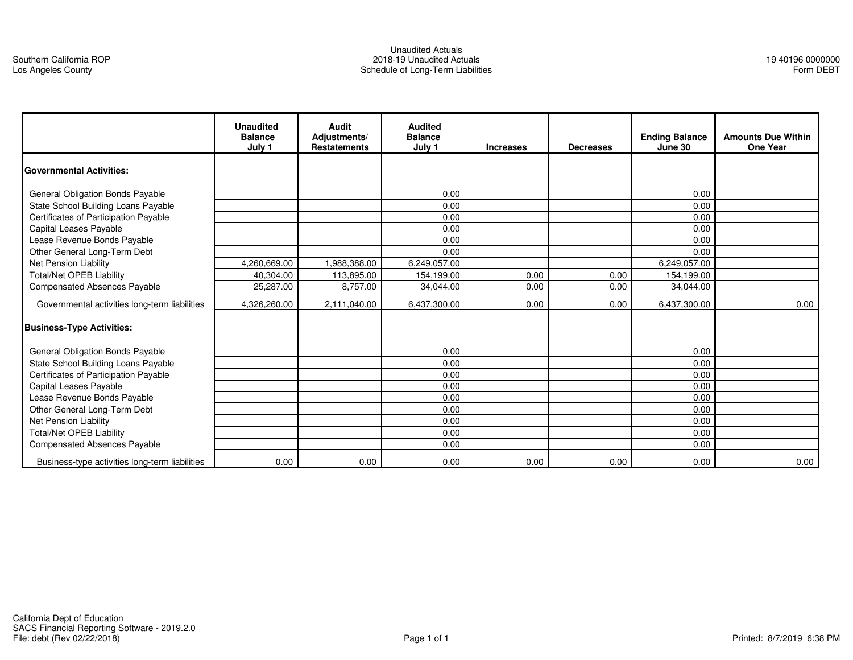#### Unaudited Actuals 2018-19 Unaudited ActualsSchedule of Long-Term Liabilities

|                                                | <b>Unaudited</b><br><b>Balance</b><br>July 1 | Audit<br>Adjustments/<br><b>Restatements</b> | <b>Audited</b><br><b>Balance</b><br>July 1 | <b>Increases</b> | <b>Decreases</b> | <b>Ending Balance</b><br>June 30 | <b>Amounts Due Within</b><br><b>One Year</b> |
|------------------------------------------------|----------------------------------------------|----------------------------------------------|--------------------------------------------|------------------|------------------|----------------------------------|----------------------------------------------|
| <b>Governmental Activities:</b>                |                                              |                                              |                                            |                  |                  |                                  |                                              |
| General Obligation Bonds Payable               |                                              |                                              | 0.00                                       |                  |                  | 0.00                             |                                              |
| State School Building Loans Payable            |                                              |                                              | 0.00                                       |                  |                  | 0.00                             |                                              |
| Certificates of Participation Payable          |                                              |                                              | 0.00                                       |                  |                  | 0.00                             |                                              |
| Capital Leases Payable                         |                                              |                                              | 0.00                                       |                  |                  | 0.00                             |                                              |
| Lease Revenue Bonds Payable                    |                                              |                                              | 0.00                                       |                  |                  | 0.00                             |                                              |
| Other General Long-Term Debt                   |                                              |                                              | 0.00                                       |                  |                  | 0.00                             |                                              |
| Net Pension Liability                          | 4.260.669.00                                 | .988.388.00                                  | 6.249.057.00                               |                  |                  | 6,249,057.00                     |                                              |
| <b>Total/Net OPEB Liability</b>                | 40.304.00                                    | 113,895.00                                   | 154.199.00                                 | 0.00             | 0.00             | 154,199.00                       |                                              |
| <b>Compensated Absences Payable</b>            | 25,287.00                                    | 8,757.00                                     | 34,044.00                                  | 0.00             | 0.00             | 34,044.00                        |                                              |
| Governmental activities long-term liabilities  | 4,326,260.00                                 | 2,111,040.00                                 | 6,437,300.00                               | 0.00             | 0.00             | 6,437,300.00                     | 0.00                                         |
| <b>Business-Type Activities:</b>               |                                              |                                              |                                            |                  |                  |                                  |                                              |
| General Obligation Bonds Payable               |                                              |                                              | 0.00                                       |                  |                  | 0.00                             |                                              |
| State School Building Loans Payable            |                                              |                                              | 0.00                                       |                  |                  | 0.00                             |                                              |
| Certificates of Participation Payable          |                                              |                                              | 0.00                                       |                  |                  | 0.00                             |                                              |
| Capital Leases Payable                         |                                              |                                              | 0.00                                       |                  |                  | 0.00                             |                                              |
| Lease Revenue Bonds Payable                    |                                              |                                              | 0.00                                       |                  |                  | 0.00                             |                                              |
| Other General Long-Term Debt                   |                                              |                                              | 0.00                                       |                  |                  | 0.00                             |                                              |
| Net Pension Liability                          |                                              |                                              | 0.00                                       |                  |                  | 0.00                             |                                              |
| <b>Total/Net OPEB Liability</b>                |                                              |                                              | 0.00                                       |                  |                  | 0.00                             |                                              |
| <b>Compensated Absences Payable</b>            |                                              |                                              | 0.00                                       |                  |                  | 0.00                             |                                              |
| Business-type activities long-term liabilities | 0.00                                         | 0.00                                         | 0.00                                       | 0.00             | 0.00             | 0.00                             | 0.00                                         |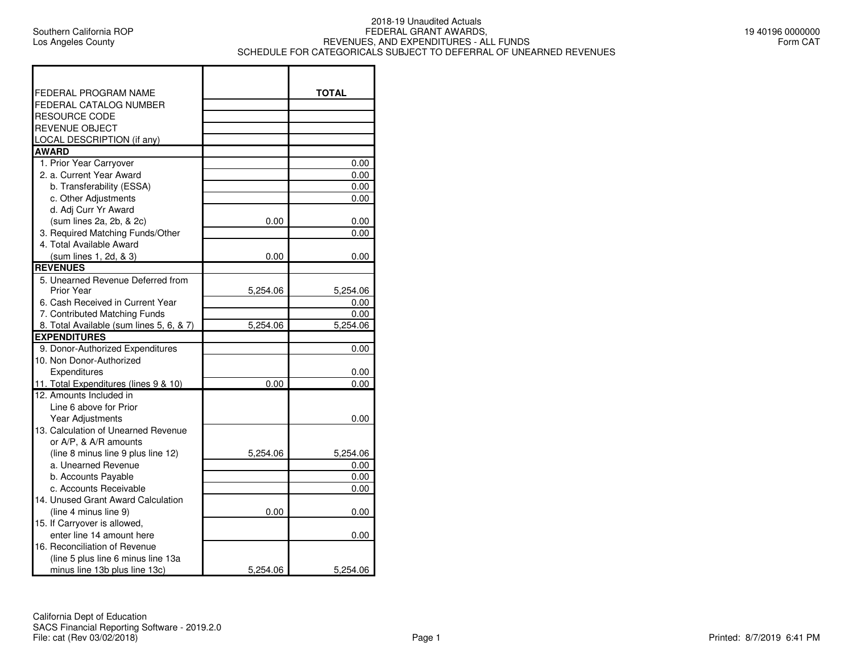$\blacksquare$ 

## 2018-19 Unaudited Actuals FEDERAL GRANT AWARDS, REVENUES, AND EXPENDITURES - ALL FUNDSSCHEDULE FOR CATEGORICALS SUBJECT TO DEFERRAL OF UNEARNED REVENUES

┑

| 19 40196 0000000 |  |          |
|------------------|--|----------|
|                  |  | Form CAT |

| FEDERAL PROGRAM NAME                     |          | <b>TOTAL</b> |
|------------------------------------------|----------|--------------|
| FEDERAL CATALOG NUMBER                   |          |              |
| <b>RESOURCE CODE</b>                     |          |              |
| <b>REVENUE OBJECT</b>                    |          |              |
| LOCAL DESCRIPTION (if any)               |          |              |
| <b>AWARD</b>                             |          |              |
| 1. Prior Year Carryover                  |          | 0.00         |
| 2. a. Current Year Award                 |          | 0.00         |
| b. Transferability (ESSA)                |          | 0.00         |
| c. Other Adjustments                     |          | 0.00         |
| d. Adj Curr Yr Award                     |          |              |
| (sum lines 2a, 2b, & 2c)                 | 0.00     | 0.00         |
| 3. Required Matching Funds/Other         |          | 0.00         |
| 4. Total Available Award                 |          |              |
| (sum lines 1, 2d, & 3)                   | 0.00     | 0.00         |
| <b>REVENUES</b>                          |          |              |
| 5. Unearned Revenue Deferred from        |          |              |
| Prior Year                               | 5,254.06 | 5,254.06     |
| 6. Cash Received in Current Year         |          | 0.00         |
| 7. Contributed Matching Funds            |          | 0.00         |
| 8. Total Available (sum lines 5, 6, & 7) | 5,254.06 | 5,254.06     |
| <b>EXPENDITURES</b>                      |          |              |
| 9. Donor-Authorized Expenditures         |          | 0.00         |
| 10. Non Donor-Authorized                 |          |              |
| Expenditures                             |          | 0.00         |
| 11. Total Expenditures (lines 9 & 10)    | 0.00     | 0.00         |
| 12. Amounts Included in                  |          |              |
| Line 6 above for Prior                   |          |              |
| <b>Year Adjustments</b>                  |          | 0.00         |
| 13. Calculation of Unearned Revenue      |          |              |
| or A/P, & A/R amounts                    |          |              |
| (line 8 minus line 9 plus line 12)       | 5.254.06 | 5,254.06     |
| a. Unearned Revenue                      |          | 0.00         |
| b. Accounts Payable                      |          | 0.00         |
| c. Accounts Receivable                   |          | 0.00         |
| 14. Unused Grant Award Calculation       |          |              |
| (line 4 minus line 9)                    | 0.00     | 0.00         |
| 15. If Carryover is allowed,             |          |              |
| enter line 14 amount here                |          | 0.00         |
| 16. Reconciliation of Revenue            |          |              |
| (line 5 plus line 6 minus line 13a       |          |              |
| minus line 13b plus line 13c)            | 5,254.06 | 5,254.06     |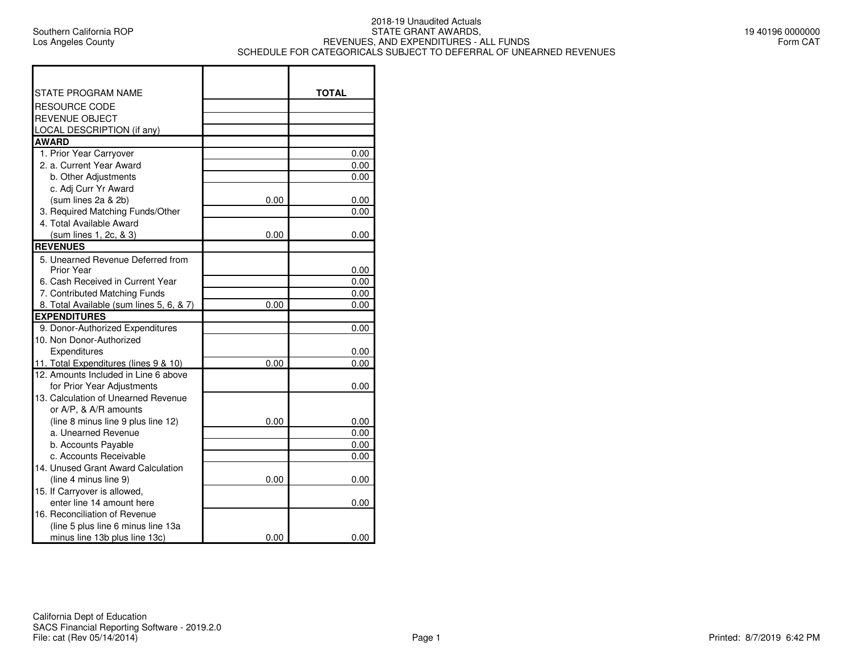#### 2018-19 Unaudited Actuals STATE GRANT AWARDS, REVENUES, AND EXPENDITURES - ALL FUNDSSCHEDULE FOR CATEGORICALS SUBJECT TO DEFERRAL OF UNEARNED REVENUES

 $\blacksquare$ 

| STATE PROGRAM NAME                       |      | <b>TOTAL</b> |
|------------------------------------------|------|--------------|
| <b>RESOURCE CODE</b>                     |      |              |
| <b>REVENUE OBJECT</b>                    |      |              |
| <b>LOCAL DESCRIPTION (if any)</b>        |      |              |
| <b>AWARD</b>                             |      |              |
| 1. Prior Year Carryover                  |      | 0.00         |
| 2. a. Current Year Award                 |      | 0.00         |
| b. Other Adjustments                     |      | 0.00         |
| c. Adj Curr Yr Award                     |      |              |
| (sum lines 2a & 2b)                      | 0.00 | 0.00         |
| 3. Required Matching Funds/Other         |      | 0.00         |
| 4. Total Available Award                 |      |              |
| (sum lines 1, 2c, & 3)                   | 0.00 | 0.00         |
| <b>REVENUES</b>                          |      |              |
| 5. Unearned Revenue Deferred from        |      |              |
| Prior Year                               |      | 0.00         |
| 6. Cash Received in Current Year         |      | 0.00         |
| 7. Contributed Matching Funds            |      | 0.00         |
| 8. Total Available (sum lines 5, 6, & 7) | 0.00 | 0.00         |
| <b>EXPENDITURES</b>                      |      |              |
| 9. Donor-Authorized Expenditures         |      | 0.00         |
| 10. Non Donor-Authorized                 |      |              |
| Expenditures                             |      | 0.00         |
| 11. Total Expenditures (lines 9 & 10)    | 0.00 | 0.00         |
| 12. Amounts Included in Line 6 above     |      |              |
| for Prior Year Adjustments               |      | 0.00         |
| 13. Calculation of Unearned Revenue      |      |              |
| or A/P, & A/R amounts                    |      |              |
| (line 8 minus line 9 plus line 12)       | 0.00 | 0.00         |
| a. Unearned Revenue                      |      | 0.00         |
| b. Accounts Payable                      |      | 0.00         |
| c. Accounts Receivable                   |      | 0.00         |
| 14. Unused Grant Award Calculation       |      |              |
| (line 4 minus line 9)                    | 0.00 | 0.00         |
| 15. If Carryover is allowed,             |      |              |
| enter line 14 amount here                |      | 0.00         |
| 16. Reconciliation of Revenue            |      |              |
| (line 5 plus line 6 minus line 13a       |      |              |
| minus line 13b plus line 13c)            | 0.00 | 0.00         |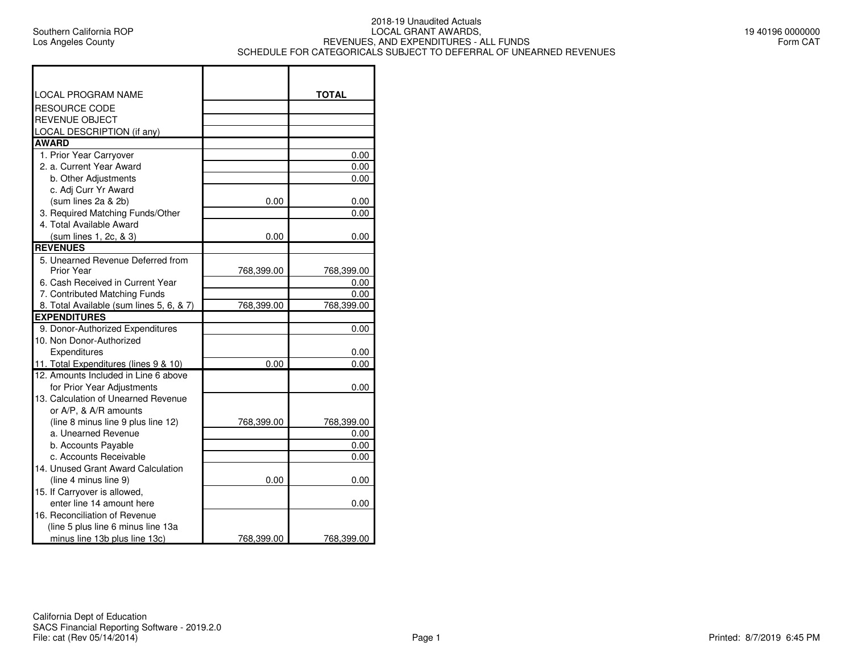$\blacksquare$ 

## 2018-19 Unaudited Actuals LOCAL GRANT AWARDS, REVENUES, AND EXPENDITURES - ALL FUNDSSCHEDULE FOR CATEGORICALS SUBJECT TO DEFERRAL OF UNEARNED REVENUES

| <b>LOCAL PROGRAM NAME</b>                |            | <b>TOTAL</b> |
|------------------------------------------|------------|--------------|
| RESOURCE CODE                            |            |              |
| REVENUE OBJECT                           |            |              |
| <b>LOCAL DESCRIPTION (if any)</b>        |            |              |
| <b>AWARD</b>                             |            |              |
| 1. Prior Year Carryover                  |            | 0.00         |
| 2. a. Current Year Award                 |            | 0.00         |
| b. Other Adjustments                     |            | 0.00         |
| c. Adj Curr Yr Award                     |            |              |
| (sum lines 2a & 2b)                      | 0.00       | 0.00         |
| 3. Required Matching Funds/Other         |            | 0.00         |
| 4. Total Available Award                 |            |              |
| (sum lines 1, 2c, & 3)                   | 0.00       | 0.00         |
| <b>REVENUES</b>                          |            |              |
| 5. Unearned Revenue Deferred from        |            |              |
| Prior Year                               | 768,399.00 | 768,399.00   |
| 6. Cash Received in Current Year         |            | 0.00         |
| 7. Contributed Matching Funds            |            | 0.00         |
| 8. Total Available (sum lines 5, 6, & 7) | 768,399.00 | 768,399.00   |
| <b>EXPENDITURES</b>                      |            |              |
| 9. Donor-Authorized Expenditures         |            | 0.00         |
| 10. Non Donor-Authorized                 |            |              |
| Expenditures                             |            | 0.00         |
| 11. Total Expenditures (lines 9 & 10)    | 0.00       | 0.00         |
| 12. Amounts Included in Line 6 above     |            |              |
| for Prior Year Adjustments               |            | 0.00         |
| 13. Calculation of Unearned Revenue      |            |              |
| or A/P, & A/R amounts                    |            |              |
| (line 8 minus line 9 plus line 12)       | 768,399.00 | 768,399.00   |
| a. Unearned Revenue                      |            | 0.00         |
| b. Accounts Payable                      |            | 0.00         |
| c. Accounts Receivable                   |            | 0.00         |
| 14. Unused Grant Award Calculation       |            |              |
| (line 4 minus line 9)                    | 0.00       | 0.00         |
| 15. If Carryover is allowed,             |            |              |
| enter line 14 amount here                |            | 0.00         |
| 16. Reconciliation of Revenue            |            |              |
| (line 5 plus line 6 minus line 13a       |            |              |
| minus line 13b plus line 13c)            | 768,399.00 | 768,399.00   |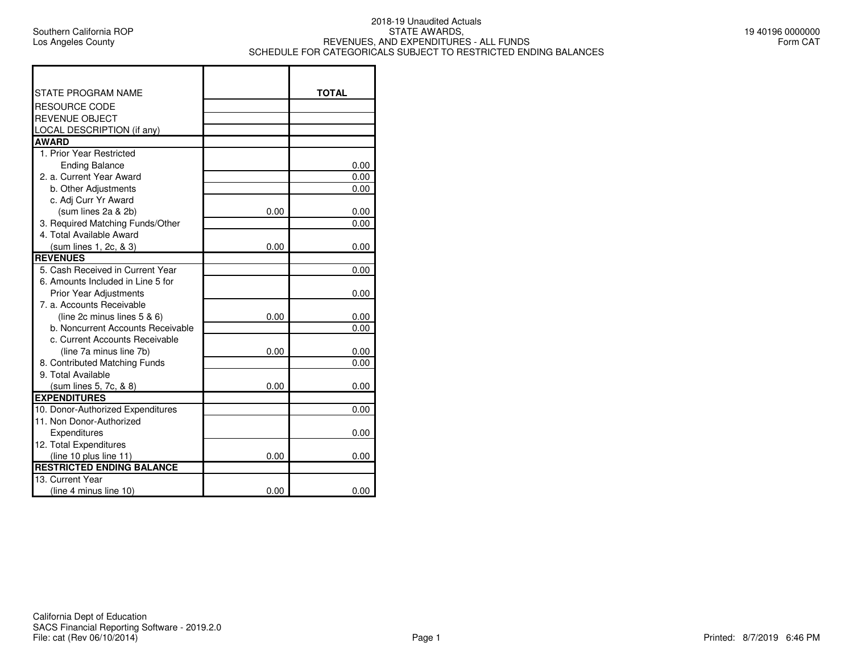$\Gamma$ 

#### 2018-19 Unaudited ActualsSTATE AWARDS, REVENUES, AND EXPENDITURES - ALL FUNDSSCHEDULE FOR CATEGORICALS SUBJECT TO RESTRICTED ENDING BALANCES

┑

| 19 40196 0000000 |  |          |  |
|------------------|--|----------|--|
|                  |  | Form CAT |  |

| <b>STATE PROGRAM NAME</b>         |      | <b>TOTAL</b> |
|-----------------------------------|------|--------------|
| <b>RESOURCE CODE</b>              |      |              |
| <b>REVENUE OBJECT</b>             |      |              |
| LOCAL DESCRIPTION (if any)        |      |              |
| <b>AWARD</b>                      |      |              |
| 1. Prior Year Restricted          |      |              |
| <b>Ending Balance</b>             |      | 0.00         |
| 2. a. Current Year Award          |      | 0.00         |
| b. Other Adjustments              |      | 0.00         |
| c. Adj Curr Yr Award              |      |              |
| (sum lines 2a & 2b)               | 0.00 | 0.00         |
| 3. Required Matching Funds/Other  |      | 0.00         |
| 4. Total Available Award          |      |              |
| (sum lines 1, 2c, & 3)            | 0.00 | 0.00         |
| <b>REVENUES</b>                   |      |              |
| 5. Cash Received in Current Year  |      | 0.00         |
| 6. Amounts Included in Line 5 for |      |              |
| <b>Prior Year Adjustments</b>     |      | 0.00         |
| 7. a. Accounts Receivable         |      |              |
| (line 2c minus lines $5 & 6$ )    | 0.00 | 0.00         |
| b. Noncurrent Accounts Receivable |      | 0.00         |
| c. Current Accounts Receivable    |      |              |
| (line 7a minus line 7b)           | 0.00 | 0.00         |
| 8. Contributed Matching Funds     |      | 0.00         |
| 9. Total Available                |      |              |
| (sum lines 5, 7c, & 8)            | 0.00 | 0.00         |
| <b>EXPENDITURES</b>               |      |              |
| 10. Donor-Authorized Expenditures |      | 0.00         |
| 11. Non Donor-Authorized          |      |              |
| Expenditures                      |      | 0.00         |
| 12. Total Expenditures            |      |              |
| (line 10 plus line 11)            | 0.00 | 0.00         |
| <b>RESTRICTED ENDING BALANCE</b>  |      |              |
| 13. Current Year                  |      |              |
| (line 4 minus line 10)            | 0.00 | 0.00         |

т

 $\overline{\phantom{a}}$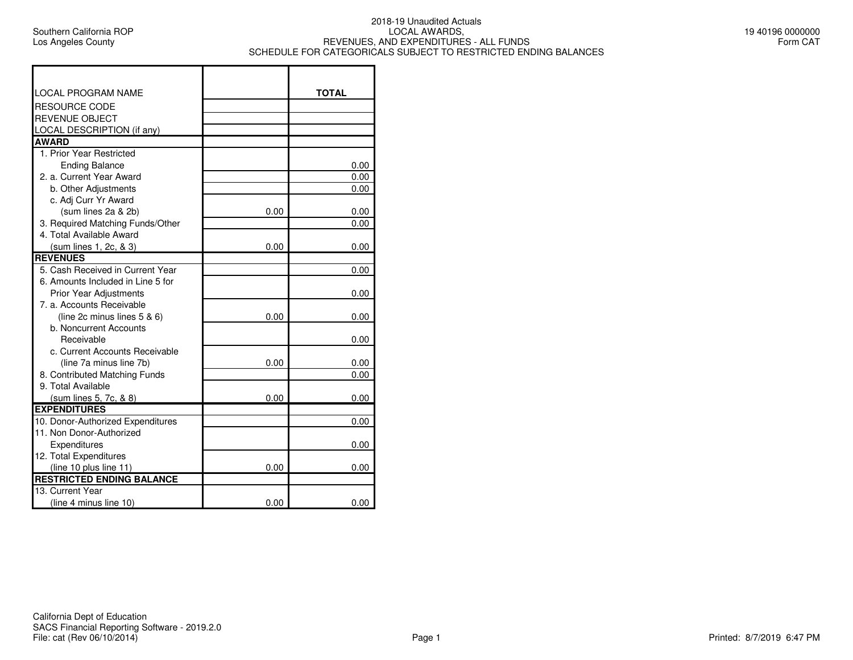$\Gamma$ 

## 2018-19 Unaudited Actuals LOCAL AWARDS, REVENUES, AND EXPENDITURES - ALL FUNDSSCHEDULE FOR CATEGORICALS SUBJECT TO RESTRICTED ENDING BALANCES

┑

| 19 40196 0000000 |  |          |  |
|------------------|--|----------|--|
|                  |  | Form CAT |  |

| <b>LOCAL PROGRAM NAME</b>                                     |      | <b>TOTAL</b> |
|---------------------------------------------------------------|------|--------------|
| <b>RESOURCE CODE</b>                                          |      |              |
| <b>REVENUE OBJECT</b>                                         |      |              |
| LOCAL DESCRIPTION (if any)                                    |      |              |
| <b>AWARD</b>                                                  |      |              |
| 1. Prior Year Restricted                                      |      |              |
| <b>Ending Balance</b>                                         |      | 0.00         |
| 2. a. Current Year Award                                      |      | 0.00         |
| b. Other Adjustments                                          |      | 0.00         |
| c. Adj Curr Yr Award                                          |      |              |
| (sum lines 2a & 2b)                                           | 0.00 | 0.00         |
| 3. Required Matching Funds/Other                              |      | 0.00         |
| 4. Total Available Award                                      |      |              |
| (sum lines 1, 2c, & 3)                                        | 0.00 | 0.00         |
| <b>REVENUES</b>                                               |      |              |
| 5. Cash Received in Current Year                              |      | 0.00         |
| 6. Amounts Included in Line 5 for                             |      |              |
| <b>Prior Year Adjustments</b>                                 |      | 0.00         |
| 7. a. Accounts Receivable                                     |      |              |
| (line 2c minus lines $5 & 6$ )                                | 0.00 | 0.00         |
| b. Noncurrent Accounts                                        |      |              |
| Receivable                                                    |      | 0.00         |
| c. Current Accounts Receivable                                |      |              |
| (line 7a minus line 7b)                                       | 0.00 | 0.00         |
| 8. Contributed Matching Funds                                 |      | 0.00         |
| 9. Total Available                                            |      |              |
| (sum lines 5, 7c, & 8)                                        | 0.00 | 0.00         |
| <b>EXPENDITURES</b>                                           |      |              |
| 10. Donor-Authorized Expenditures<br>11. Non Donor-Authorized |      | 0.00         |
|                                                               |      |              |
| Expenditures                                                  |      | 0.00         |
| 12. Total Expenditures<br>(line 10 plus line 11)              | 0.00 | 0.00         |
| <b>RESTRICTED ENDING BALANCE</b>                              |      |              |
| 13. Current Year                                              |      |              |
| (line 4 minus line 10)                                        | 0.00 | 0.00         |
|                                                               |      |              |

Т

 $\top$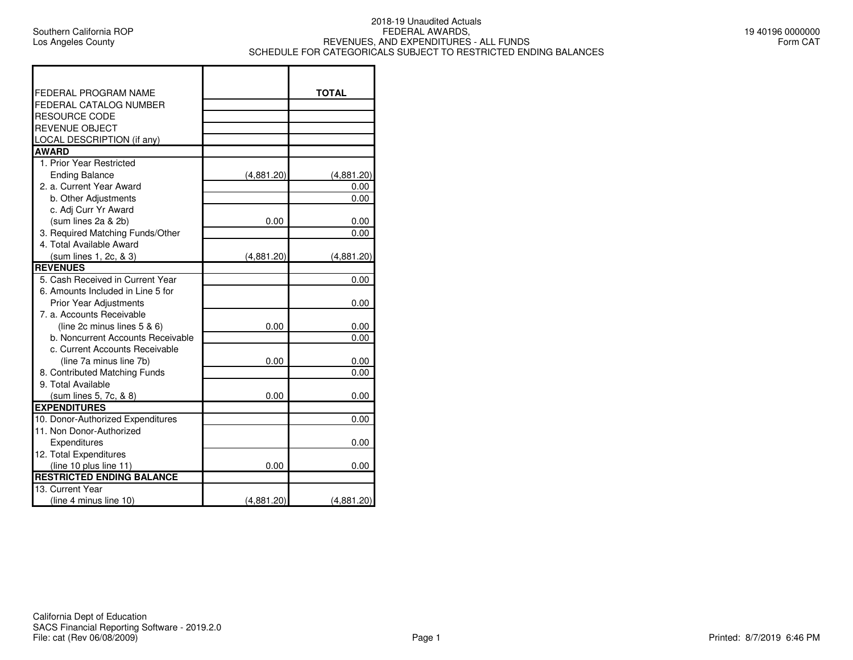Г

## 2018-19 Unaudited Actuals FEDERAL AWARDS, REVENUES, AND EXPENDITURES - ALL FUNDSSCHEDULE FOR CATEGORICALS SUBJECT TO RESTRICTED ENDING BALANCES

| 19 40196 0000000 |          |  |
|------------------|----------|--|
|                  | Form CAT |  |

| FEDERAL PROGRAM NAME              |            | <b>TOTAL</b> |
|-----------------------------------|------------|--------------|
| FEDERAL CATALOG NUMBER            |            |              |
| RESOURCE CODE                     |            |              |
| <b>REVENUE OBJECT</b>             |            |              |
| LOCAL DESCRIPTION (if any)        |            |              |
| <b>AWARD</b>                      |            |              |
| 1. Prior Year Restricted          |            |              |
| <b>Ending Balance</b>             | (4,881.20) | (4,881.20)   |
| 2. a. Current Year Award          |            | 0.00         |
| b. Other Adjustments              |            | 0.00         |
| c. Adj Curr Yr Award              |            |              |
| (sum lines 2a & 2b)               | 0.00       | 0.00         |
| 3. Required Matching Funds/Other  |            | 0.00         |
| 4. Total Available Award          |            |              |
| (sum lines 1, 2c, & 3)            | (4,881.20) | (4,881.20)   |
| <b>REVENUES</b>                   |            |              |
| 5. Cash Received in Current Year  |            | 0.00         |
| 6. Amounts Included in Line 5 for |            |              |
| <b>Prior Year Adjustments</b>     |            | 0.00         |
| 7. a. Accounts Receivable         |            |              |
| (line 2c minus lines 5 & 6)       | 0.00       | 0.00         |
| b. Noncurrent Accounts Receivable |            | 0.00         |
| c. Current Accounts Receivable    |            |              |
| (line 7a minus line 7b)           | 0.00       | 0.00         |
| 8. Contributed Matching Funds     |            | 0.00         |
| 9. Total Available                |            |              |
| (sum lines 5, 7c, & 8)            | 0.00       | 0.00         |
| <b>EXPENDITURES</b>               |            |              |
| 10. Donor-Authorized Expenditures |            | 0.00         |
| 11. Non Donor-Authorized          |            |              |
| Expenditures                      |            | 0.00         |
| 12. Total Expenditures            |            |              |
| (line 10 plus line 11)            | 0.00       | 0.00         |
| <b>RESTRICTED ENDING BALANCE</b>  |            |              |
| 13. Current Year                  |            |              |
| (line 4 minus line 10)            | (4,881.20) | (4,881.20)   |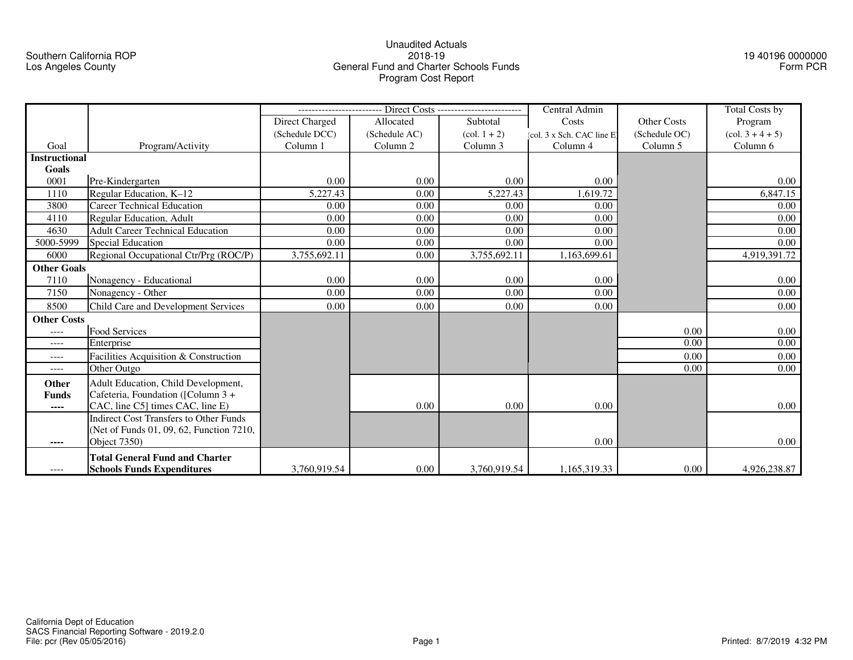## Southern California ROPLos Angeles County

## Unaudited Actuals2018-19 General Fund and Charter Schools FundsProgram Cost Report

19 40196 0000000Form PCR

|                      |                                               |                                         |               |                                   | Central Admin             |               | <b>Total Costs by</b>                 |
|----------------------|-----------------------------------------------|-----------------------------------------|---------------|-----------------------------------|---------------------------|---------------|---------------------------------------|
|                      |                                               | Subtotal<br>Direct Charged<br>Allocated |               | <b>Other Costs</b><br>Costs       |                           | Program       |                                       |
|                      |                                               | (Schedule DCC)                          | (Schedule AC) | $\left(\text{col. } 1 + 2\right)$ | (col. 3 x Sch. CAC line E | (Schedule OC) | $\left(\text{col. } 3 + 4 + 5\right)$ |
| Goal                 | Program/Activity                              | Column 1                                | Column 2      | Column 3                          | Column 4                  | Column 5      | Column 6                              |
| <b>Instructional</b> |                                               |                                         |               |                                   |                           |               |                                       |
| Goals                |                                               |                                         |               |                                   |                           |               |                                       |
| 0001                 | Pre-Kindergarten                              | 0.00                                    | 0.00          | 0.00                              | 0.00                      |               | 0.00                                  |
| 1110                 | Regular Education, K-12                       | 5,227.43                                | 0.00          | 5,227.43                          | 1,619.72                  |               | 6,847.15                              |
| 3800                 | <b>Career Technical Education</b>             | 0.00                                    | 0.00          | 0.00                              | 0.00                      |               | 0.00                                  |
| 4110                 | <b>Regular Education, Adult</b>               | 0.00                                    | 0.00          | 0.00                              | 0.00                      |               | 0.00                                  |
| 4630                 | <b>Adult Career Technical Education</b>       | 0.00                                    | 0.00          | 0.00                              | 0.00                      |               | 0.00                                  |
| 5000-5999            | <b>Special Education</b>                      | 0.00                                    | 0.00          | 0.00                              | 0.00                      |               | 0.00                                  |
| 6000                 | Regional Occupational Ctr/Prg (ROC/P)         | 3,755,692.11                            | 0.00          | 3,755,692.11                      | 1,163,699.61              |               | 4,919,391.72                          |
| <b>Other Goals</b>   |                                               |                                         |               |                                   |                           |               |                                       |
| 7110                 | Nonagency - Educational                       | 0.00                                    | 0.00          | 0.00                              | 0.00                      |               | 0.00                                  |
| 7150                 | Nonagency - Other                             | 0.00                                    | 0.00          | 0.00                              | 0.00                      |               | 0.00                                  |
| 8500                 | Child Care and Development Services           | 0.00                                    | 0.00          | 0.00                              | 0.00                      |               | 0.00                                  |
| <b>Other Costs</b>   |                                               |                                         |               |                                   |                           |               |                                       |
| ----                 | Food Services                                 |                                         |               |                                   |                           | 0.00          | 0.00                                  |
| ----                 | Enterprise                                    |                                         |               |                                   |                           | 0.00          | 0.00                                  |
| $--- -$              | Facilities Acquisition & Construction         |                                         |               |                                   |                           | 0.00          | 0.00                                  |
| $---$                | Other Outgo                                   |                                         |               |                                   |                           | 0.00          | 0.00                                  |
| <b>Other</b>         | Adult Education, Child Development,           |                                         |               |                                   |                           |               |                                       |
| <b>Funds</b>         | Cafeteria, Foundation ([Column 3+             |                                         |               |                                   |                           |               |                                       |
| $- - - -$            | CAC, line C5] times CAC, line E)              |                                         | 0.00          | 0.00                              | 0.00                      |               | 0.00                                  |
|                      | <b>Indirect Cost Transfers to Other Funds</b> |                                         |               |                                   |                           |               |                                       |
|                      | (Net of Funds 01, 09, 62, Function 7210,      |                                         |               |                                   |                           |               |                                       |
| $---$                | <b>Object 7350)</b>                           |                                         |               |                                   | 0.00                      |               | 0.00                                  |
|                      | <b>Total General Fund and Charter</b>         |                                         |               |                                   |                           |               |                                       |
| ----                 | <b>Schools Funds Expenditures</b>             | 3,760,919.54                            | 0.00          | 3,760,919.54                      | 1,165,319.33              | 0.00          | 4,926,238.87                          |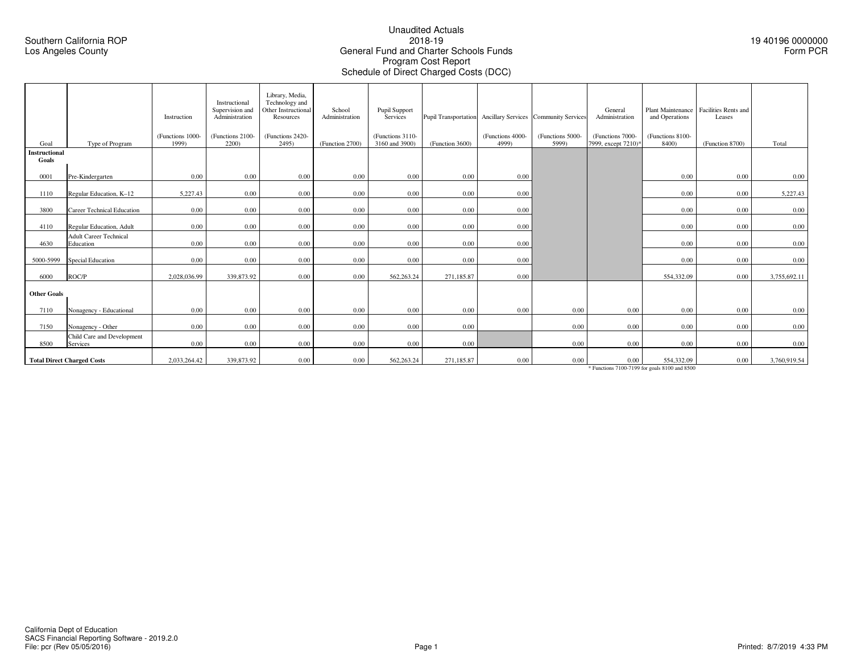#### Unaudited Actuals2018-19 General Fund and Charter Schools FundsProgram Cost ReportSchedule of Direct Charged Costs (DCC)

19 40196 0000000Form PCR

|                        |                                               | Instruction               | Instructional<br>Supervision and<br>Administration | Library, Media,<br>Technology and<br>Other Instructional<br>Resources | School<br>Administration | Pupil Support<br>Services          |                 |                           | Pupil Transportation Ancillary Services Community Services | General<br>Administration               | and Operations            | Plant Maintenance Facilities Rents and<br>Leases |              |
|------------------------|-----------------------------------------------|---------------------------|----------------------------------------------------|-----------------------------------------------------------------------|--------------------------|------------------------------------|-----------------|---------------------------|------------------------------------------------------------|-----------------------------------------|---------------------------|--------------------------------------------------|--------------|
| Goal                   | Type of Program                               | (Functions 1000-<br>1999) | (Functions 2100-<br>2200)                          | (Functions 2420-<br>2495)                                             | (Function 2700)          | (Functions 3110-<br>3160 and 3900) | (Function 3600) | (Functions 4000-<br>4999) | (Functions 5000-<br>5999)                                  | (Functions 7000-<br>7999, except 7210)* | (Functions 8100-<br>8400) | (Function 8700)                                  | Total        |
| Instructional<br>Goals |                                               |                           |                                                    |                                                                       |                          |                                    |                 |                           |                                                            |                                         |                           |                                                  |              |
| 0001                   | Pre-Kindergarten                              | 0.00                      | 0.00                                               | 0.00                                                                  | 0.00                     | 0.00                               | 0.00            | 0.00                      |                                                            |                                         | 0.00                      | 0.00                                             | 0.00         |
| 1110                   | Regular Education, K-12                       | 5,227.43                  | 0.00                                               | 0.00                                                                  | 0.00                     | 0.00                               | 0.00            | 0.00                      |                                                            |                                         | 0.00                      | 0.00                                             | 5,227.43     |
| 3800                   | <b>Career Technical Education</b>             | 0.00                      | 0.00                                               | 0.00                                                                  | 0.00                     | 0.00                               | 0.00            | 0.00                      |                                                            |                                         | 0.00                      | 0.00                                             | 0.00         |
| 4110                   | Regular Education, Adult                      | 0.00                      | 0.00                                               | 0.00                                                                  | 0.00                     | 0.00                               | 0.00            | 0.00                      |                                                            |                                         | 0.00                      | 0.00                                             | 0.00         |
| 4630                   | <b>Adult Career Technical</b><br>Education    | 0.00                      | 0.00                                               | 0.00                                                                  | 0.00                     | 0.00                               | 0.00            | 0.00                      |                                                            |                                         | 0.00                      | 0.00                                             | 0.00         |
| 5000-5999              | <b>Special Education</b>                      | 0.00                      | 0.00                                               | 0.00                                                                  | 0.00                     | 0.00                               | 0.00            | 0.00                      |                                                            |                                         | 0.00                      | 0.00                                             | 0.00         |
| 6000                   | ROC/P                                         | 2.028.036.99              | 339,873.92                                         | 0.00                                                                  | 0.00                     | 562,263.24                         | 271,185.87      | 0.00                      |                                                            |                                         | 554,332.09                | 0.00                                             | 3,755,692.11 |
| <b>Other Goals</b>     |                                               |                           |                                                    |                                                                       |                          |                                    |                 |                           |                                                            |                                         |                           |                                                  |              |
| 7110                   | Nonagency - Educational                       | 0.00                      | 0.00                                               | 0.00                                                                  | 0.00                     | 0.00                               | 0.00            | 0.00                      | 0.00                                                       | 0.00                                    | 0.00                      | 0.00                                             | 0.00         |
| 7150                   | Nonagency - Other                             | 0.00                      | 0.00                                               | 0.00                                                                  | 0.00                     | 0.00                               | 0.00            |                           | 0.00                                                       | $0.00\,$                                | 0.00                      | 0.00                                             | 0.00         |
| 8500                   | Child Care and Development<br><b>Services</b> | 0.00                      | 0.00                                               | 0.00                                                                  | 0.00                     | 0.00                               | 0.00            |                           | 0.00                                                       | $0.00\,$                                | 0.00                      | 0.00                                             | 0.00         |
|                        | <b>Total Direct Charged Costs</b>             | 2,033,264.42              | 339,873.92                                         | 0.00                                                                  | 0.00                     | 562,263.24                         | 271,185.87      | 0.00                      | 0.00                                                       | $0.00\,$                                | 554,332.09                | 0.00                                             | 3,760,919.54 |

\* Functions 7100-7199 for goals 8100 and 8500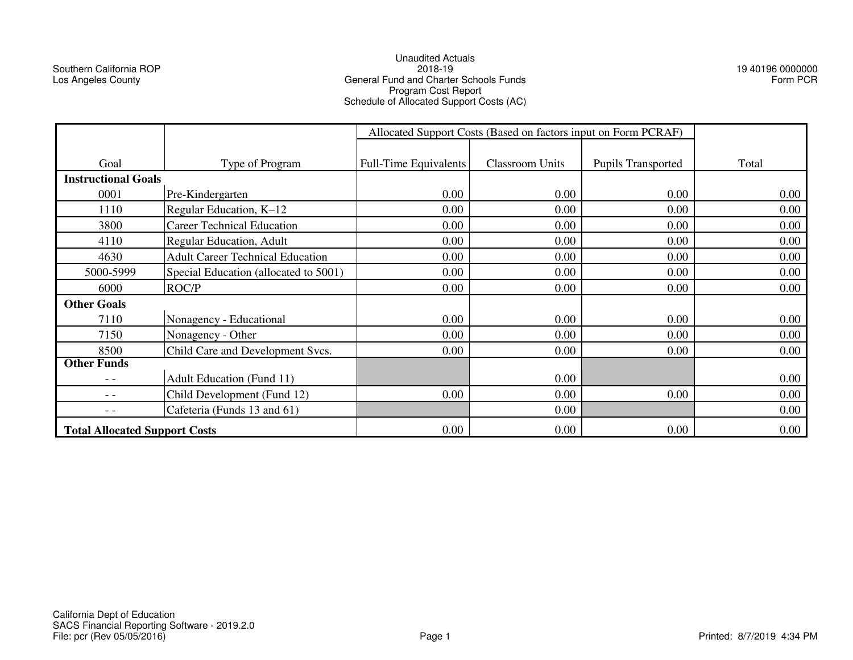Southern California ROPLos Angeles County

## Unaudited Actuals2018-19 General Fund and Charter Schools FundsProgram Cost Report Schedule of Allocated Support Costs (AC)

19 40196 0000000Form PCR

|                                                              |                                         | Allocated Support Costs (Based on factors input on Form PCRAF) |                        |                           |       |
|--------------------------------------------------------------|-----------------------------------------|----------------------------------------------------------------|------------------------|---------------------------|-------|
|                                                              |                                         |                                                                |                        |                           |       |
| Goal                                                         | Type of Program                         | <b>Full-Time Equivalents</b>                                   | <b>Classroom Units</b> | <b>Pupils Transported</b> | Total |
| <b>Instructional Goals</b>                                   |                                         |                                                                |                        |                           |       |
| 0001                                                         | Pre-Kindergarten                        | 0.00                                                           | 0.00                   | 0.00                      | 0.00  |
| 1110                                                         | Regular Education, K-12                 | 0.00                                                           | 0.00                   | 0.00                      | 0.00  |
| 3800                                                         | <b>Career Technical Education</b>       | 0.00                                                           | 0.00                   | 0.00                      | 0.00  |
| 4110                                                         | Regular Education, Adult                | 0.00                                                           | 0.00                   | 0.00                      | 0.00  |
| 4630                                                         | <b>Adult Career Technical Education</b> | 0.00                                                           | 0.00                   | 0.00                      | 0.00  |
| 5000-5999                                                    | Special Education (allocated to 5001)   | 0.00                                                           | 0.00                   | 0.00                      | 0.00  |
| 6000                                                         | ROC/P                                   | 0.00                                                           | 0.00                   | 0.00                      | 0.00  |
| <b>Other Goals</b>                                           |                                         |                                                                |                        |                           |       |
| 7110                                                         | Nonagency - Educational                 | 0.00                                                           | 0.00                   | 0.00                      | 0.00  |
| 7150                                                         | Nonagency - Other                       | 0.00                                                           | 0.00                   | 0.00                      | 0.00  |
| 8500                                                         | Child Care and Development Svcs.        | 0.00                                                           | 0.00                   | 0.00                      | 0.00  |
| <b>Other Funds</b>                                           |                                         |                                                                |                        |                           |       |
| - -                                                          | <b>Adult Education (Fund 11)</b>        |                                                                | 0.00                   |                           | 0.00  |
| $- -$                                                        | Child Development (Fund 12)             | 0.00                                                           | 0.00                   | 0.00                      | 0.00  |
| $ -$                                                         | Cafeteria (Funds 13 and 61)             |                                                                | 0.00                   |                           | 0.00  |
| 0.00<br>0.00<br>0.00<br><b>Total Allocated Support Costs</b> |                                         |                                                                |                        |                           | 0.00  |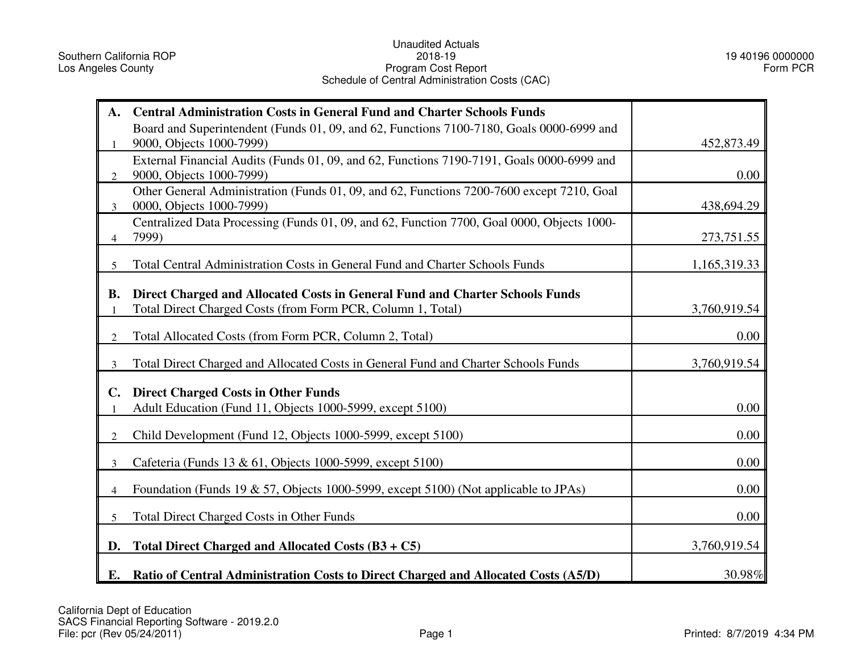# Unaudited Actuals2018-19Program Cost Report Schedule of Central Administration Costs (CAC)

19 40196 0000000Form PCR

| A.             | <b>Central Administration Costs in General Fund and Charter Schools Funds</b>                                         |              |
|----------------|-----------------------------------------------------------------------------------------------------------------------|--------------|
|                | Board and Superintendent (Funds 01, 09, and 62, Functions 7100-7180, Goals 0000-6999 and                              |              |
| 1              | 9000, Objects 1000-7999)<br>External Financial Audits (Funds 01, 09, and 62, Functions 7190-7191, Goals 0000-6999 and | 452,873.49   |
| $\overline{2}$ | 9000, Objects 1000-7999)                                                                                              | 0.00         |
| 3              | Other General Administration (Funds 01, 09, and 62, Functions 7200-7600 except 7210, Goal<br>0000, Objects 1000-7999) | 438,694.29   |
| 4              | Centralized Data Processing (Funds 01, 09, and 62, Function 7700, Goal 0000, Objects 1000-<br>7999)                   | 273,751.55   |
| 5              | Total Central Administration Costs in General Fund and Charter Schools Funds                                          | 1,165,319.33 |
| <b>B.</b>      | Direct Charged and Allocated Costs in General Fund and Charter Schools Funds                                          |              |
|                | Total Direct Charged Costs (from Form PCR, Column 1, Total)                                                           | 3,760,919.54 |
| $\overline{2}$ | Total Allocated Costs (from Form PCR, Column 2, Total)                                                                | 0.00         |
| $\overline{3}$ | Total Direct Charged and Allocated Costs in General Fund and Charter Schools Funds                                    | 3,760,919.54 |
| $\mathbf{C}$ . | <b>Direct Charged Costs in Other Funds</b>                                                                            |              |
| $\mathbf{1}$   | Adult Education (Fund 11, Objects 1000-5999, except 5100)                                                             | 0.00         |
| $\overline{2}$ | Child Development (Fund 12, Objects 1000-5999, except 5100)                                                           | 0.00         |
| 3              | Cafeteria (Funds 13 & 61, Objects 1000-5999, except 5100)                                                             | 0.00         |
| $\overline{4}$ | Foundation (Funds 19 & 57, Objects 1000-5999, except 5100) (Not applicable to JPAs)                                   | 0.00         |
| 5              | <b>Total Direct Charged Costs in Other Funds</b>                                                                      | 0.00         |
| D.             | Total Direct Charged and Allocated Costs $(B3 + C5)$                                                                  | 3,760,919.54 |
| Е.             | <b>Ratio of Central Administration Costs to Direct Charged and Allocated Costs (A5/D)</b>                             | 30.98%       |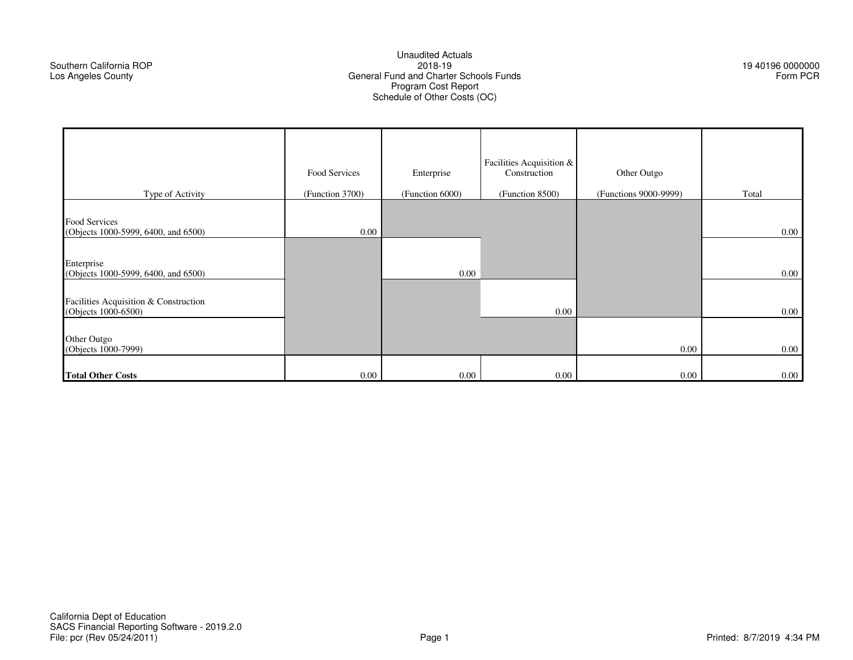### Unaudited Actuals2018-19 General Fund and Charter Schools FundsProgram Cost Report Schedule of Other Costs (OC)

19 40196 0000000Form PCR

|                                                                                                                                                    | Food Services   | Enterprise      | Facilities Acquisition &<br>Construction | Other Outgo           |                      |
|----------------------------------------------------------------------------------------------------------------------------------------------------|-----------------|-----------------|------------------------------------------|-----------------------|----------------------|
| Type of Activity                                                                                                                                   | (Function 3700) | (Function 6000) | (Function 8500)                          | (Functions 9000-9999) | Total                |
| Food Services<br>(Objects 1000-5999, 6400, and 6500)<br>Enterprise<br>(Objects 1000-5999, 6400, and 6500)<br>Facilities Acquisition & Construction | 0.00            | 0.00            |                                          |                       | $0.00\,$<br>$0.00\,$ |
| (Objects 1000-6500)                                                                                                                                |                 |                 | $0.00\,$                                 |                       | $0.00\,$             |
| Other Outgo<br>(Objects 1000-7999)                                                                                                                 |                 |                 |                                          | 0.00                  | $0.00\,$             |
| <b>Total Other Costs</b>                                                                                                                           | 0.00            | 0.00            | $0.00\,$                                 | 0.00                  | $0.00\,$             |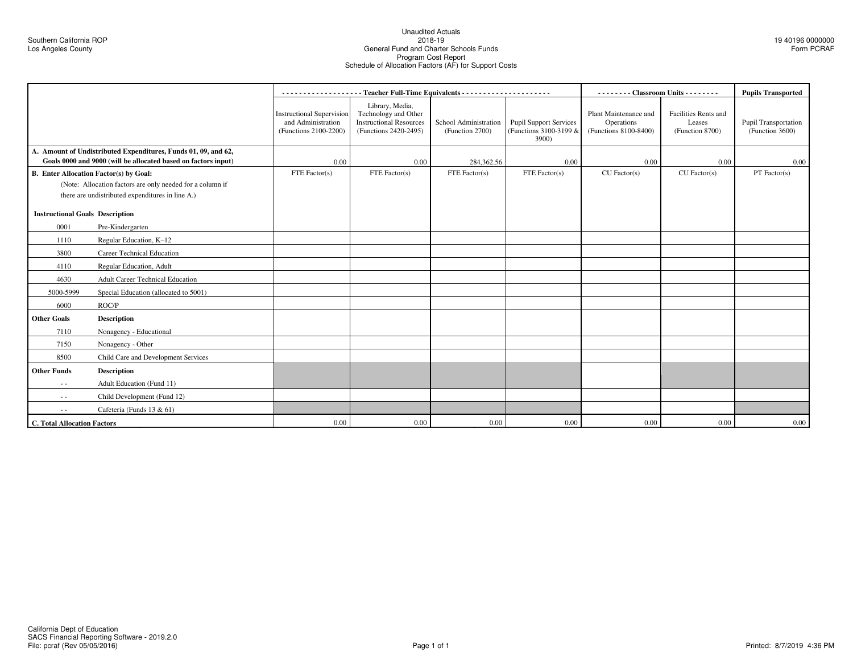### Unaudited Actuals2018-19General Fund and Charter Schools Funds Program Cost Report Schedule of Allocation Factors (AF) for Support Costs

|                                        |                                                                                                                                  |                                                                                 |                                                                                                    |                                          | -------- Classroom Units - - - - - - - -                         |                                                              | <b>Pupils Transported</b>                         |                                         |
|----------------------------------------|----------------------------------------------------------------------------------------------------------------------------------|---------------------------------------------------------------------------------|----------------------------------------------------------------------------------------------------|------------------------------------------|------------------------------------------------------------------|--------------------------------------------------------------|---------------------------------------------------|-----------------------------------------|
|                                        |                                                                                                                                  | <b>Instructional Supervision</b><br>and Administration<br>(Functions 2100-2200) | Library, Media,<br>Technology and Other<br><b>Instructional Resources</b><br>(Functions 2420-2495) | School Administration<br>(Function 2700) | <b>Pupil Support Services</b><br>(Functions 3100-3199 &<br>3900) | Plant Maintenance and<br>Operations<br>(Functions 8100-8400) | Facilities Rents and<br>Leases<br>(Function 8700) | Pupil Transportation<br>(Function 3600) |
|                                        | A. Amount of Undistributed Expenditures, Funds 01, 09, and 62,<br>Goals 0000 and 9000 (will be allocated based on factors input) | 0.00                                                                            | 0.00                                                                                               | 284,362.56                               | 0.00                                                             | 0.00                                                         | 0.00                                              | 0.00                                    |
|                                        | <b>B.</b> Enter Allocation Factor(s) by Goal:                                                                                    | FTE Factor(s)                                                                   | FTE Factor(s)                                                                                      | FTE Factor $(s)$                         | FTE Factor(s)                                                    | $CU$ Factor(s)                                               | $CU$ Factor(s)                                    | PT Factor(s)                            |
|                                        | (Note: Allocation factors are only needed for a column if                                                                        |                                                                                 |                                                                                                    |                                          |                                                                  |                                                              |                                                   |                                         |
|                                        | there are undistributed expenditures in line A.)                                                                                 |                                                                                 |                                                                                                    |                                          |                                                                  |                                                              |                                                   |                                         |
| <b>Instructional Goals Description</b> |                                                                                                                                  |                                                                                 |                                                                                                    |                                          |                                                                  |                                                              |                                                   |                                         |
| 0001                                   | Pre-Kindergarten                                                                                                                 |                                                                                 |                                                                                                    |                                          |                                                                  |                                                              |                                                   |                                         |
| 1110                                   | Regular Education, K-12                                                                                                          |                                                                                 |                                                                                                    |                                          |                                                                  |                                                              |                                                   |                                         |
| 3800                                   | <b>Career Technical Education</b>                                                                                                |                                                                                 |                                                                                                    |                                          |                                                                  |                                                              |                                                   |                                         |
| 4110                                   | Regular Education, Adult                                                                                                         |                                                                                 |                                                                                                    |                                          |                                                                  |                                                              |                                                   |                                         |
| 4630                                   | <b>Adult Career Technical Education</b>                                                                                          |                                                                                 |                                                                                                    |                                          |                                                                  |                                                              |                                                   |                                         |
| 5000-5999                              | Special Education (allocated to 5001)                                                                                            |                                                                                 |                                                                                                    |                                          |                                                                  |                                                              |                                                   |                                         |
| 6000                                   | ROC/P                                                                                                                            |                                                                                 |                                                                                                    |                                          |                                                                  |                                                              |                                                   |                                         |
| <b>Other Goals</b>                     | <b>Description</b>                                                                                                               |                                                                                 |                                                                                                    |                                          |                                                                  |                                                              |                                                   |                                         |
| 7110                                   | Nonagency - Educational                                                                                                          |                                                                                 |                                                                                                    |                                          |                                                                  |                                                              |                                                   |                                         |
| 7150                                   | Nonagency - Other                                                                                                                |                                                                                 |                                                                                                    |                                          |                                                                  |                                                              |                                                   |                                         |
| 8500                                   | Child Care and Development Services                                                                                              |                                                                                 |                                                                                                    |                                          |                                                                  |                                                              |                                                   |                                         |
| <b>Other Funds</b>                     | <b>Description</b>                                                                                                               |                                                                                 |                                                                                                    |                                          |                                                                  |                                                              |                                                   |                                         |
| $\sim$ $\sim$                          | Adult Education (Fund 11)                                                                                                        |                                                                                 |                                                                                                    |                                          |                                                                  |                                                              |                                                   |                                         |
| $ -$                                   | Child Development (Fund 12)                                                                                                      |                                                                                 |                                                                                                    |                                          |                                                                  |                                                              |                                                   |                                         |
| $\frac{1}{2}$                          | Cafeteria (Funds 13 & 61)                                                                                                        |                                                                                 |                                                                                                    |                                          |                                                                  |                                                              |                                                   |                                         |
| <b>C. Total Allocation Factors</b>     |                                                                                                                                  | 0.00                                                                            | 0.00                                                                                               | 0.00                                     | 0.00                                                             | 0.00                                                         | 0.00                                              | 0.00                                    |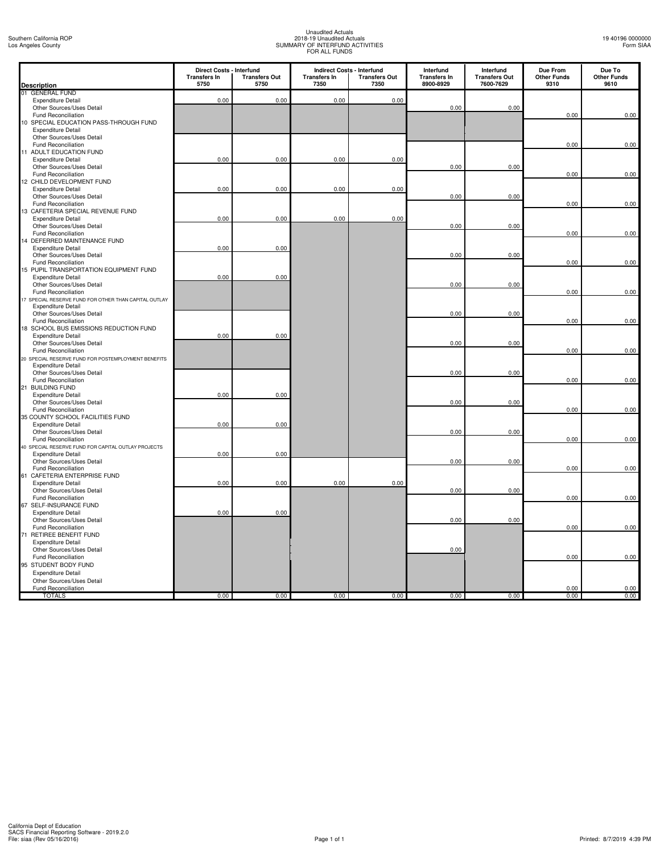# Unaudited Actuals 2018-19 Unaudited Actuals SUMMARY OF INTERFUND ACTIVITIES FOR ALL FUNDS

| <b>Description</b>                                            | Direct Costs - Interfund<br><b>Transfers In</b><br>5750 | <b>Transfers Out</b><br>5750 | <b>Transfers In</b><br>7350 | <b>Indirect Costs - Interfund</b><br><b>Transfers Out</b><br>7350 | Interfund<br><b>Transfers In</b><br>8900-8929 | Interfund<br><b>Transfers Out</b><br>7600-7629 | Due From<br><b>Other Funds</b><br>9310 | Due To<br><b>Other Funds</b><br>9610 |
|---------------------------------------------------------------|---------------------------------------------------------|------------------------------|-----------------------------|-------------------------------------------------------------------|-----------------------------------------------|------------------------------------------------|----------------------------------------|--------------------------------------|
| 01 GENERAL FUND                                               |                                                         |                              |                             |                                                                   |                                               |                                                |                                        |                                      |
| <b>Expenditure Detail</b>                                     | 0.00                                                    | 0.00                         | 0.00                        | 0.00                                                              |                                               |                                                |                                        |                                      |
| Other Sources/Uses Detail                                     |                                                         |                              |                             |                                                                   | 0.00                                          | 0.00                                           |                                        |                                      |
| Fund Reconciliation                                           |                                                         |                              |                             |                                                                   |                                               |                                                | 0.00                                   | 0.00                                 |
| 10 SPECIAL EDUCATION PASS-THROUGH FUND                        |                                                         |                              |                             |                                                                   |                                               |                                                |                                        |                                      |
| <b>Expenditure Detail</b>                                     |                                                         |                              |                             |                                                                   |                                               |                                                |                                        |                                      |
| Other Sources/Uses Detail                                     |                                                         |                              |                             |                                                                   |                                               |                                                |                                        |                                      |
| Fund Reconciliation                                           |                                                         |                              |                             |                                                                   |                                               |                                                | 0.00                                   | 0.00                                 |
| 11 ADULT EDUCATION FUND                                       |                                                         |                              |                             |                                                                   |                                               |                                                |                                        |                                      |
| <b>Expenditure Detail</b>                                     | 0.00                                                    | 0.00                         | 0.00                        | 0.00                                                              |                                               |                                                |                                        |                                      |
| Other Sources/Uses Detail                                     |                                                         |                              |                             |                                                                   | 0.00                                          | 0.00                                           |                                        |                                      |
| Fund Reconciliation                                           |                                                         |                              |                             |                                                                   |                                               |                                                | 0.00                                   | 0.00                                 |
| 12 CHILD DEVELOPMENT FUND                                     |                                                         |                              |                             |                                                                   |                                               |                                                |                                        |                                      |
| <b>Expenditure Detail</b>                                     | 0.00                                                    | 0.00                         | 0.00                        | 0.00                                                              |                                               |                                                |                                        |                                      |
|                                                               |                                                         |                              |                             |                                                                   | 0.00                                          | 0.00                                           |                                        |                                      |
| Other Sources/Uses Detail<br>Fund Reconciliation              |                                                         |                              |                             |                                                                   |                                               |                                                | 0.00                                   | 0.00                                 |
| 13 CAFETERIA SPECIAL REVENUE FUND                             |                                                         |                              |                             |                                                                   |                                               |                                                |                                        |                                      |
| <b>Expenditure Detail</b>                                     | 0.00                                                    | 0.00                         | 0.00                        | 0.00                                                              |                                               |                                                |                                        |                                      |
| Other Sources/Uses Detail                                     |                                                         |                              |                             |                                                                   | 0.00                                          | 0.00                                           |                                        |                                      |
| Fund Reconciliation                                           |                                                         |                              |                             |                                                                   |                                               |                                                | 0.00                                   | 0.00                                 |
| 14 DEFERRED MAINTENANCE FUND                                  |                                                         |                              |                             |                                                                   |                                               |                                                |                                        |                                      |
|                                                               |                                                         | 0.00                         |                             |                                                                   |                                               |                                                |                                        |                                      |
| <b>Expenditure Detail</b>                                     | 0.00                                                    |                              |                             |                                                                   | 0.00                                          |                                                |                                        |                                      |
| Other Sources/Uses Detail                                     |                                                         |                              |                             |                                                                   |                                               | 0.00                                           | 0.00                                   | 0.00                                 |
| Fund Reconciliation<br>15 PUPIL TRANSPORTATION EQUIPMENT FUND |                                                         |                              |                             |                                                                   |                                               |                                                |                                        |                                      |
| <b>Expenditure Detail</b>                                     | 0.00                                                    | 0.00                         |                             |                                                                   |                                               |                                                |                                        |                                      |
| Other Sources/Uses Detail                                     |                                                         |                              |                             |                                                                   | 0.00                                          | 0.00                                           |                                        |                                      |
| Fund Reconciliation                                           |                                                         |                              |                             |                                                                   |                                               |                                                | 0.00                                   | 0.00                                 |
| 17 SPECIAL RESERVE FUND FOR OTHER THAN CAPITAL OUTLAY         |                                                         |                              |                             |                                                                   |                                               |                                                |                                        |                                      |
| <b>Expenditure Detail</b>                                     |                                                         |                              |                             |                                                                   |                                               |                                                |                                        |                                      |
| Other Sources/Uses Detail                                     |                                                         |                              |                             |                                                                   | 0.00                                          | 0.00                                           |                                        |                                      |
| Fund Reconciliation                                           |                                                         |                              |                             |                                                                   |                                               |                                                | 0.00                                   | 0.00                                 |
| 18 SCHOOL BUS EMISSIONS REDUCTION FUND                        |                                                         |                              |                             |                                                                   |                                               |                                                |                                        |                                      |
| <b>Expenditure Detail</b>                                     | 0.00                                                    | 0.00                         |                             |                                                                   |                                               |                                                |                                        |                                      |
| Other Sources/Uses Detail                                     |                                                         |                              |                             |                                                                   | 0.00                                          | 0.00                                           |                                        |                                      |
| <b>Fund Reconciliation</b>                                    |                                                         |                              |                             |                                                                   |                                               |                                                | 0.00                                   | 0.00                                 |
| 20 SPECIAL RESERVE FUND FOR POSTEMPLOYMENT BENEFITS           |                                                         |                              |                             |                                                                   |                                               |                                                |                                        |                                      |
| <b>Expenditure Detail</b>                                     |                                                         |                              |                             |                                                                   |                                               |                                                |                                        |                                      |
| Other Sources/Uses Detail                                     |                                                         |                              |                             |                                                                   | 0.00                                          | 0.00                                           |                                        |                                      |
| <b>Fund Reconciliation</b>                                    |                                                         |                              |                             |                                                                   |                                               |                                                | 0.00                                   | 0.00                                 |
| 21 BUILDING FUND                                              |                                                         |                              |                             |                                                                   |                                               |                                                |                                        |                                      |
| <b>Expenditure Detail</b>                                     | 0.00                                                    | 0.00                         |                             |                                                                   |                                               |                                                |                                        |                                      |
| Other Sources/Uses Detail                                     |                                                         |                              |                             |                                                                   | 0.00                                          | 0.00                                           |                                        |                                      |
| Fund Reconciliation                                           |                                                         |                              |                             |                                                                   |                                               |                                                | 0.00                                   | 0.00                                 |
| 35 COUNTY SCHOOL FACILITIES FUND                              |                                                         |                              |                             |                                                                   |                                               |                                                |                                        |                                      |
| <b>Expenditure Detail</b>                                     | 0.00                                                    | 0.00                         |                             |                                                                   |                                               |                                                |                                        |                                      |
| Other Sources/Uses Detail                                     |                                                         |                              |                             |                                                                   | 0.00                                          | 0.00                                           |                                        |                                      |
| Fund Reconciliation                                           |                                                         |                              |                             |                                                                   |                                               |                                                | 0.00                                   | 0.00                                 |
| 40 SPECIAL RESERVE FUND FOR CAPITAL OUTLAY PROJECTS           |                                                         |                              |                             |                                                                   |                                               |                                                |                                        |                                      |
| <b>Expenditure Detail</b>                                     | 0.00                                                    | 0.00                         |                             |                                                                   |                                               |                                                |                                        |                                      |
| Other Sources/Uses Detail                                     |                                                         |                              |                             |                                                                   | 0.00                                          | 0.00                                           |                                        |                                      |
| Fund Reconciliation                                           |                                                         |                              |                             |                                                                   |                                               |                                                | 0.00                                   | 0.00                                 |
| CAFETERIA ENTERPRISE FUND<br>61                               |                                                         |                              |                             |                                                                   |                                               |                                                |                                        |                                      |
| <b>Expenditure Detail</b>                                     | 0.00                                                    | 0.00                         | 0.00                        | 0.00                                                              |                                               |                                                |                                        |                                      |
| Other Sources/Uses Detail                                     |                                                         |                              |                             |                                                                   | 0.00                                          | 0.00                                           |                                        |                                      |
| Fund Reconciliation                                           |                                                         |                              |                             |                                                                   |                                               |                                                | 0.00                                   | 0.00                                 |
| 67 SELF-INSURANCE FUND                                        |                                                         |                              |                             |                                                                   |                                               |                                                |                                        |                                      |
| <b>Expenditure Detail</b>                                     | 0.00                                                    | 0.00                         |                             |                                                                   |                                               |                                                |                                        |                                      |
| Other Sources/Uses Detail                                     |                                                         |                              |                             |                                                                   | 0.00                                          | 0.00                                           |                                        |                                      |
| Fund Reconciliation                                           |                                                         |                              |                             |                                                                   |                                               |                                                | 0.00                                   | 0.00                                 |
| 71 RETIREE BENEFIT FUND                                       |                                                         |                              |                             |                                                                   |                                               |                                                |                                        |                                      |
| <b>Expenditure Detail</b>                                     |                                                         |                              |                             |                                                                   |                                               |                                                |                                        |                                      |
| Other Sources/Uses Detail                                     |                                                         |                              |                             |                                                                   | 0.00                                          |                                                |                                        |                                      |
| Fund Reconciliation                                           |                                                         |                              |                             |                                                                   |                                               |                                                | 0.00                                   | 0.00                                 |
| 95 STUDENT BODY FUND                                          |                                                         |                              |                             |                                                                   |                                               |                                                |                                        |                                      |
|                                                               |                                                         |                              |                             |                                                                   |                                               |                                                |                                        |                                      |
| <b>Expenditure Detail</b>                                     |                                                         |                              |                             |                                                                   |                                               |                                                |                                        |                                      |
| Other Sources/Uses Detail                                     |                                                         |                              |                             |                                                                   |                                               |                                                |                                        |                                      |
| Fund Reconciliation                                           |                                                         |                              |                             |                                                                   |                                               |                                                | 0.00                                   | 0.00                                 |
| <b>TOTALS</b>                                                 | 0.00                                                    | 0.00                         | 0.00                        | 0.00                                                              | 0.00                                          | 0.00                                           | 0.00                                   | 0.00                                 |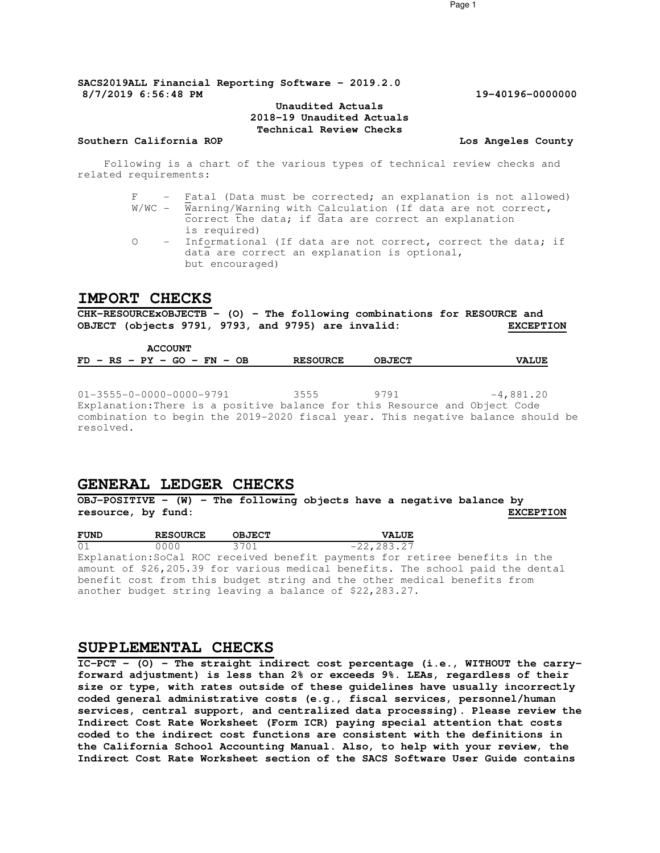**SACS2019ALL Financial Reporting Software - 2019.2.0 8/7/2019 6:56:48 PM 19-40196-0000000**

#### **Unaudited Actuals 2018-19 Unaudited Actuals Technical Review Checks**

#### **Southern California ROP Los Angeles County**

Following is a chart of the various types of technical review checks and related requirements:

- F Fatal (Data must be corrected; an explanation is not allowed) W/WC - Warning/Warning with Calculation (If data are not correct,  $\overline{c}$  correct the data; if data are correct an explanation is required)
- O Informational (If data are not correct, correct the data; if data are correct an explanation is optional, but encouraged)

### **IMPORT CHECKS**

**CHK-RESOURCExOBJECTB - (O) - The following combinations for RESOURCE and**  OBJECT (objects 9791, 9793, and 9795) are invalid:

| <b>ACCOUNT</b>                |                 |               |              |
|-------------------------------|-----------------|---------------|--------------|
| $FD - RS - PY - GO - FN - OB$ | <b>RESOURCE</b> | <b>OBJECT</b> | <b>VALUE</b> |

 $01-3555-0-0000-0000-9791$  3555 9791  $-4,881.20$ Explanation:There is a positive balance for this Resource and Object Code combination to begin the 2019-2020 fiscal year. This negative balance should be resolved.

### **GENERAL LEDGER CHECKS**

**OBJ-POSITIVE - (W) - The following objects have a negative balance by resource, by fund: EXCEPTION**

| <b>FUND</b> | <b>RESOURCE</b> | <b>OBJECT</b> | <b>VALUE</b>                                                                   |
|-------------|-----------------|---------------|--------------------------------------------------------------------------------|
| 01          | . 0 0 0 0       | 3701          | $-22.283.27$                                                                   |
|             |                 |               | Explanation:SoCal ROC received benefit payments for retiree benefits in the    |
|             |                 |               | amount of \$26,205.39 for various medical benefits. The school paid the dental |
|             |                 |               | benefit cost from this budget string and the other medical benefits from       |
|             |                 |               | another budget string leaving a balance of \$22,283.27.                        |

### **SUPPLEMENTAL CHECKS**

**IC-PCT - (O) - The straight indirect cost percentage (i.e., WITHOUT the carryforward adjustment) is less than 2% or exceeds 9%. LEAs, regardless of their size or type, with rates outside of these guidelines have usually incorrectly coded general administrative costs (e.g., fiscal services, personnel/human services, central support, and centralized data processing). Please review the Indirect Cost Rate Worksheet (Form ICR) paying special attention that costs coded to the indirect cost functions are consistent with the definitions in the California School Accounting Manual. Also, to help with your review, the Indirect Cost Rate Worksheet section of the SACS Software User Guide contains** 

Page 1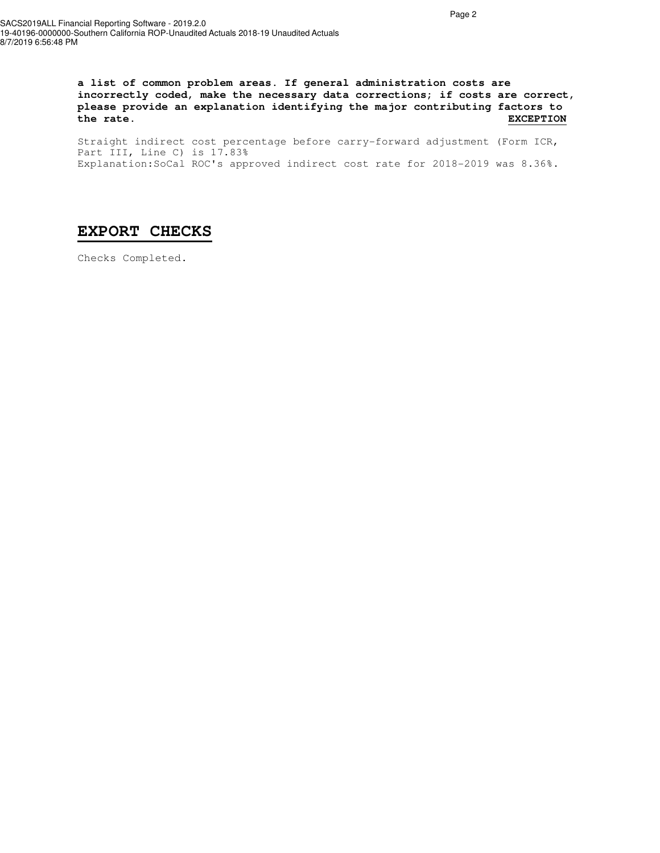**a list of common problem areas. If general administration costs are incorrectly coded, make the necessary data corrections; if costs are correct, please provide an explanation identifying the major contributing factors to the rate. EXCEPTION**

Straight indirect cost percentage before carry-forward adjustment (Form ICR, Part III, Line C) is 17.83% Explanation:SoCal ROC's approved indirect cost rate for 2018-2019 was 8.36%.

# **EXPORT CHECKS**

Checks Completed.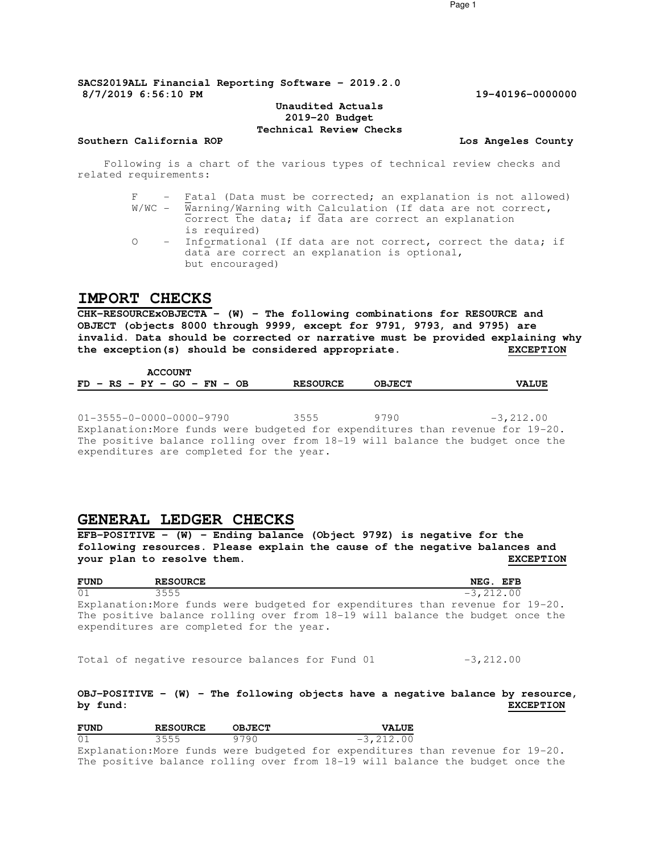#### **Unaudited Actuals 2019-20 Budget Technical Review Checks**

#### **Southern California ROP Los Angeles County**

Following is a chart of the various types of technical review checks and related requirements:

- F Fatal (Data must be corrected; an explanation is not allowed) W/WC - Warning/Warning with Calculation (If data are not correct,  $\overline{c}$  correct the data; if data are correct an explanation is required)
- O Informational (If data are not correct, correct the data; if data are correct an explanation is optional, but encouraged)

### **IMPORT CHECKS**

**CHK-RESOURCExOBJECTA - (W) - The following combinations for RESOURCE and OBJECT (objects 8000 through 9999, except for 9791, 9793, and 9795) are invalid. Data should be corrected or narrative must be provided explaining why the exception(s) should be considered appropriate. EXCEPTION**

 **ACCOUNT FD - RS - PY - GO - FN - OB RESOURCE OBJECT VALUE**

01-3555-0-0000-0000-9790 3555 9790 -3,212.00 Explanation:More funds were budgeted for expenditures than revenue for 19-20. The positive balance rolling over from 18-19 will balance the budget once the expenditures are completed for the year.

### **GENERAL LEDGER CHECKS**

**EFB-POSITIVE - (W) - Ending balance (Object 979Z) is negative for the following resources. Please explain the cause of the negative balances and your plan to resolve them. EXCEPTION**

| <b>FUND</b> | <b>RESOURCE</b>                                                                   | NEG. EFB    |
|-------------|-----------------------------------------------------------------------------------|-------------|
| 01          | 3555                                                                              | $-3,212,00$ |
|             | Explanation: More funds were budgeted for expenditures than revenue for $19-20$ . |             |
|             | The positive balance rolling over from 18-19 will balance the budget once the     |             |
|             | expenditures are completed for the year.                                          |             |

Total of negative resource balances for Fund  $01$   $-3,212.00$ 

### **OBJ-POSITIVE - (W) - The following objects have a negative balance by resource, by fund: EXCEPTION**

| <b>FUND</b>    | <b>RESOURCE</b>                         | <b>OBJECT</b> | <b>VALUE</b> |
|----------------|-----------------------------------------|---------------|--------------|
| 0 <sub>1</sub> | $\left\langle 555 \right\rangle$<br>--- | $\Omega$      | -3 212 00    |

Explanation:More funds were budgeted for expenditures than revenue for 19-20. The positive balance rolling over from 18-19 will balance the budget once the

Page 1